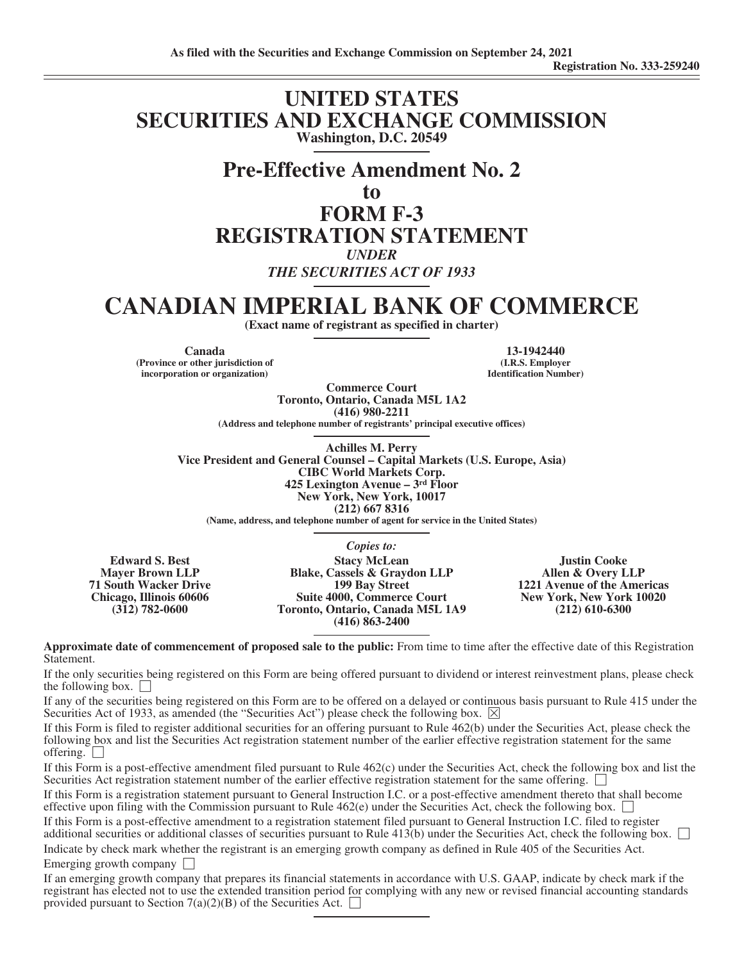# **UNITED STATES SECURITIES AND EXCHANGE COMMISSION Washington, D.C. 20549**

# **Pre-Effective Amendment No. 2**

**to**

# **FORM F-3 REGISTRATION STATEMENT**

*UNDER*

*THE SECURITIES ACT OF 1933*

# **CANADIAN IMPERIAL BANK OF COMMERCE**

**(Exact name of registrant as specified in charter)**

**(Province or other jurisdiction of incorporation or organization)**

**Canada 13-1942440 (I.R.S. Employer Identification Number)**

**Commerce Court Toronto, Ontario, Canada M5L 1A2 (416) 980-2211 (Address and telephone number of registrants' principal executive offices)**

**Achilles M. Perry Vice President and General Counsel – Capital Markets (U.S. Europe, Asia) CIBC World Markets Corp. 425 Lexington Avenue – 3rd Floor New York, New York, 10017 (212) 667 8316**

**(Name, address, and telephone number of agent for service in the United States)**

**Edward S. Best Mayer Brown LLP 71 South Wacker Drive Chicago, Illinois 60606 (312) 782-0600**

*Copies to:* **Stacy McLean Blake, Cassels & Graydon LLP 199 Bay Street Suite 4000, Commerce Court Toronto, Ontario, Canada M5L 1A9 (416) 863-2400**

**Justin Cooke Allen & Overy LLP 1221 Avenue of the Americas New York, New York 10020 (212) 610-6300**

**Approximate date of commencement of proposed sale to the public:** From time to time after the effective date of this Registration Statement.

If the only securities being registered on this Form are being offered pursuant to dividend or interest reinvestment plans, please check the following box.  $\Box$ 

If any of the securities being registered on this Form are to be offered on a delayed or continuous basis pursuant to Rule 415 under the Securities Act of 1933, as amended (the "Securities Act") please check the following box.  $\boxtimes$ 

If this Form is filed to register additional securities for an offering pursuant to Rule 462(b) under the Securities Act, please check the following box and list the Securities Act registration statement number of the earlier effective registration statement for the same offering.  $\Box$ 

If this Form is a post-effective amendment filed pursuant to Rule 462(c) under the Securities Act, check the following box and list the Securities Act registration statement number of the earlier effective registration statement for the same offering.

If this Form is a registration statement pursuant to General Instruction I.C. or a post-effective amendment thereto that shall become effective upon filing with the Commission pursuant to Rule 462(e) under the Securities Act, check the following box.  $\Box$ 

If this Form is a post-effective amendment to a registration statement filed pursuant to General Instruction I.C. filed to register additional securities or additional classes of securities pursuant to Rule  $413(b)$  under the Securities Act, check the following box.  $\Box$ Indicate by check mark whether the registrant is an emerging growth company as defined in Rule 405 of the Securities Act.

Emerging growth company  $\Box$ 

If an emerging growth company that prepares its financial statements in accordance with U.S. GAAP, indicate by check mark if the registrant has elected not to use the extended transition period for complying with any new or revised financial accounting standards provided pursuant to Section 7(a)(2)(B) of the Securities Act.  $\Box$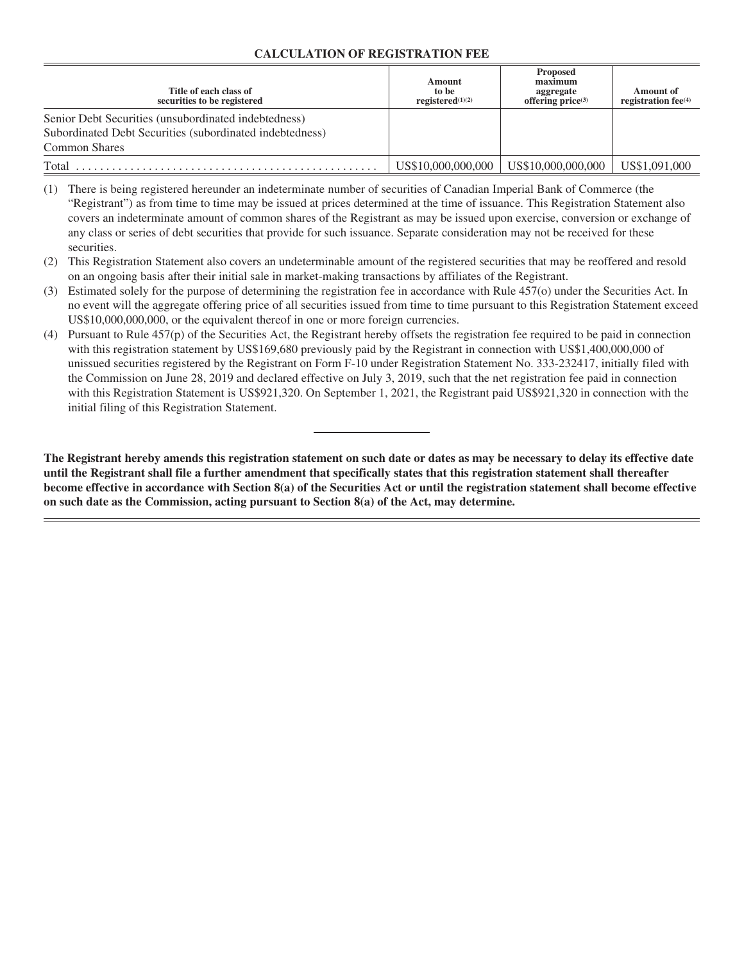# **CALCULATION OF REGISTRATION FEE**

| Title of each class of<br>securities to be registered                                                            | Amount<br>to be<br>registered $(1)(2)$ | Proposed<br>maximum<br>aggregate<br>offering $\overline{\text{price}}^{(3)}$ | <b>Amount</b> of<br>registration $fee^{(4)}$ |
|------------------------------------------------------------------------------------------------------------------|----------------------------------------|------------------------------------------------------------------------------|----------------------------------------------|
| Senior Debt Securities (unsubordinated indebtedness)<br>Subordinated Debt Securities (subordinated indebtedness) |                                        |                                                                              |                                              |
| <b>Common Shares</b>                                                                                             |                                        |                                                                              |                                              |
| Total                                                                                                            | US\$10,000,000,000                     | US\$10,000,000,000                                                           | US\$1,091,000                                |

(1) There is being registered hereunder an indeterminate number of securities of Canadian Imperial Bank of Commerce (the "Registrant") as from time to time may be issued at prices determined at the time of issuance. This Registration Statement also covers an indeterminate amount of common shares of the Registrant as may be issued upon exercise, conversion or exchange of any class or series of debt securities that provide for such issuance. Separate consideration may not be received for these securities.

- (2) This Registration Statement also covers an undeterminable amount of the registered securities that may be reoffered and resold on an ongoing basis after their initial sale in market-making transactions by affiliates of the Registrant.
- (3) Estimated solely for the purpose of determining the registration fee in accordance with Rule 457(o) under the Securities Act. In no event will the aggregate offering price of all securities issued from time to time pursuant to this Registration Statement exceed US\$10,000,000,000, or the equivalent thereof in one or more foreign currencies.
- (4) Pursuant to Rule 457(p) of the Securities Act, the Registrant hereby offsets the registration fee required to be paid in connection with this registration statement by US\$169,680 previously paid by the Registrant in connection with US\$1,400,000,000 of unissued securities registered by the Registrant on Form F-10 under Registration Statement No. 333-232417, initially filed with the Commission on June 28, 2019 and declared effective on July 3, 2019, such that the net registration fee paid in connection with this Registration Statement is US\$921,320. On September 1, 2021, the Registrant paid US\$921,320 in connection with the initial filing of this Registration Statement.

**The Registrant hereby amends this registration statement on such date or dates as may be necessary to delay its effective date until the Registrant shall file a further amendment that specifically states that this registration statement shall thereafter become effective in accordance with Section 8(a) of the Securities Act or until the registration statement shall become effective on such date as the Commission, acting pursuant to Section 8(a) of the Act, may determine.**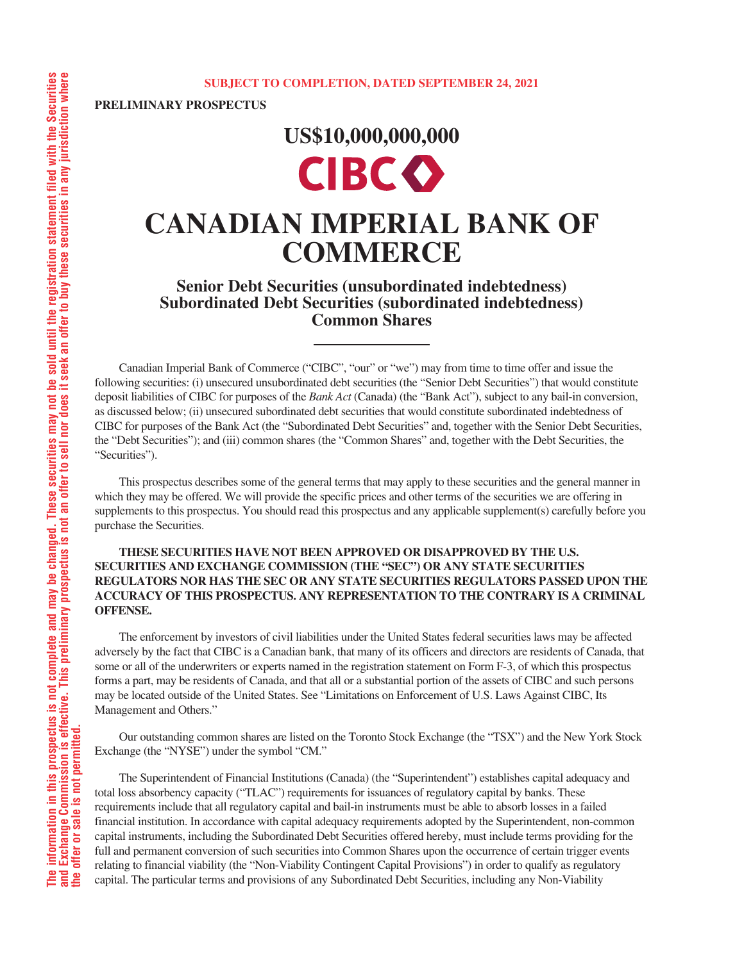**PRELIMINARY PROSPECTUS**

# **US\$10,000,000,000 CIBC**

# **CANADIAN IMPERIAL BANK OF COMMERCE**

**Senior Debt Securities (unsubordinated indebtedness) Subordinated Debt Securities (subordinated indebtedness) Common Shares**

Canadian Imperial Bank of Commerce ("CIBC", "our" or "we") may from time to time offer and issue the following securities: (i) unsecured unsubordinated debt securities (the "Senior Debt Securities") that would constitute deposit liabilities of CIBC for purposes of the *Bank Act* (Canada) (the "Bank Act"), subject to any bail-in conversion, as discussed below; (ii) unsecured subordinated debt securities that would constitute subordinated indebtedness of CIBC for purposes of the Bank Act (the "Subordinated Debt Securities" and, together with the Senior Debt Securities, the "Debt Securities"); and (iii) common shares (the "Common Shares" and, together with the Debt Securities, the "Securities").

This prospectus describes some of the general terms that may apply to these securities and the general manner in which they may be offered. We will provide the specific prices and other terms of the securities we are offering in supplements to this prospectus. You should read this prospectus and any applicable supplement(s) carefully before you purchase the Securities.

# **THESE SECURITIES HAVE NOT BEEN APPROVED OR DISAPPROVED BY THE U.S. SECURITIES AND EXCHANGE COMMISSION (THE "SEC") OR ANY STATE SECURITIES REGULATORS NOR HAS THE SEC OR ANY STATE SECURITIES REGULATORS PASSED UPON THE ACCURACY OF THIS PROSPECTUS. ANY REPRESENTATION TO THE CONTRARY IS A CRIMINAL OFFENSE.**

The enforcement by investors of civil liabilities under the United States federal securities laws may be affected adversely by the fact that CIBC is a Canadian bank, that many of its officers and directors are residents of Canada, that some or all of the underwriters or experts named in the registration statement on Form F-3, of which this prospectus forms a part, may be residents of Canada, and that all or a substantial portion of the assets of CIBC and such persons may be located outside of the United States. See "Limitations on Enforcement of U.S. Laws Against CIBC, Its Management and Others."

Our outstanding common shares are listed on the Toronto Stock Exchange (the "TSX") and the New York Stock Exchange (the "NYSE") under the symbol "CM."

The Superintendent of Financial Institutions (Canada) (the "Superintendent") establishes capital adequacy and total loss absorbency capacity ("TLAC") requirements for issuances of regulatory capital by banks. These requirements include that all regulatory capital and bail-in instruments must be able to absorb losses in a failed financial institution. In accordance with capital adequacy requirements adopted by the Superintendent, non-common capital instruments, including the Subordinated Debt Securities offered hereby, must include terms providing for the full and permanent conversion of such securities into Common Shares upon the occurrence of certain trigger events relating to financial viability (the "Non-Viability Contingent Capital Provisions") in order to qualify as regulatory capital. The particular terms and provisions of any Subordinated Debt Securities, including any Non-Viability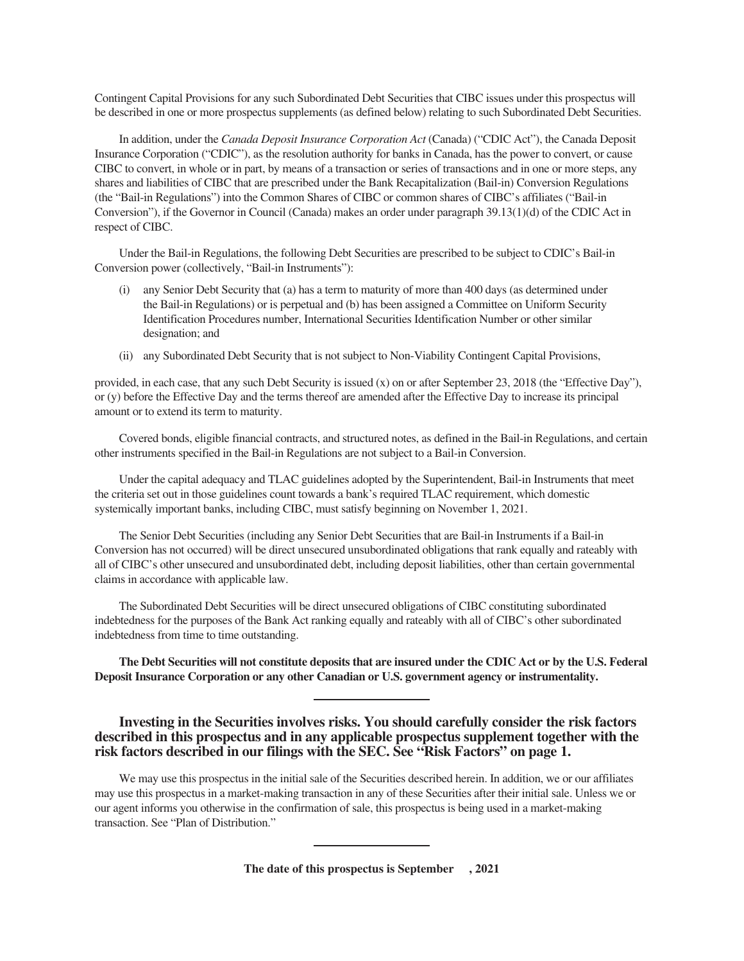Contingent Capital Provisions for any such Subordinated Debt Securities that CIBC issues under this prospectus will be described in one or more prospectus supplements (as defined below) relating to such Subordinated Debt Securities.

In addition, under the *Canada Deposit Insurance Corporation Act* (Canada) ("CDIC Act"), the Canada Deposit Insurance Corporation ("CDIC"), as the resolution authority for banks in Canada, has the power to convert, or cause CIBC to convert, in whole or in part, by means of a transaction or series of transactions and in one or more steps, any shares and liabilities of CIBC that are prescribed under the Bank Recapitalization (Bail-in) Conversion Regulations (the "Bail-in Regulations") into the Common Shares of CIBC or common shares of CIBC's affiliates ("Bail-in Conversion"), if the Governor in Council (Canada) makes an order under paragraph 39.13(1)(d) of the CDIC Act in respect of CIBC.

Under the Bail-in Regulations, the following Debt Securities are prescribed to be subject to CDIC's Bail-in Conversion power (collectively, "Bail-in Instruments"):

- (i) any Senior Debt Security that (a) has a term to maturity of more than 400 days (as determined under the Bail-in Regulations) or is perpetual and (b) has been assigned a Committee on Uniform Security Identification Procedures number, International Securities Identification Number or other similar designation; and
- (ii) any Subordinated Debt Security that is not subject to Non-Viability Contingent Capital Provisions,

provided, in each case, that any such Debt Security is issued (x) on or after September 23, 2018 (the "Effective Day"), or (y) before the Effective Day and the terms thereof are amended after the Effective Day to increase its principal amount or to extend its term to maturity.

Covered bonds, eligible financial contracts, and structured notes, as defined in the Bail-in Regulations, and certain other instruments specified in the Bail-in Regulations are not subject to a Bail-in Conversion.

Under the capital adequacy and TLAC guidelines adopted by the Superintendent, Bail-in Instruments that meet the criteria set out in those guidelines count towards a bank's required TLAC requirement, which domestic systemically important banks, including CIBC, must satisfy beginning on November 1, 2021.

The Senior Debt Securities (including any Senior Debt Securities that are Bail-in Instruments if a Bail-in Conversion has not occurred) will be direct unsecured unsubordinated obligations that rank equally and rateably with all of CIBC's other unsecured and unsubordinated debt, including deposit liabilities, other than certain governmental claims in accordance with applicable law.

The Subordinated Debt Securities will be direct unsecured obligations of CIBC constituting subordinated indebtedness for the purposes of the Bank Act ranking equally and rateably with all of CIBC's other subordinated indebtedness from time to time outstanding.

**The Debt Securities will not constitute deposits that are insured under the CDIC Act or by the U.S. Federal Deposit Insurance Corporation or any other Canadian or U.S. government agency or instrumentality.**

# **Investing in the Securities involves risks. You should carefully consider the risk factors described in this prospectus and in any applicable prospectus supplement together with the risk factors described in our filings with the SEC. See "Risk Factors" on page 1.**

We may use this prospectus in the initial sale of the Securities described herein. In addition, we or our affiliates may use this prospectus in a market-making transaction in any of these Securities after their initial sale. Unless we or our agent informs you otherwise in the confirmation of sale, this prospectus is being used in a market-making transaction. See "Plan of Distribution."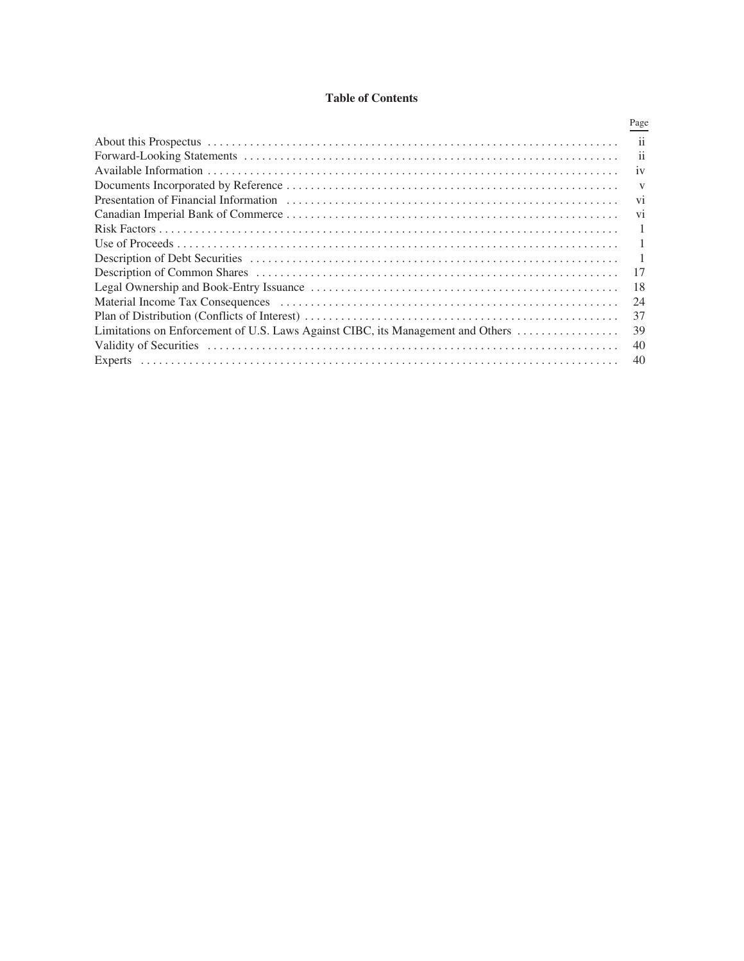# **Table of Contents**

|                                                                                 | Page                    |
|---------------------------------------------------------------------------------|-------------------------|
|                                                                                 | ii                      |
|                                                                                 | $\overline{\mathbf{u}}$ |
|                                                                                 | 1V                      |
|                                                                                 | v                       |
|                                                                                 | V <sub>1</sub>          |
|                                                                                 | V <sub>1</sub>          |
|                                                                                 |                         |
|                                                                                 |                         |
|                                                                                 |                         |
|                                                                                 | 17                      |
|                                                                                 | 18                      |
|                                                                                 | 24                      |
|                                                                                 | 37                      |
| Limitations on Enforcement of U.S. Laws Against CIBC, its Management and Others | 39                      |
|                                                                                 | 40                      |
|                                                                                 | 40                      |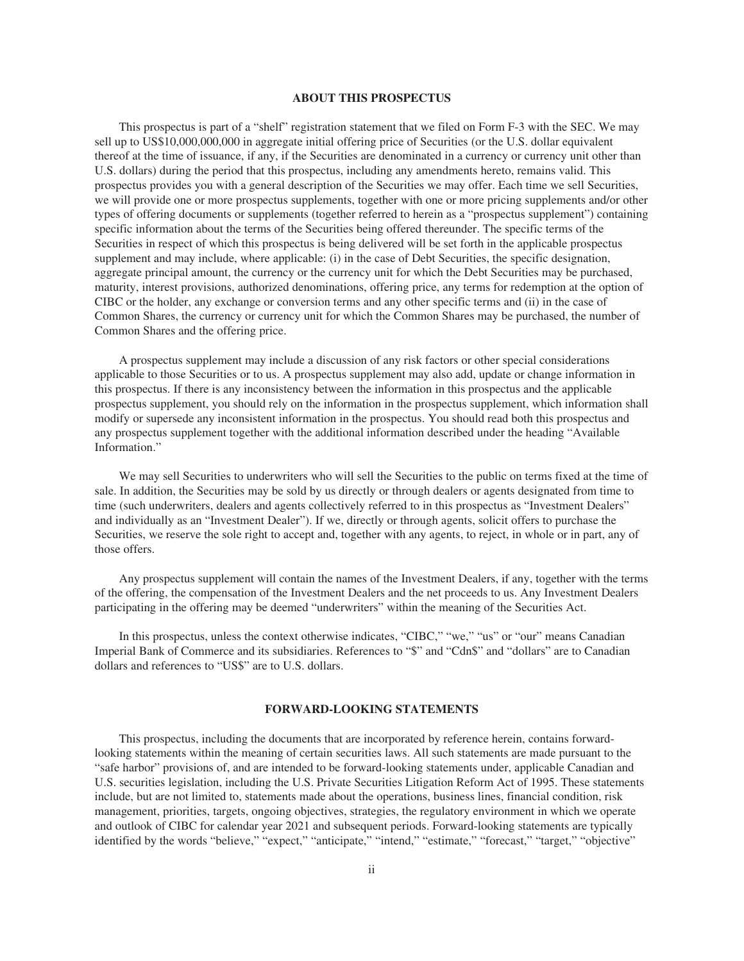#### **ABOUT THIS PROSPECTUS**

This prospectus is part of a "shelf" registration statement that we filed on Form F-3 with the SEC. We may sell up to US\$10,000,000,000 in aggregate initial offering price of Securities (or the U.S. dollar equivalent thereof at the time of issuance, if any, if the Securities are denominated in a currency or currency unit other than U.S. dollars) during the period that this prospectus, including any amendments hereto, remains valid. This prospectus provides you with a general description of the Securities we may offer. Each time we sell Securities, we will provide one or more prospectus supplements, together with one or more pricing supplements and/or other types of offering documents or supplements (together referred to herein as a "prospectus supplement") containing specific information about the terms of the Securities being offered thereunder. The specific terms of the Securities in respect of which this prospectus is being delivered will be set forth in the applicable prospectus supplement and may include, where applicable: (i) in the case of Debt Securities, the specific designation, aggregate principal amount, the currency or the currency unit for which the Debt Securities may be purchased, maturity, interest provisions, authorized denominations, offering price, any terms for redemption at the option of CIBC or the holder, any exchange or conversion terms and any other specific terms and (ii) in the case of Common Shares, the currency or currency unit for which the Common Shares may be purchased, the number of Common Shares and the offering price.

A prospectus supplement may include a discussion of any risk factors or other special considerations applicable to those Securities or to us. A prospectus supplement may also add, update or change information in this prospectus. If there is any inconsistency between the information in this prospectus and the applicable prospectus supplement, you should rely on the information in the prospectus supplement, which information shall modify or supersede any inconsistent information in the prospectus. You should read both this prospectus and any prospectus supplement together with the additional information described under the heading "Available Information."

We may sell Securities to underwriters who will sell the Securities to the public on terms fixed at the time of sale. In addition, the Securities may be sold by us directly or through dealers or agents designated from time to time (such underwriters, dealers and agents collectively referred to in this prospectus as "Investment Dealers" and individually as an "Investment Dealer"). If we, directly or through agents, solicit offers to purchase the Securities, we reserve the sole right to accept and, together with any agents, to reject, in whole or in part, any of those offers.

Any prospectus supplement will contain the names of the Investment Dealers, if any, together with the terms of the offering, the compensation of the Investment Dealers and the net proceeds to us. Any Investment Dealers participating in the offering may be deemed "underwriters" within the meaning of the Securities Act.

In this prospectus, unless the context otherwise indicates, "CIBC," "we," "us" or "our" means Canadian Imperial Bank of Commerce and its subsidiaries. References to "\$" and "Cdn\$" and "dollars" are to Canadian dollars and references to "US\$" are to U.S. dollars.

## **FORWARD-LOOKING STATEMENTS**

This prospectus, including the documents that are incorporated by reference herein, contains forwardlooking statements within the meaning of certain securities laws. All such statements are made pursuant to the "safe harbor" provisions of, and are intended to be forward-looking statements under, applicable Canadian and U.S. securities legislation, including the U.S. Private Securities Litigation Reform Act of 1995. These statements include, but are not limited to, statements made about the operations, business lines, financial condition, risk management, priorities, targets, ongoing objectives, strategies, the regulatory environment in which we operate and outlook of CIBC for calendar year 2021 and subsequent periods. Forward-looking statements are typically identified by the words "believe," "expect," "anticipate," "intend," "estimate," "forecast," "target," "objective"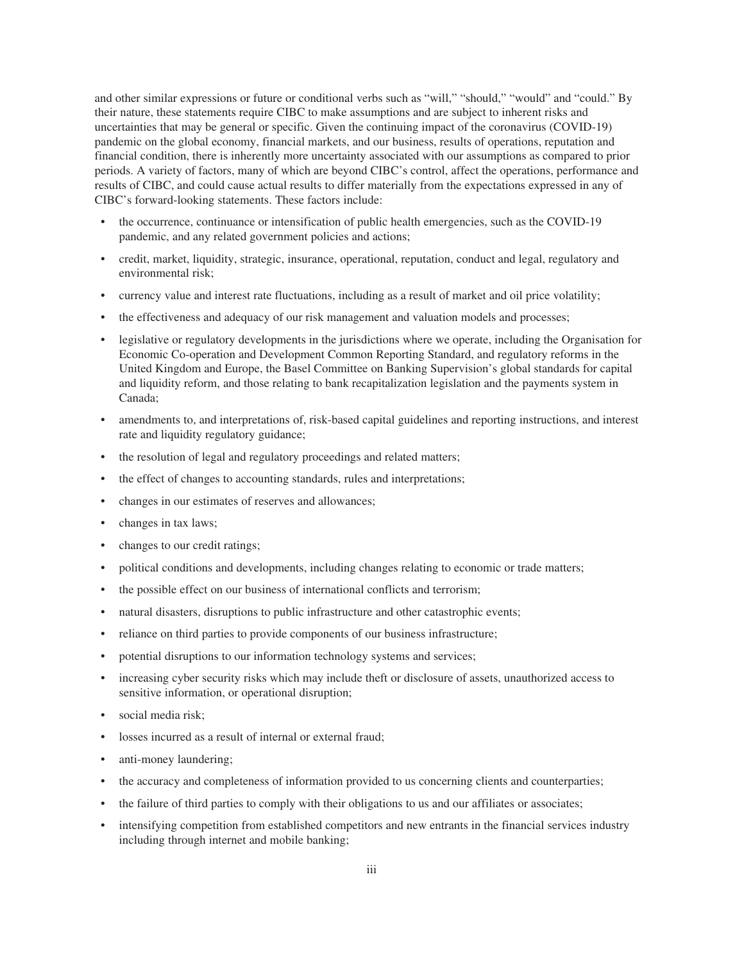and other similar expressions or future or conditional verbs such as "will," "should," "would" and "could." By their nature, these statements require CIBC to make assumptions and are subject to inherent risks and uncertainties that may be general or specific. Given the continuing impact of the coronavirus (COVID-19) pandemic on the global economy, financial markets, and our business, results of operations, reputation and financial condition, there is inherently more uncertainty associated with our assumptions as compared to prior periods. A variety of factors, many of which are beyond CIBC's control, affect the operations, performance and results of CIBC, and could cause actual results to differ materially from the expectations expressed in any of CIBC's forward-looking statements. These factors include:

- the occurrence, continuance or intensification of public health emergencies, such as the COVID-19 pandemic, and any related government policies and actions;
- credit, market, liquidity, strategic, insurance, operational, reputation, conduct and legal, regulatory and environmental risk;
- currency value and interest rate fluctuations, including as a result of market and oil price volatility;
- the effectiveness and adequacy of our risk management and valuation models and processes;
- legislative or regulatory developments in the jurisdictions where we operate, including the Organisation for Economic Co-operation and Development Common Reporting Standard, and regulatory reforms in the United Kingdom and Europe, the Basel Committee on Banking Supervision's global standards for capital and liquidity reform, and those relating to bank recapitalization legislation and the payments system in Canada;
- amendments to, and interpretations of, risk-based capital guidelines and reporting instructions, and interest rate and liquidity regulatory guidance;
- the resolution of legal and regulatory proceedings and related matters;
- the effect of changes to accounting standards, rules and interpretations;
- changes in our estimates of reserves and allowances;
- changes in tax laws;
- changes to our credit ratings;
- political conditions and developments, including changes relating to economic or trade matters;
- the possible effect on our business of international conflicts and terrorism;
- natural disasters, disruptions to public infrastructure and other catastrophic events;
- reliance on third parties to provide components of our business infrastructure;
- potential disruptions to our information technology systems and services;
- increasing cyber security risks which may include theft or disclosure of assets, unauthorized access to sensitive information, or operational disruption;
- social media risk;
- losses incurred as a result of internal or external fraud:
- anti-money laundering;
- the accuracy and completeness of information provided to us concerning clients and counterparties;
- the failure of third parties to comply with their obligations to us and our affiliates or associates;
- intensifying competition from established competitors and new entrants in the financial services industry including through internet and mobile banking;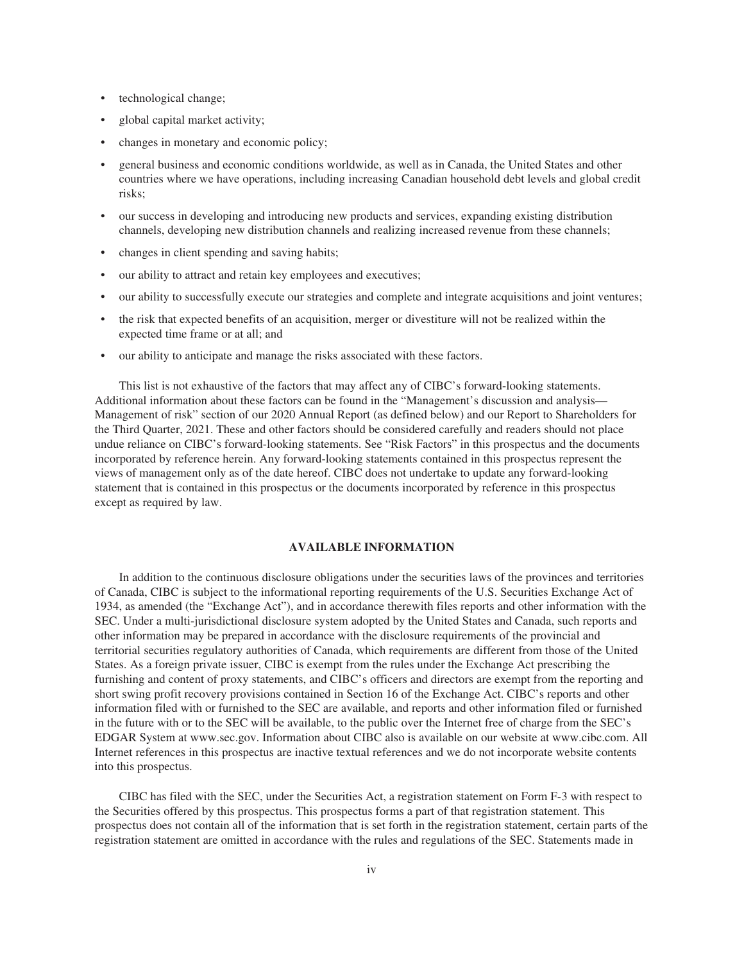- technological change;
- global capital market activity;
- changes in monetary and economic policy;
- general business and economic conditions worldwide, as well as in Canada, the United States and other countries where we have operations, including increasing Canadian household debt levels and global credit risks;
- our success in developing and introducing new products and services, expanding existing distribution channels, developing new distribution channels and realizing increased revenue from these channels;
- changes in client spending and saving habits;
- our ability to attract and retain key employees and executives;
- our ability to successfully execute our strategies and complete and integrate acquisitions and joint ventures;
- the risk that expected benefits of an acquisition, merger or divestiture will not be realized within the expected time frame or at all; and
- our ability to anticipate and manage the risks associated with these factors.

This list is not exhaustive of the factors that may affect any of CIBC's forward-looking statements. Additional information about these factors can be found in the "Management's discussion and analysis— Management of risk" section of our 2020 Annual Report (as defined below) and our Report to Shareholders for the Third Quarter, 2021. These and other factors should be considered carefully and readers should not place undue reliance on CIBC's forward-looking statements. See "Risk Factors" in this prospectus and the documents incorporated by reference herein. Any forward-looking statements contained in this prospectus represent the views of management only as of the date hereof. CIBC does not undertake to update any forward-looking statement that is contained in this prospectus or the documents incorporated by reference in this prospectus except as required by law.

#### **AVAILABLE INFORMATION**

In addition to the continuous disclosure obligations under the securities laws of the provinces and territories of Canada, CIBC is subject to the informational reporting requirements of the U.S. Securities Exchange Act of 1934, as amended (the "Exchange Act"), and in accordance therewith files reports and other information with the SEC. Under a multi-jurisdictional disclosure system adopted by the United States and Canada, such reports and other information may be prepared in accordance with the disclosure requirements of the provincial and territorial securities regulatory authorities of Canada, which requirements are different from those of the United States. As a foreign private issuer, CIBC is exempt from the rules under the Exchange Act prescribing the furnishing and content of proxy statements, and CIBC's officers and directors are exempt from the reporting and short swing profit recovery provisions contained in Section 16 of the Exchange Act. CIBC's reports and other information filed with or furnished to the SEC are available, and reports and other information filed or furnished in the future with or to the SEC will be available, to the public over the Internet free of charge from the SEC's EDGAR System at www.sec.gov. Information about CIBC also is available on our website at www.cibc.com. All Internet references in this prospectus are inactive textual references and we do not incorporate website contents into this prospectus.

CIBC has filed with the SEC, under the Securities Act, a registration statement on Form F-3 with respect to the Securities offered by this prospectus. This prospectus forms a part of that registration statement. This prospectus does not contain all of the information that is set forth in the registration statement, certain parts of the registration statement are omitted in accordance with the rules and regulations of the SEC. Statements made in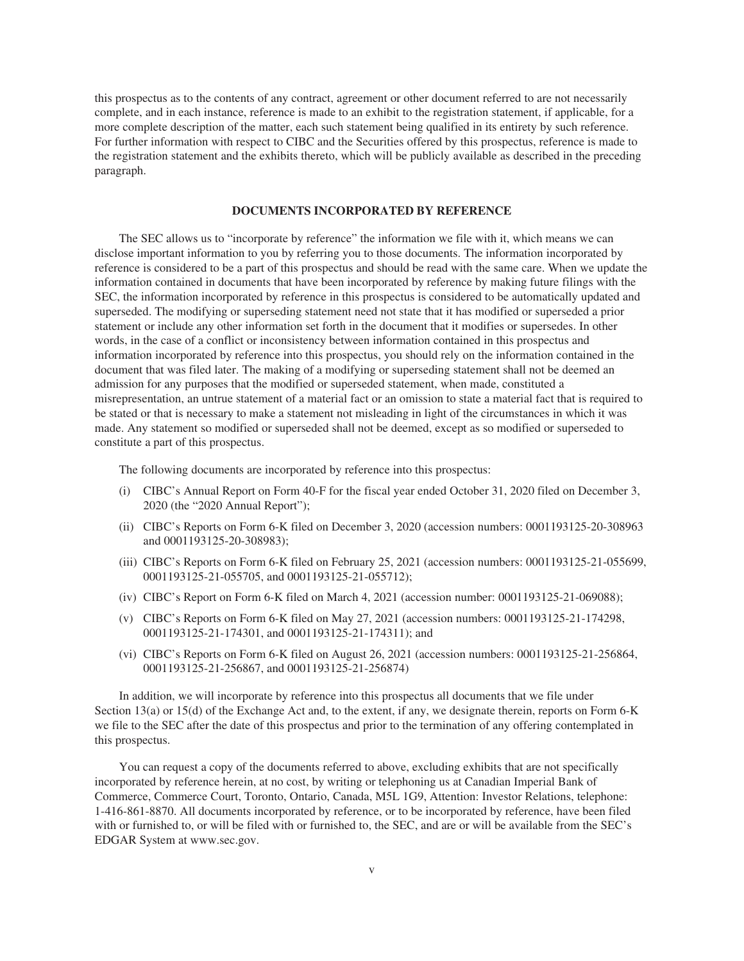this prospectus as to the contents of any contract, agreement or other document referred to are not necessarily complete, and in each instance, reference is made to an exhibit to the registration statement, if applicable, for a more complete description of the matter, each such statement being qualified in its entirety by such reference. For further information with respect to CIBC and the Securities offered by this prospectus, reference is made to the registration statement and the exhibits thereto, which will be publicly available as described in the preceding paragraph.

#### **DOCUMENTS INCORPORATED BY REFERENCE**

The SEC allows us to "incorporate by reference" the information we file with it, which means we can disclose important information to you by referring you to those documents. The information incorporated by reference is considered to be a part of this prospectus and should be read with the same care. When we update the information contained in documents that have been incorporated by reference by making future filings with the SEC, the information incorporated by reference in this prospectus is considered to be automatically updated and superseded. The modifying or superseding statement need not state that it has modified or superseded a prior statement or include any other information set forth in the document that it modifies or supersedes. In other words, in the case of a conflict or inconsistency between information contained in this prospectus and information incorporated by reference into this prospectus, you should rely on the information contained in the document that was filed later. The making of a modifying or superseding statement shall not be deemed an admission for any purposes that the modified or superseded statement, when made, constituted a misrepresentation, an untrue statement of a material fact or an omission to state a material fact that is required to be stated or that is necessary to make a statement not misleading in light of the circumstances in which it was made. Any statement so modified or superseded shall not be deemed, except as so modified or superseded to constitute a part of this prospectus.

The following documents are incorporated by reference into this prospectus:

- (i) CIBC's Annual Report on Form 40-F for the fiscal year ended October 31, 2020 filed on December 3, 2020 (the "2020 Annual Report");
- (ii) CIBC's Reports on Form 6-K filed on December 3, 2020 (accession numbers: 0001193125-20-308963 and 0001193125-20-308983);
- (iii) CIBC's Reports on Form 6-K filed on February 25, 2021 (accession numbers: 0001193125-21-055699, 0001193125-21-055705, and 0001193125-21-055712);
- (iv) CIBC's Report on Form 6-K filed on March 4, 2021 (accession number: 0001193125-21-069088);
- (v) CIBC's Reports on Form 6-K filed on May 27, 2021 (accession numbers: 0001193125-21-174298, 0001193125-21-174301, and 0001193125-21-174311); and
- (vi) CIBC's Reports on Form 6-K filed on August 26, 2021 (accession numbers: 0001193125-21-256864, 0001193125-21-256867, and 0001193125-21-256874)

In addition, we will incorporate by reference into this prospectus all documents that we file under Section 13(a) or 15(d) of the Exchange Act and, to the extent, if any, we designate therein, reports on Form 6-K we file to the SEC after the date of this prospectus and prior to the termination of any offering contemplated in this prospectus.

You can request a copy of the documents referred to above, excluding exhibits that are not specifically incorporated by reference herein, at no cost, by writing or telephoning us at Canadian Imperial Bank of Commerce, Commerce Court, Toronto, Ontario, Canada, M5L 1G9, Attention: Investor Relations, telephone: 1-416-861-8870. All documents incorporated by reference, or to be incorporated by reference, have been filed with or furnished to, or will be filed with or furnished to, the SEC, and are or will be available from the SEC's EDGAR System at www.sec.gov.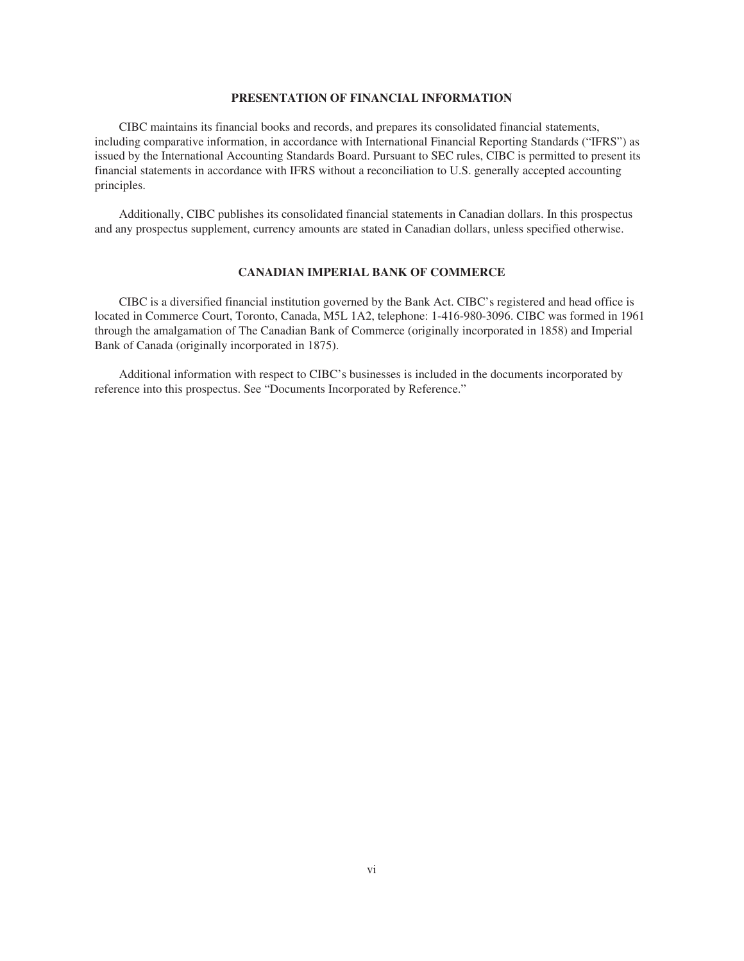#### **PRESENTATION OF FINANCIAL INFORMATION**

CIBC maintains its financial books and records, and prepares its consolidated financial statements, including comparative information, in accordance with International Financial Reporting Standards ("IFRS") as issued by the International Accounting Standards Board. Pursuant to SEC rules, CIBC is permitted to present its financial statements in accordance with IFRS without a reconciliation to U.S. generally accepted accounting principles.

Additionally, CIBC publishes its consolidated financial statements in Canadian dollars. In this prospectus and any prospectus supplement, currency amounts are stated in Canadian dollars, unless specified otherwise.

# **CANADIAN IMPERIAL BANK OF COMMERCE**

CIBC is a diversified financial institution governed by the Bank Act. CIBC's registered and head office is located in Commerce Court, Toronto, Canada, M5L 1A2, telephone: 1-416-980-3096. CIBC was formed in 1961 through the amalgamation of The Canadian Bank of Commerce (originally incorporated in 1858) and Imperial Bank of Canada (originally incorporated in 1875).

Additional information with respect to CIBC's businesses is included in the documents incorporated by reference into this prospectus. See "Documents Incorporated by Reference."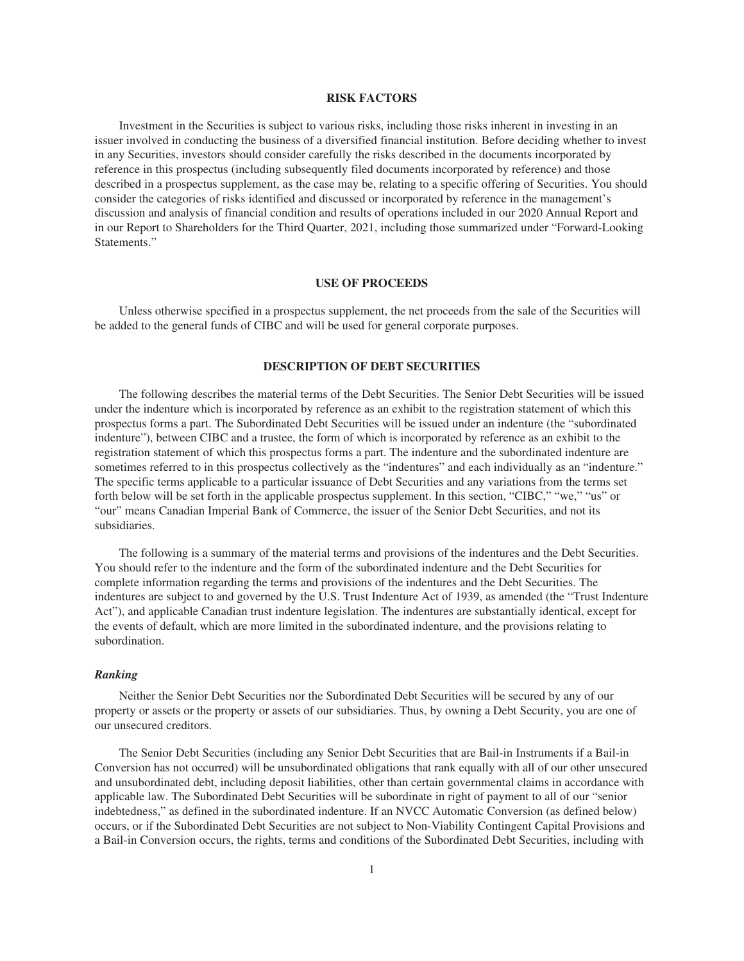#### **RISK FACTORS**

Investment in the Securities is subject to various risks, including those risks inherent in investing in an issuer involved in conducting the business of a diversified financial institution. Before deciding whether to invest in any Securities, investors should consider carefully the risks described in the documents incorporated by reference in this prospectus (including subsequently filed documents incorporated by reference) and those described in a prospectus supplement, as the case may be, relating to a specific offering of Securities. You should consider the categories of risks identified and discussed or incorporated by reference in the management's discussion and analysis of financial condition and results of operations included in our 2020 Annual Report and in our Report to Shareholders for the Third Quarter, 2021, including those summarized under "Forward-Looking Statements."

#### **USE OF PROCEEDS**

Unless otherwise specified in a prospectus supplement, the net proceeds from the sale of the Securities will be added to the general funds of CIBC and will be used for general corporate purposes.

# **DESCRIPTION OF DEBT SECURITIES**

The following describes the material terms of the Debt Securities. The Senior Debt Securities will be issued under the indenture which is incorporated by reference as an exhibit to the registration statement of which this prospectus forms a part. The Subordinated Debt Securities will be issued under an indenture (the "subordinated indenture"), between CIBC and a trustee, the form of which is incorporated by reference as an exhibit to the registration statement of which this prospectus forms a part. The indenture and the subordinated indenture are sometimes referred to in this prospectus collectively as the "indentures" and each individually as an "indenture." The specific terms applicable to a particular issuance of Debt Securities and any variations from the terms set forth below will be set forth in the applicable prospectus supplement. In this section, "CIBC," "we," "us" or "our" means Canadian Imperial Bank of Commerce, the issuer of the Senior Debt Securities, and not its subsidiaries.

The following is a summary of the material terms and provisions of the indentures and the Debt Securities. You should refer to the indenture and the form of the subordinated indenture and the Debt Securities for complete information regarding the terms and provisions of the indentures and the Debt Securities. The indentures are subject to and governed by the U.S. Trust Indenture Act of 1939, as amended (the "Trust Indenture Act"), and applicable Canadian trust indenture legislation. The indentures are substantially identical, except for the events of default, which are more limited in the subordinated indenture, and the provisions relating to subordination.

#### *Ranking*

Neither the Senior Debt Securities nor the Subordinated Debt Securities will be secured by any of our property or assets or the property or assets of our subsidiaries. Thus, by owning a Debt Security, you are one of our unsecured creditors.

The Senior Debt Securities (including any Senior Debt Securities that are Bail-in Instruments if a Bail-in Conversion has not occurred) will be unsubordinated obligations that rank equally with all of our other unsecured and unsubordinated debt, including deposit liabilities, other than certain governmental claims in accordance with applicable law. The Subordinated Debt Securities will be subordinate in right of payment to all of our "senior indebtedness," as defined in the subordinated indenture. If an NVCC Automatic Conversion (as defined below) occurs, or if the Subordinated Debt Securities are not subject to Non-Viability Contingent Capital Provisions and a Bail-in Conversion occurs, the rights, terms and conditions of the Subordinated Debt Securities, including with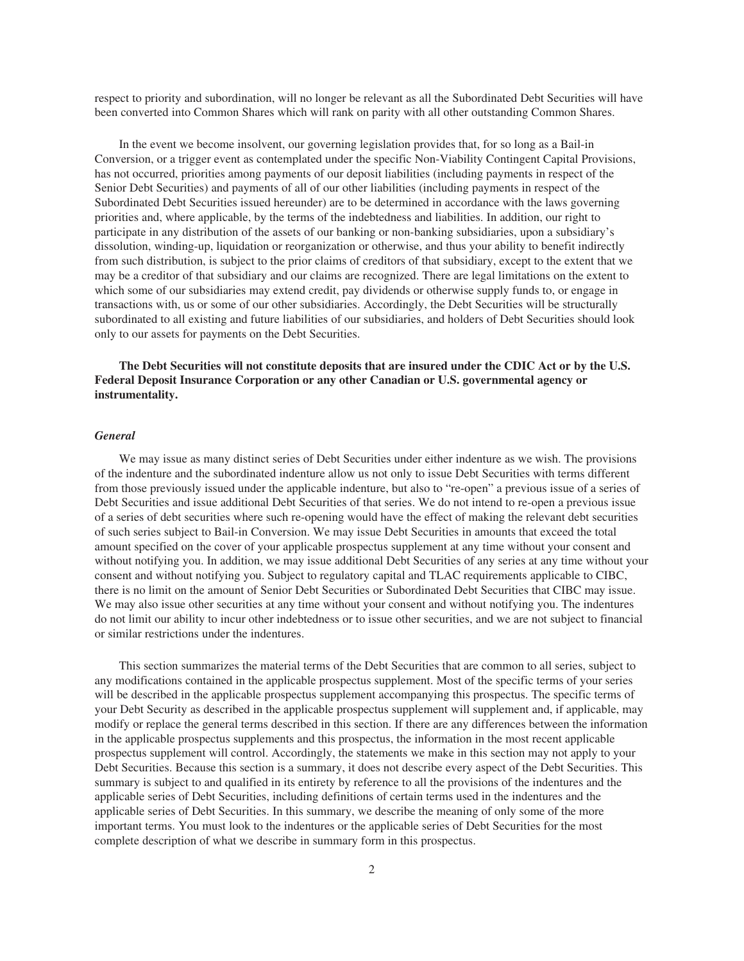respect to priority and subordination, will no longer be relevant as all the Subordinated Debt Securities will have been converted into Common Shares which will rank on parity with all other outstanding Common Shares.

In the event we become insolvent, our governing legislation provides that, for so long as a Bail-in Conversion, or a trigger event as contemplated under the specific Non-Viability Contingent Capital Provisions, has not occurred, priorities among payments of our deposit liabilities (including payments in respect of the Senior Debt Securities) and payments of all of our other liabilities (including payments in respect of the Subordinated Debt Securities issued hereunder) are to be determined in accordance with the laws governing priorities and, where applicable, by the terms of the indebtedness and liabilities. In addition, our right to participate in any distribution of the assets of our banking or non-banking subsidiaries, upon a subsidiary's dissolution, winding-up, liquidation or reorganization or otherwise, and thus your ability to benefit indirectly from such distribution, is subject to the prior claims of creditors of that subsidiary, except to the extent that we may be a creditor of that subsidiary and our claims are recognized. There are legal limitations on the extent to which some of our subsidiaries may extend credit, pay dividends or otherwise supply funds to, or engage in transactions with, us or some of our other subsidiaries. Accordingly, the Debt Securities will be structurally subordinated to all existing and future liabilities of our subsidiaries, and holders of Debt Securities should look only to our assets for payments on the Debt Securities.

# **The Debt Securities will not constitute deposits that are insured under the CDIC Act or by the U.S. Federal Deposit Insurance Corporation or any other Canadian or U.S. governmental agency or instrumentality.**

#### *General*

We may issue as many distinct series of Debt Securities under either indenture as we wish. The provisions of the indenture and the subordinated indenture allow us not only to issue Debt Securities with terms different from those previously issued under the applicable indenture, but also to "re-open" a previous issue of a series of Debt Securities and issue additional Debt Securities of that series. We do not intend to re-open a previous issue of a series of debt securities where such re-opening would have the effect of making the relevant debt securities of such series subject to Bail-in Conversion. We may issue Debt Securities in amounts that exceed the total amount specified on the cover of your applicable prospectus supplement at any time without your consent and without notifying you. In addition, we may issue additional Debt Securities of any series at any time without your consent and without notifying you. Subject to regulatory capital and TLAC requirements applicable to CIBC, there is no limit on the amount of Senior Debt Securities or Subordinated Debt Securities that CIBC may issue. We may also issue other securities at any time without your consent and without notifying you. The indentures do not limit our ability to incur other indebtedness or to issue other securities, and we are not subject to financial or similar restrictions under the indentures.

This section summarizes the material terms of the Debt Securities that are common to all series, subject to any modifications contained in the applicable prospectus supplement. Most of the specific terms of your series will be described in the applicable prospectus supplement accompanying this prospectus. The specific terms of your Debt Security as described in the applicable prospectus supplement will supplement and, if applicable, may modify or replace the general terms described in this section. If there are any differences between the information in the applicable prospectus supplements and this prospectus, the information in the most recent applicable prospectus supplement will control. Accordingly, the statements we make in this section may not apply to your Debt Securities. Because this section is a summary, it does not describe every aspect of the Debt Securities. This summary is subject to and qualified in its entirety by reference to all the provisions of the indentures and the applicable series of Debt Securities, including definitions of certain terms used in the indentures and the applicable series of Debt Securities. In this summary, we describe the meaning of only some of the more important terms. You must look to the indentures or the applicable series of Debt Securities for the most complete description of what we describe in summary form in this prospectus.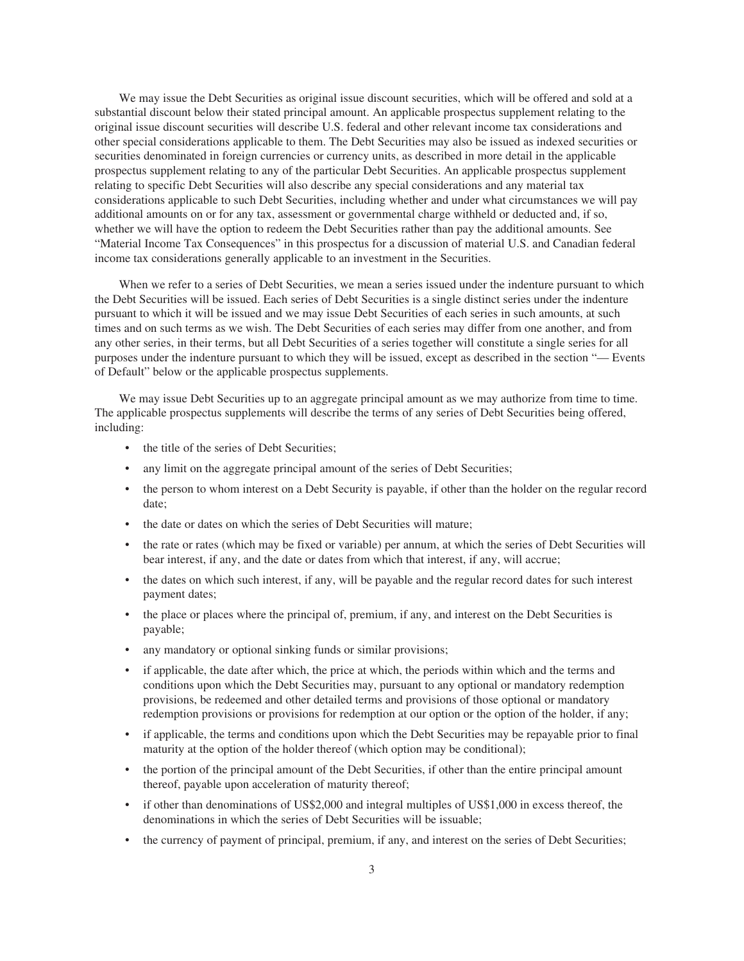We may issue the Debt Securities as original issue discount securities, which will be offered and sold at a substantial discount below their stated principal amount. An applicable prospectus supplement relating to the original issue discount securities will describe U.S. federal and other relevant income tax considerations and other special considerations applicable to them. The Debt Securities may also be issued as indexed securities or securities denominated in foreign currencies or currency units, as described in more detail in the applicable prospectus supplement relating to any of the particular Debt Securities. An applicable prospectus supplement relating to specific Debt Securities will also describe any special considerations and any material tax considerations applicable to such Debt Securities, including whether and under what circumstances we will pay additional amounts on or for any tax, assessment or governmental charge withheld or deducted and, if so, whether we will have the option to redeem the Debt Securities rather than pay the additional amounts. See "Material Income Tax Consequences" in this prospectus for a discussion of material U.S. and Canadian federal income tax considerations generally applicable to an investment in the Securities.

When we refer to a series of Debt Securities, we mean a series issued under the indenture pursuant to which the Debt Securities will be issued. Each series of Debt Securities is a single distinct series under the indenture pursuant to which it will be issued and we may issue Debt Securities of each series in such amounts, at such times and on such terms as we wish. The Debt Securities of each series may differ from one another, and from any other series, in their terms, but all Debt Securities of a series together will constitute a single series for all purposes under the indenture pursuant to which they will be issued, except as described in the section "— Events of Default" below or the applicable prospectus supplements.

We may issue Debt Securities up to an aggregate principal amount as we may authorize from time to time. The applicable prospectus supplements will describe the terms of any series of Debt Securities being offered, including:

- the title of the series of Debt Securities;
- any limit on the aggregate principal amount of the series of Debt Securities;
- the person to whom interest on a Debt Security is payable, if other than the holder on the regular record date;
- the date or dates on which the series of Debt Securities will mature;
- the rate or rates (which may be fixed or variable) per annum, at which the series of Debt Securities will bear interest, if any, and the date or dates from which that interest, if any, will accrue;
- the dates on which such interest, if any, will be payable and the regular record dates for such interest payment dates;
- the place or places where the principal of, premium, if any, and interest on the Debt Securities is payable;
- any mandatory or optional sinking funds or similar provisions;
- if applicable, the date after which, the price at which, the periods within which and the terms and conditions upon which the Debt Securities may, pursuant to any optional or mandatory redemption provisions, be redeemed and other detailed terms and provisions of those optional or mandatory redemption provisions or provisions for redemption at our option or the option of the holder, if any;
- if applicable, the terms and conditions upon which the Debt Securities may be repayable prior to final maturity at the option of the holder thereof (which option may be conditional);
- the portion of the principal amount of the Debt Securities, if other than the entire principal amount thereof, payable upon acceleration of maturity thereof;
- if other than denominations of US\$2,000 and integral multiples of US\$1,000 in excess thereof, the denominations in which the series of Debt Securities will be issuable;
- the currency of payment of principal, premium, if any, and interest on the series of Debt Securities;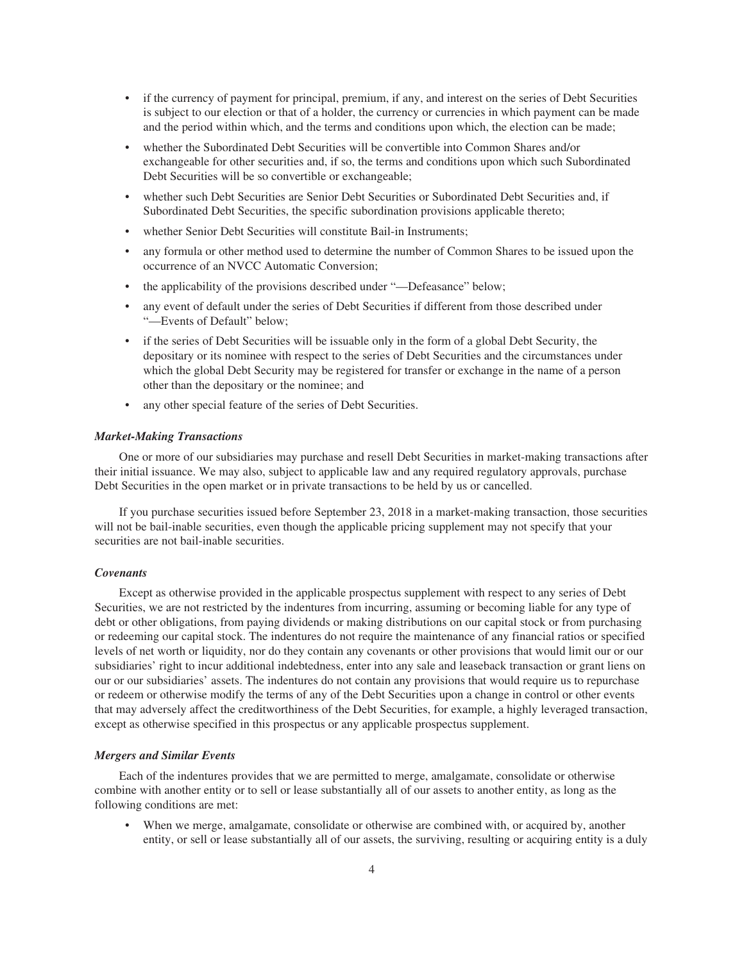- if the currency of payment for principal, premium, if any, and interest on the series of Debt Securities is subject to our election or that of a holder, the currency or currencies in which payment can be made and the period within which, and the terms and conditions upon which, the election can be made;
- whether the Subordinated Debt Securities will be convertible into Common Shares and/or exchangeable for other securities and, if so, the terms and conditions upon which such Subordinated Debt Securities will be so convertible or exchangeable;
- whether such Debt Securities are Senior Debt Securities or Subordinated Debt Securities and, if Subordinated Debt Securities, the specific subordination provisions applicable thereto;
- whether Senior Debt Securities will constitute Bail-in Instruments;
- any formula or other method used to determine the number of Common Shares to be issued upon the occurrence of an NVCC Automatic Conversion;
- the applicability of the provisions described under "—Defeasance" below;
- any event of default under the series of Debt Securities if different from those described under "—Events of Default" below;
- if the series of Debt Securities will be issuable only in the form of a global Debt Security, the depositary or its nominee with respect to the series of Debt Securities and the circumstances under which the global Debt Security may be registered for transfer or exchange in the name of a person other than the depositary or the nominee; and
- any other special feature of the series of Debt Securities.

#### *Market-Making Transactions*

One or more of our subsidiaries may purchase and resell Debt Securities in market-making transactions after their initial issuance. We may also, subject to applicable law and any required regulatory approvals, purchase Debt Securities in the open market or in private transactions to be held by us or cancelled.

If you purchase securities issued before September 23, 2018 in a market-making transaction, those securities will not be bail-inable securities, even though the applicable pricing supplement may not specify that your securities are not bail-inable securities.

#### *Covenants*

Except as otherwise provided in the applicable prospectus supplement with respect to any series of Debt Securities, we are not restricted by the indentures from incurring, assuming or becoming liable for any type of debt or other obligations, from paying dividends or making distributions on our capital stock or from purchasing or redeeming our capital stock. The indentures do not require the maintenance of any financial ratios or specified levels of net worth or liquidity, nor do they contain any covenants or other provisions that would limit our or our subsidiaries' right to incur additional indebtedness, enter into any sale and leaseback transaction or grant liens on our or our subsidiaries' assets. The indentures do not contain any provisions that would require us to repurchase or redeem or otherwise modify the terms of any of the Debt Securities upon a change in control or other events that may adversely affect the creditworthiness of the Debt Securities, for example, a highly leveraged transaction, except as otherwise specified in this prospectus or any applicable prospectus supplement.

#### *Mergers and Similar Events*

Each of the indentures provides that we are permitted to merge, amalgamate, consolidate or otherwise combine with another entity or to sell or lease substantially all of our assets to another entity, as long as the following conditions are met:

• When we merge, amalgamate, consolidate or otherwise are combined with, or acquired by, another entity, or sell or lease substantially all of our assets, the surviving, resulting or acquiring entity is a duly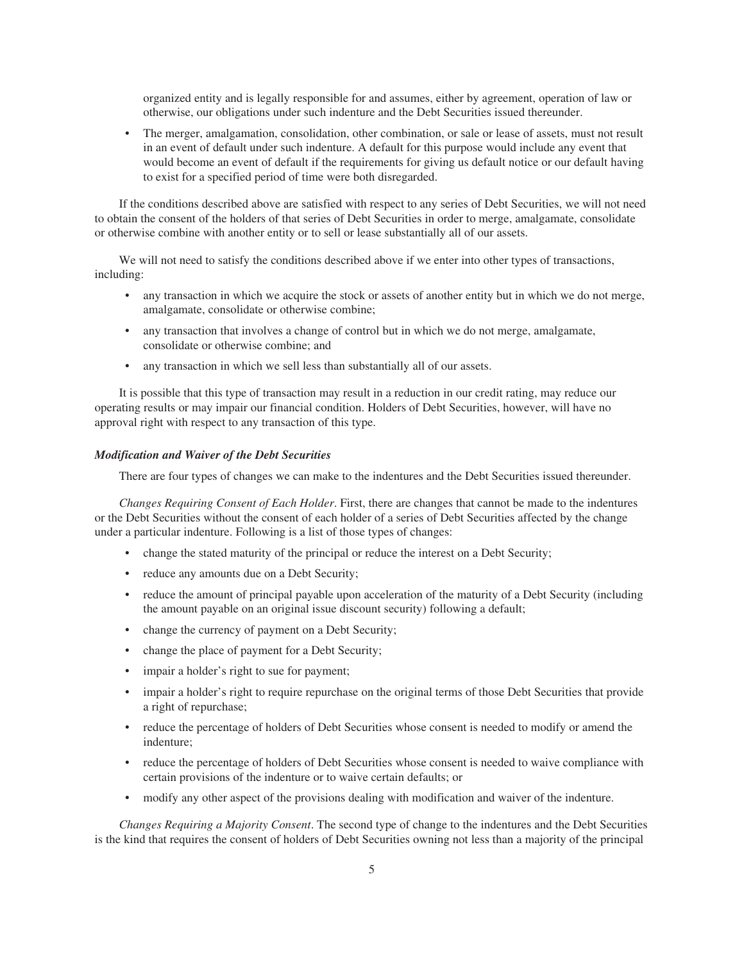organized entity and is legally responsible for and assumes, either by agreement, operation of law or otherwise, our obligations under such indenture and the Debt Securities issued thereunder.

The merger, amalgamation, consolidation, other combination, or sale or lease of assets, must not result in an event of default under such indenture. A default for this purpose would include any event that would become an event of default if the requirements for giving us default notice or our default having to exist for a specified period of time were both disregarded.

If the conditions described above are satisfied with respect to any series of Debt Securities, we will not need to obtain the consent of the holders of that series of Debt Securities in order to merge, amalgamate, consolidate or otherwise combine with another entity or to sell or lease substantially all of our assets.

We will not need to satisfy the conditions described above if we enter into other types of transactions, including:

- any transaction in which we acquire the stock or assets of another entity but in which we do not merge, amalgamate, consolidate or otherwise combine;
- any transaction that involves a change of control but in which we do not merge, amalgamate, consolidate or otherwise combine; and
- any transaction in which we sell less than substantially all of our assets.

It is possible that this type of transaction may result in a reduction in our credit rating, may reduce our operating results or may impair our financial condition. Holders of Debt Securities, however, will have no approval right with respect to any transaction of this type.

## *Modification and Waiver of the Debt Securities*

There are four types of changes we can make to the indentures and the Debt Securities issued thereunder.

*Changes Requiring Consent of Each Holder*. First, there are changes that cannot be made to the indentures or the Debt Securities without the consent of each holder of a series of Debt Securities affected by the change under a particular indenture. Following is a list of those types of changes:

- change the stated maturity of the principal or reduce the interest on a Debt Security;
- reduce any amounts due on a Debt Security;
- reduce the amount of principal payable upon acceleration of the maturity of a Debt Security (including the amount payable on an original issue discount security) following a default;
- change the currency of payment on a Debt Security;
- change the place of payment for a Debt Security;
- impair a holder's right to sue for payment;
- impair a holder's right to require repurchase on the original terms of those Debt Securities that provide a right of repurchase;
- reduce the percentage of holders of Debt Securities whose consent is needed to modify or amend the indenture;
- reduce the percentage of holders of Debt Securities whose consent is needed to waive compliance with certain provisions of the indenture or to waive certain defaults; or
- modify any other aspect of the provisions dealing with modification and waiver of the indenture.

*Changes Requiring a Majority Consent*. The second type of change to the indentures and the Debt Securities is the kind that requires the consent of holders of Debt Securities owning not less than a majority of the principal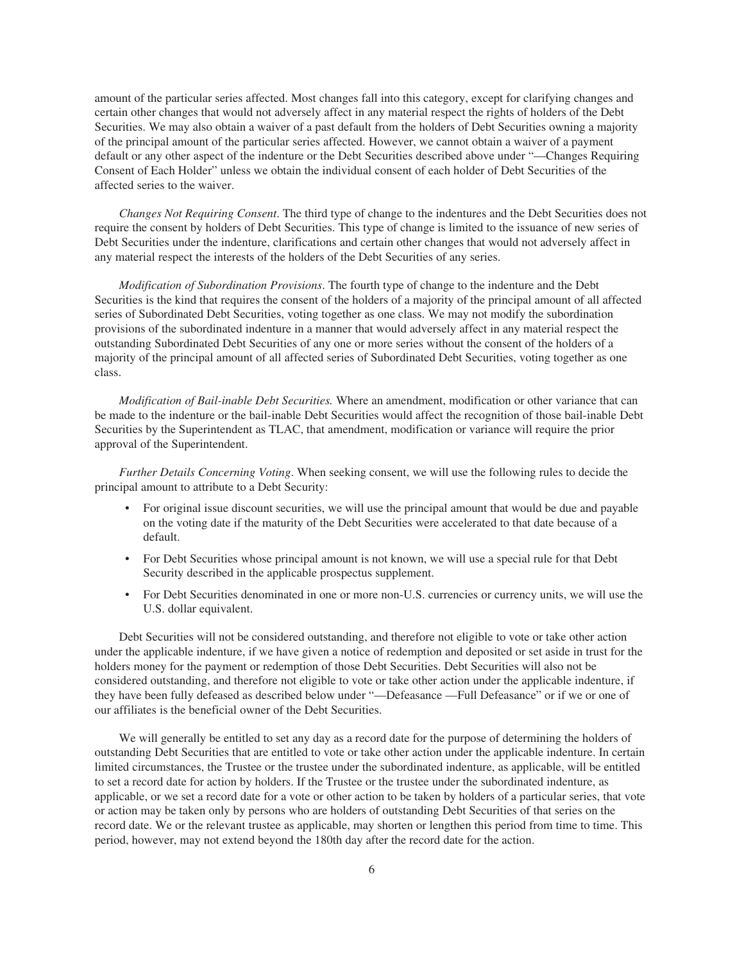amount of the particular series affected. Most changes fall into this category, except for clarifying changes and certain other changes that would not adversely affect in any material respect the rights of holders of the Debt Securities. We may also obtain a waiver of a past default from the holders of Debt Securities owning a majority of the principal amount of the particular series affected. However, we cannot obtain a waiver of a payment default or any other aspect of the indenture or the Debt Securities described above under "—Changes Requiring Consent of Each Holder" unless we obtain the individual consent of each holder of Debt Securities of the affected series to the waiver.

*Changes Not Requiring Consent*. The third type of change to the indentures and the Debt Securities does not require the consent by holders of Debt Securities. This type of change is limited to the issuance of new series of Debt Securities under the indenture, clarifications and certain other changes that would not adversely affect in any material respect the interests of the holders of the Debt Securities of any series.

*Modification of Subordination Provisions*. The fourth type of change to the indenture and the Debt Securities is the kind that requires the consent of the holders of a majority of the principal amount of all affected series of Subordinated Debt Securities, voting together as one class. We may not modify the subordination provisions of the subordinated indenture in a manner that would adversely affect in any material respect the outstanding Subordinated Debt Securities of any one or more series without the consent of the holders of a majority of the principal amount of all affected series of Subordinated Debt Securities, voting together as one class.

*Modification of Bail-inable Debt Securities.* Where an amendment, modification or other variance that can be made to the indenture or the bail-inable Debt Securities would affect the recognition of those bail-inable Debt Securities by the Superintendent as TLAC, that amendment, modification or variance will require the prior approval of the Superintendent.

*Further Details Concerning Voting*. When seeking consent, we will use the following rules to decide the principal amount to attribute to a Debt Security:

- For original issue discount securities, we will use the principal amount that would be due and payable on the voting date if the maturity of the Debt Securities were accelerated to that date because of a default.
- For Debt Securities whose principal amount is not known, we will use a special rule for that Debt Security described in the applicable prospectus supplement.
- For Debt Securities denominated in one or more non-U.S. currencies or currency units, we will use the U.S. dollar equivalent.

Debt Securities will not be considered outstanding, and therefore not eligible to vote or take other action under the applicable indenture, if we have given a notice of redemption and deposited or set aside in trust for the holders money for the payment or redemption of those Debt Securities. Debt Securities will also not be considered outstanding, and therefore not eligible to vote or take other action under the applicable indenture, if they have been fully defeased as described below under "—Defeasance —Full Defeasance" or if we or one of our affiliates is the beneficial owner of the Debt Securities.

We will generally be entitled to set any day as a record date for the purpose of determining the holders of outstanding Debt Securities that are entitled to vote or take other action under the applicable indenture. In certain limited circumstances, the Trustee or the trustee under the subordinated indenture, as applicable, will be entitled to set a record date for action by holders. If the Trustee or the trustee under the subordinated indenture, as applicable, or we set a record date for a vote or other action to be taken by holders of a particular series, that vote or action may be taken only by persons who are holders of outstanding Debt Securities of that series on the record date. We or the relevant trustee as applicable, may shorten or lengthen this period from time to time. This period, however, may not extend beyond the 180th day after the record date for the action.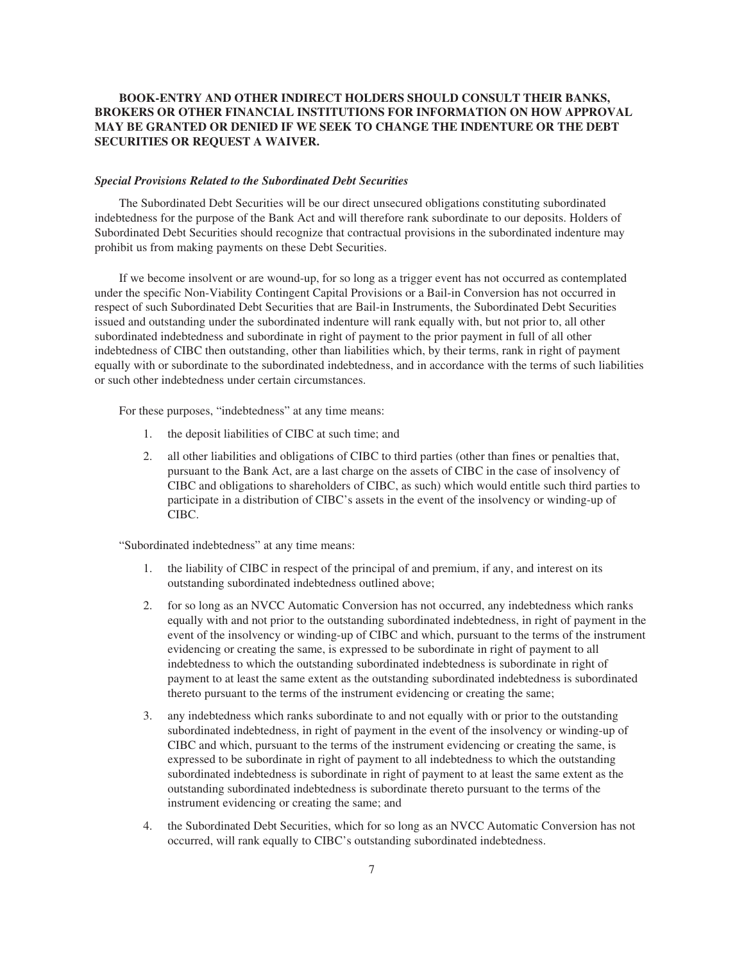# **BOOK-ENTRY AND OTHER INDIRECT HOLDERS SHOULD CONSULT THEIR BANKS, BROKERS OR OTHER FINANCIAL INSTITUTIONS FOR INFORMATION ON HOW APPROVAL MAY BE GRANTED OR DENIED IF WE SEEK TO CHANGE THE INDENTURE OR THE DEBT SECURITIES OR REQUEST A WAIVER.**

#### *Special Provisions Related to the Subordinated Debt Securities*

The Subordinated Debt Securities will be our direct unsecured obligations constituting subordinated indebtedness for the purpose of the Bank Act and will therefore rank subordinate to our deposits. Holders of Subordinated Debt Securities should recognize that contractual provisions in the subordinated indenture may prohibit us from making payments on these Debt Securities.

If we become insolvent or are wound-up, for so long as a trigger event has not occurred as contemplated under the specific Non-Viability Contingent Capital Provisions or a Bail-in Conversion has not occurred in respect of such Subordinated Debt Securities that are Bail-in Instruments, the Subordinated Debt Securities issued and outstanding under the subordinated indenture will rank equally with, but not prior to, all other subordinated indebtedness and subordinate in right of payment to the prior payment in full of all other indebtedness of CIBC then outstanding, other than liabilities which, by their terms, rank in right of payment equally with or subordinate to the subordinated indebtedness, and in accordance with the terms of such liabilities or such other indebtedness under certain circumstances.

For these purposes, "indebtedness" at any time means:

- 1. the deposit liabilities of CIBC at such time; and
- 2. all other liabilities and obligations of CIBC to third parties (other than fines or penalties that, pursuant to the Bank Act, are a last charge on the assets of CIBC in the case of insolvency of CIBC and obligations to shareholders of CIBC, as such) which would entitle such third parties to participate in a distribution of CIBC's assets in the event of the insolvency or winding-up of CIBC.

"Subordinated indebtedness" at any time means:

- 1. the liability of CIBC in respect of the principal of and premium, if any, and interest on its outstanding subordinated indebtedness outlined above;
- 2. for so long as an NVCC Automatic Conversion has not occurred, any indebtedness which ranks equally with and not prior to the outstanding subordinated indebtedness, in right of payment in the event of the insolvency or winding-up of CIBC and which, pursuant to the terms of the instrument evidencing or creating the same, is expressed to be subordinate in right of payment to all indebtedness to which the outstanding subordinated indebtedness is subordinate in right of payment to at least the same extent as the outstanding subordinated indebtedness is subordinated thereto pursuant to the terms of the instrument evidencing or creating the same;
- 3. any indebtedness which ranks subordinate to and not equally with or prior to the outstanding subordinated indebtedness, in right of payment in the event of the insolvency or winding-up of CIBC and which, pursuant to the terms of the instrument evidencing or creating the same, is expressed to be subordinate in right of payment to all indebtedness to which the outstanding subordinated indebtedness is subordinate in right of payment to at least the same extent as the outstanding subordinated indebtedness is subordinate thereto pursuant to the terms of the instrument evidencing or creating the same; and
- 4. the Subordinated Debt Securities, which for so long as an NVCC Automatic Conversion has not occurred, will rank equally to CIBC's outstanding subordinated indebtedness.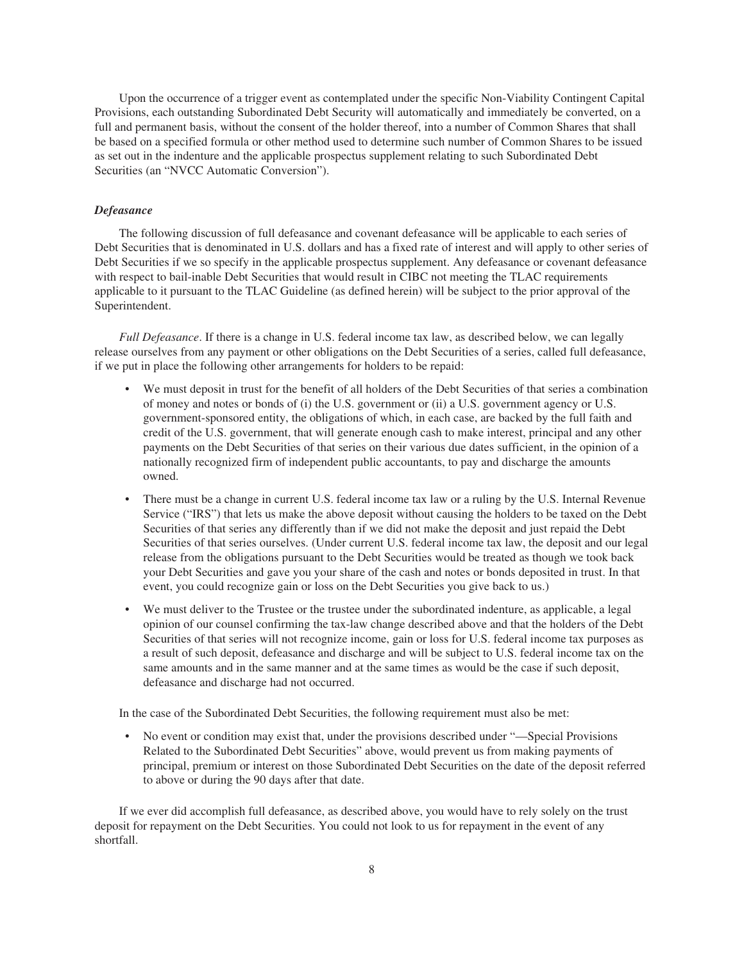Upon the occurrence of a trigger event as contemplated under the specific Non-Viability Contingent Capital Provisions, each outstanding Subordinated Debt Security will automatically and immediately be converted, on a full and permanent basis, without the consent of the holder thereof, into a number of Common Shares that shall be based on a specified formula or other method used to determine such number of Common Shares to be issued as set out in the indenture and the applicable prospectus supplement relating to such Subordinated Debt Securities (an "NVCC Automatic Conversion").

#### *Defeasance*

The following discussion of full defeasance and covenant defeasance will be applicable to each series of Debt Securities that is denominated in U.S. dollars and has a fixed rate of interest and will apply to other series of Debt Securities if we so specify in the applicable prospectus supplement. Any defeasance or covenant defeasance with respect to bail-inable Debt Securities that would result in CIBC not meeting the TLAC requirements applicable to it pursuant to the TLAC Guideline (as defined herein) will be subject to the prior approval of the Superintendent.

*Full Defeasance*. If there is a change in U.S. federal income tax law, as described below, we can legally release ourselves from any payment or other obligations on the Debt Securities of a series, called full defeasance, if we put in place the following other arrangements for holders to be repaid:

- We must deposit in trust for the benefit of all holders of the Debt Securities of that series a combination of money and notes or bonds of (i) the U.S. government or (ii) a U.S. government agency or U.S. government-sponsored entity, the obligations of which, in each case, are backed by the full faith and credit of the U.S. government, that will generate enough cash to make interest, principal and any other payments on the Debt Securities of that series on their various due dates sufficient, in the opinion of a nationally recognized firm of independent public accountants, to pay and discharge the amounts owned.
- There must be a change in current U.S. federal income tax law or a ruling by the U.S. Internal Revenue Service ("IRS") that lets us make the above deposit without causing the holders to be taxed on the Debt Securities of that series any differently than if we did not make the deposit and just repaid the Debt Securities of that series ourselves. (Under current U.S. federal income tax law, the deposit and our legal release from the obligations pursuant to the Debt Securities would be treated as though we took back your Debt Securities and gave you your share of the cash and notes or bonds deposited in trust. In that event, you could recognize gain or loss on the Debt Securities you give back to us.)
- We must deliver to the Trustee or the trustee under the subordinated indenture, as applicable, a legal opinion of our counsel confirming the tax-law change described above and that the holders of the Debt Securities of that series will not recognize income, gain or loss for U.S. federal income tax purposes as a result of such deposit, defeasance and discharge and will be subject to U.S. federal income tax on the same amounts and in the same manner and at the same times as would be the case if such deposit, defeasance and discharge had not occurred.

In the case of the Subordinated Debt Securities, the following requirement must also be met:

• No event or condition may exist that, under the provisions described under "—Special Provisions Related to the Subordinated Debt Securities" above, would prevent us from making payments of principal, premium or interest on those Subordinated Debt Securities on the date of the deposit referred to above or during the 90 days after that date.

If we ever did accomplish full defeasance, as described above, you would have to rely solely on the trust deposit for repayment on the Debt Securities. You could not look to us for repayment in the event of any shortfall.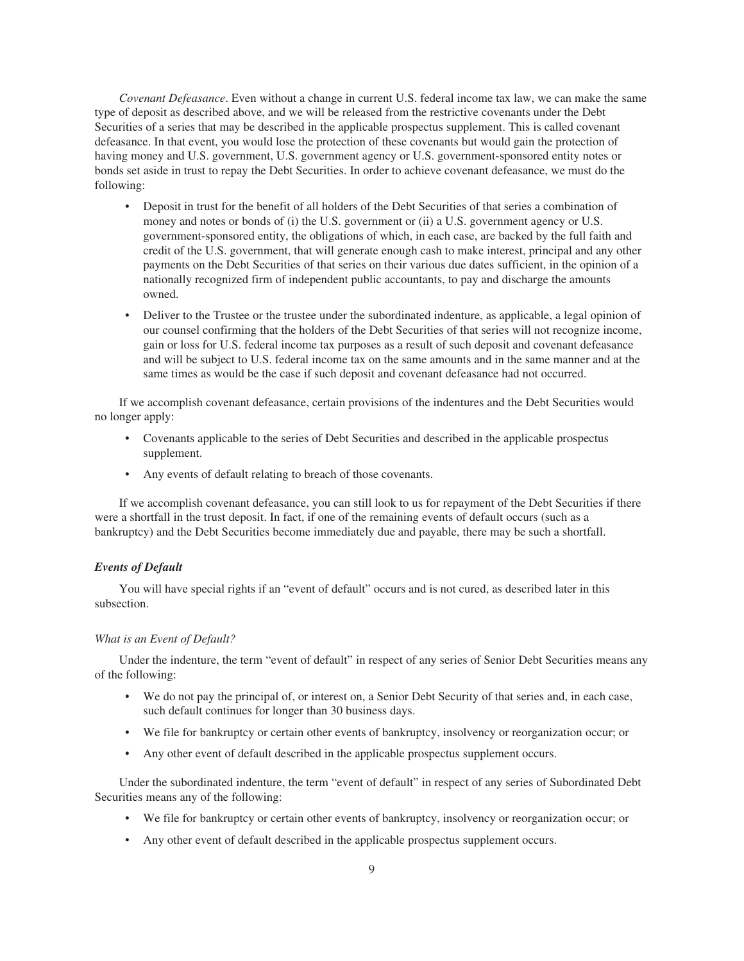*Covenant Defeasance*. Even without a change in current U.S. federal income tax law, we can make the same type of deposit as described above, and we will be released from the restrictive covenants under the Debt Securities of a series that may be described in the applicable prospectus supplement. This is called covenant defeasance. In that event, you would lose the protection of these covenants but would gain the protection of having money and U.S. government, U.S. government agency or U.S. government-sponsored entity notes or bonds set aside in trust to repay the Debt Securities. In order to achieve covenant defeasance, we must do the following:

- Deposit in trust for the benefit of all holders of the Debt Securities of that series a combination of money and notes or bonds of (i) the U.S. government or (ii) a U.S. government agency or U.S. government-sponsored entity, the obligations of which, in each case, are backed by the full faith and credit of the U.S. government, that will generate enough cash to make interest, principal and any other payments on the Debt Securities of that series on their various due dates sufficient, in the opinion of a nationally recognized firm of independent public accountants, to pay and discharge the amounts owned.
- Deliver to the Trustee or the trustee under the subordinated indenture, as applicable, a legal opinion of our counsel confirming that the holders of the Debt Securities of that series will not recognize income, gain or loss for U.S. federal income tax purposes as a result of such deposit and covenant defeasance and will be subject to U.S. federal income tax on the same amounts and in the same manner and at the same times as would be the case if such deposit and covenant defeasance had not occurred.

If we accomplish covenant defeasance, certain provisions of the indentures and the Debt Securities would no longer apply:

- Covenants applicable to the series of Debt Securities and described in the applicable prospectus supplement.
- Any events of default relating to breach of those covenants.

If we accomplish covenant defeasance, you can still look to us for repayment of the Debt Securities if there were a shortfall in the trust deposit. In fact, if one of the remaining events of default occurs (such as a bankruptcy) and the Debt Securities become immediately due and payable, there may be such a shortfall.

#### *Events of Default*

You will have special rights if an "event of default" occurs and is not cured, as described later in this subsection.

#### *What is an Event of Default?*

Under the indenture, the term "event of default" in respect of any series of Senior Debt Securities means any of the following:

- We do not pay the principal of, or interest on, a Senior Debt Security of that series and, in each case, such default continues for longer than 30 business days.
- We file for bankruptcy or certain other events of bankruptcy, insolvency or reorganization occur; or
- Any other event of default described in the applicable prospectus supplement occurs.

Under the subordinated indenture, the term "event of default" in respect of any series of Subordinated Debt Securities means any of the following:

- We file for bankruptcy or certain other events of bankruptcy, insolvency or reorganization occur; or
- Any other event of default described in the applicable prospectus supplement occurs.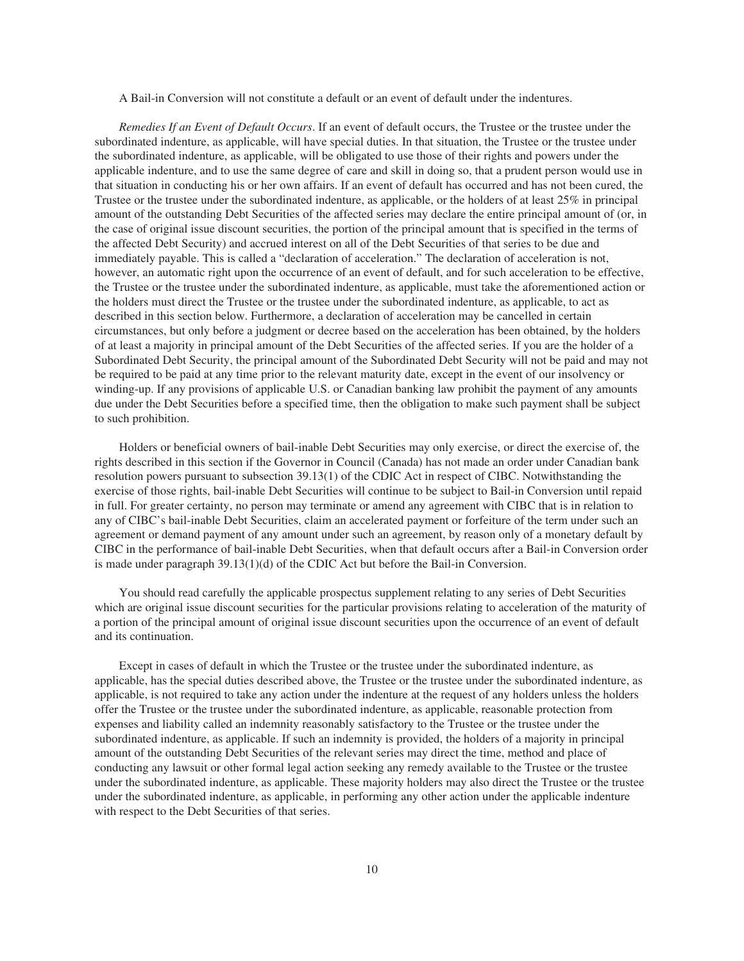A Bail-in Conversion will not constitute a default or an event of default under the indentures.

*Remedies If an Event of Default Occurs*. If an event of default occurs, the Trustee or the trustee under the subordinated indenture, as applicable, will have special duties. In that situation, the Trustee or the trustee under the subordinated indenture, as applicable, will be obligated to use those of their rights and powers under the applicable indenture, and to use the same degree of care and skill in doing so, that a prudent person would use in that situation in conducting his or her own affairs. If an event of default has occurred and has not been cured, the Trustee or the trustee under the subordinated indenture, as applicable, or the holders of at least 25% in principal amount of the outstanding Debt Securities of the affected series may declare the entire principal amount of (or, in the case of original issue discount securities, the portion of the principal amount that is specified in the terms of the affected Debt Security) and accrued interest on all of the Debt Securities of that series to be due and immediately payable. This is called a "declaration of acceleration." The declaration of acceleration is not, however, an automatic right upon the occurrence of an event of default, and for such acceleration to be effective, the Trustee or the trustee under the subordinated indenture, as applicable, must take the aforementioned action or the holders must direct the Trustee or the trustee under the subordinated indenture, as applicable, to act as described in this section below. Furthermore, a declaration of acceleration may be cancelled in certain circumstances, but only before a judgment or decree based on the acceleration has been obtained, by the holders of at least a majority in principal amount of the Debt Securities of the affected series. If you are the holder of a Subordinated Debt Security, the principal amount of the Subordinated Debt Security will not be paid and may not be required to be paid at any time prior to the relevant maturity date, except in the event of our insolvency or winding-up. If any provisions of applicable U.S. or Canadian banking law prohibit the payment of any amounts due under the Debt Securities before a specified time, then the obligation to make such payment shall be subject to such prohibition.

Holders or beneficial owners of bail-inable Debt Securities may only exercise, or direct the exercise of, the rights described in this section if the Governor in Council (Canada) has not made an order under Canadian bank resolution powers pursuant to subsection 39.13(1) of the CDIC Act in respect of CIBC. Notwithstanding the exercise of those rights, bail-inable Debt Securities will continue to be subject to Bail-in Conversion until repaid in full. For greater certainty, no person may terminate or amend any agreement with CIBC that is in relation to any of CIBC's bail-inable Debt Securities, claim an accelerated payment or forfeiture of the term under such an agreement or demand payment of any amount under such an agreement, by reason only of a monetary default by CIBC in the performance of bail-inable Debt Securities, when that default occurs after a Bail-in Conversion order is made under paragraph 39.13(1)(d) of the CDIC Act but before the Bail-in Conversion.

You should read carefully the applicable prospectus supplement relating to any series of Debt Securities which are original issue discount securities for the particular provisions relating to acceleration of the maturity of a portion of the principal amount of original issue discount securities upon the occurrence of an event of default and its continuation.

Except in cases of default in which the Trustee or the trustee under the subordinated indenture, as applicable, has the special duties described above, the Trustee or the trustee under the subordinated indenture, as applicable, is not required to take any action under the indenture at the request of any holders unless the holders offer the Trustee or the trustee under the subordinated indenture, as applicable, reasonable protection from expenses and liability called an indemnity reasonably satisfactory to the Trustee or the trustee under the subordinated indenture, as applicable. If such an indemnity is provided, the holders of a majority in principal amount of the outstanding Debt Securities of the relevant series may direct the time, method and place of conducting any lawsuit or other formal legal action seeking any remedy available to the Trustee or the trustee under the subordinated indenture, as applicable. These majority holders may also direct the Trustee or the trustee under the subordinated indenture, as applicable, in performing any other action under the applicable indenture with respect to the Debt Securities of that series.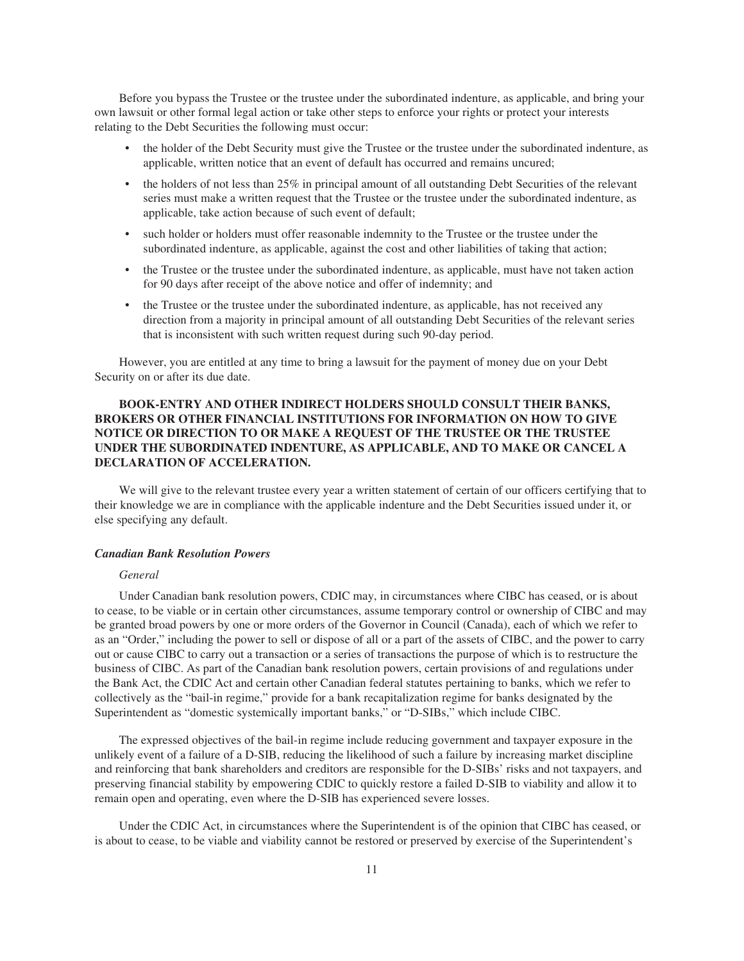Before you bypass the Trustee or the trustee under the subordinated indenture, as applicable, and bring your own lawsuit or other formal legal action or take other steps to enforce your rights or protect your interests relating to the Debt Securities the following must occur:

- the holder of the Debt Security must give the Trustee or the trustee under the subordinated indenture, as applicable, written notice that an event of default has occurred and remains uncured;
- the holders of not less than 25% in principal amount of all outstanding Debt Securities of the relevant series must make a written request that the Trustee or the trustee under the subordinated indenture, as applicable, take action because of such event of default;
- such holder or holders must offer reasonable indemnity to the Trustee or the trustee under the subordinated indenture, as applicable, against the cost and other liabilities of taking that action;
- the Trustee or the trustee under the subordinated indenture, as applicable, must have not taken action for 90 days after receipt of the above notice and offer of indemnity; and
- the Trustee or the trustee under the subordinated indenture, as applicable, has not received any direction from a majority in principal amount of all outstanding Debt Securities of the relevant series that is inconsistent with such written request during such 90-day period.

However, you are entitled at any time to bring a lawsuit for the payment of money due on your Debt Security on or after its due date.

# **BOOK-ENTRY AND OTHER INDIRECT HOLDERS SHOULD CONSULT THEIR BANKS, BROKERS OR OTHER FINANCIAL INSTITUTIONS FOR INFORMATION ON HOW TO GIVE NOTICE OR DIRECTION TO OR MAKE A REQUEST OF THE TRUSTEE OR THE TRUSTEE UNDER THE SUBORDINATED INDENTURE, AS APPLICABLE, AND TO MAKE OR CANCEL A DECLARATION OF ACCELERATION.**

We will give to the relevant trustee every year a written statement of certain of our officers certifying that to their knowledge we are in compliance with the applicable indenture and the Debt Securities issued under it, or else specifying any default.

#### *Canadian Bank Resolution Powers*

#### *General*

Under Canadian bank resolution powers, CDIC may, in circumstances where CIBC has ceased, or is about to cease, to be viable or in certain other circumstances, assume temporary control or ownership of CIBC and may be granted broad powers by one or more orders of the Governor in Council (Canada), each of which we refer to as an "Order," including the power to sell or dispose of all or a part of the assets of CIBC, and the power to carry out or cause CIBC to carry out a transaction or a series of transactions the purpose of which is to restructure the business of CIBC. As part of the Canadian bank resolution powers, certain provisions of and regulations under the Bank Act, the CDIC Act and certain other Canadian federal statutes pertaining to banks, which we refer to collectively as the "bail-in regime," provide for a bank recapitalization regime for banks designated by the Superintendent as "domestic systemically important banks," or "D-SIBs," which include CIBC.

The expressed objectives of the bail-in regime include reducing government and taxpayer exposure in the unlikely event of a failure of a D-SIB, reducing the likelihood of such a failure by increasing market discipline and reinforcing that bank shareholders and creditors are responsible for the D-SIBs' risks and not taxpayers, and preserving financial stability by empowering CDIC to quickly restore a failed D-SIB to viability and allow it to remain open and operating, even where the D-SIB has experienced severe losses.

Under the CDIC Act, in circumstances where the Superintendent is of the opinion that CIBC has ceased, or is about to cease, to be viable and viability cannot be restored or preserved by exercise of the Superintendent's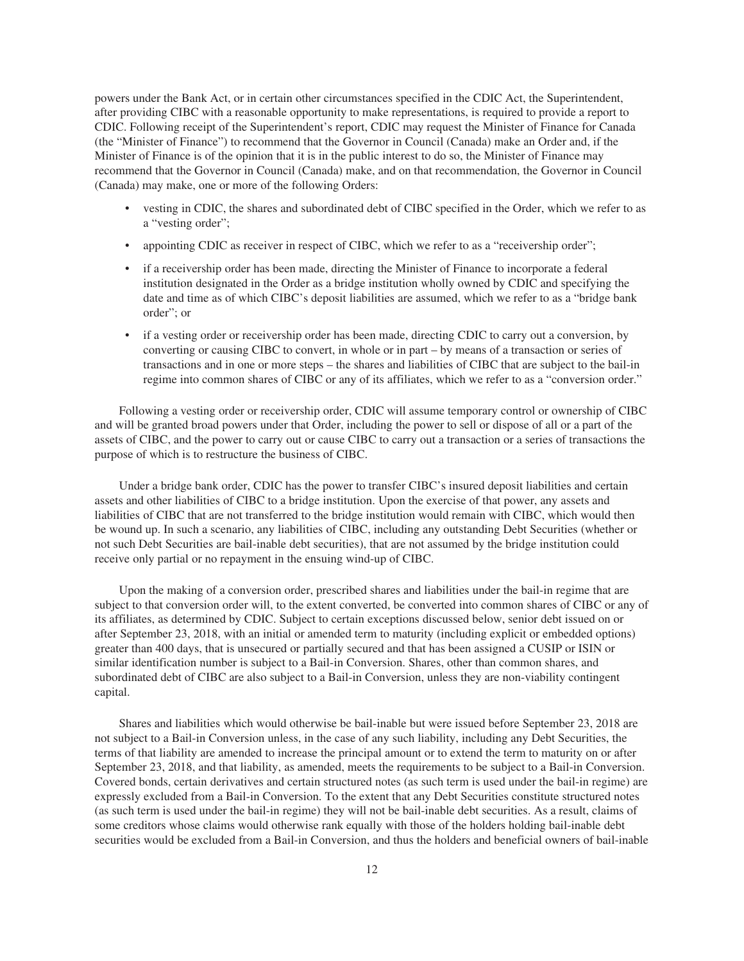powers under the Bank Act, or in certain other circumstances specified in the CDIC Act, the Superintendent, after providing CIBC with a reasonable opportunity to make representations, is required to provide a report to CDIC. Following receipt of the Superintendent's report, CDIC may request the Minister of Finance for Canada (the "Minister of Finance") to recommend that the Governor in Council (Canada) make an Order and, if the Minister of Finance is of the opinion that it is in the public interest to do so, the Minister of Finance may recommend that the Governor in Council (Canada) make, and on that recommendation, the Governor in Council (Canada) may make, one or more of the following Orders:

- vesting in CDIC, the shares and subordinated debt of CIBC specified in the Order, which we refer to as a "vesting order";
- appointing CDIC as receiver in respect of CIBC, which we refer to as a "receivership order";
- if a receivership order has been made, directing the Minister of Finance to incorporate a federal institution designated in the Order as a bridge institution wholly owned by CDIC and specifying the date and time as of which CIBC's deposit liabilities are assumed, which we refer to as a "bridge bank order"; or
- if a vesting order or receivership order has been made, directing CDIC to carry out a conversion, by converting or causing CIBC to convert, in whole or in part – by means of a transaction or series of transactions and in one or more steps – the shares and liabilities of CIBC that are subject to the bail-in regime into common shares of CIBC or any of its affiliates, which we refer to as a "conversion order."

Following a vesting order or receivership order, CDIC will assume temporary control or ownership of CIBC and will be granted broad powers under that Order, including the power to sell or dispose of all or a part of the assets of CIBC, and the power to carry out or cause CIBC to carry out a transaction or a series of transactions the purpose of which is to restructure the business of CIBC.

Under a bridge bank order, CDIC has the power to transfer CIBC's insured deposit liabilities and certain assets and other liabilities of CIBC to a bridge institution. Upon the exercise of that power, any assets and liabilities of CIBC that are not transferred to the bridge institution would remain with CIBC, which would then be wound up. In such a scenario, any liabilities of CIBC, including any outstanding Debt Securities (whether or not such Debt Securities are bail-inable debt securities), that are not assumed by the bridge institution could receive only partial or no repayment in the ensuing wind-up of CIBC.

Upon the making of a conversion order, prescribed shares and liabilities under the bail-in regime that are subject to that conversion order will, to the extent converted, be converted into common shares of CIBC or any of its affiliates, as determined by CDIC. Subject to certain exceptions discussed below, senior debt issued on or after September 23, 2018, with an initial or amended term to maturity (including explicit or embedded options) greater than 400 days, that is unsecured or partially secured and that has been assigned a CUSIP or ISIN or similar identification number is subject to a Bail-in Conversion. Shares, other than common shares, and subordinated debt of CIBC are also subject to a Bail-in Conversion, unless they are non-viability contingent capital.

Shares and liabilities which would otherwise be bail-inable but were issued before September 23, 2018 are not subject to a Bail-in Conversion unless, in the case of any such liability, including any Debt Securities, the terms of that liability are amended to increase the principal amount or to extend the term to maturity on or after September 23, 2018, and that liability, as amended, meets the requirements to be subject to a Bail-in Conversion. Covered bonds, certain derivatives and certain structured notes (as such term is used under the bail-in regime) are expressly excluded from a Bail-in Conversion. To the extent that any Debt Securities constitute structured notes (as such term is used under the bail-in regime) they will not be bail-inable debt securities. As a result, claims of some creditors whose claims would otherwise rank equally with those of the holders holding bail-inable debt securities would be excluded from a Bail-in Conversion, and thus the holders and beneficial owners of bail-inable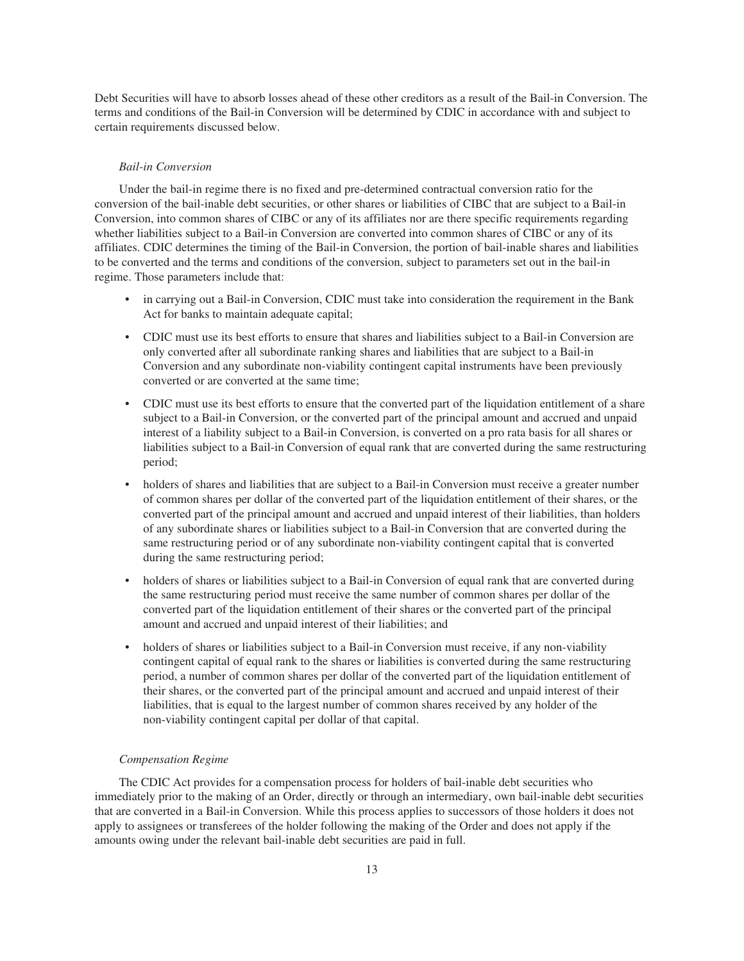Debt Securities will have to absorb losses ahead of these other creditors as a result of the Bail-in Conversion. The terms and conditions of the Bail-in Conversion will be determined by CDIC in accordance with and subject to certain requirements discussed below.

#### *Bail-in Conversion*

Under the bail-in regime there is no fixed and pre-determined contractual conversion ratio for the conversion of the bail-inable debt securities, or other shares or liabilities of CIBC that are subject to a Bail-in Conversion, into common shares of CIBC or any of its affiliates nor are there specific requirements regarding whether liabilities subject to a Bail-in Conversion are converted into common shares of CIBC or any of its affiliates. CDIC determines the timing of the Bail-in Conversion, the portion of bail-inable shares and liabilities to be converted and the terms and conditions of the conversion, subject to parameters set out in the bail-in regime. Those parameters include that:

- in carrying out a Bail-in Conversion, CDIC must take into consideration the requirement in the Bank Act for banks to maintain adequate capital;
- CDIC must use its best efforts to ensure that shares and liabilities subject to a Bail-in Conversion are only converted after all subordinate ranking shares and liabilities that are subject to a Bail-in Conversion and any subordinate non-viability contingent capital instruments have been previously converted or are converted at the same time;
- CDIC must use its best efforts to ensure that the converted part of the liquidation entitlement of a share subject to a Bail-in Conversion, or the converted part of the principal amount and accrued and unpaid interest of a liability subject to a Bail-in Conversion, is converted on a pro rata basis for all shares or liabilities subject to a Bail-in Conversion of equal rank that are converted during the same restructuring period;
- holders of shares and liabilities that are subject to a Bail-in Conversion must receive a greater number of common shares per dollar of the converted part of the liquidation entitlement of their shares, or the converted part of the principal amount and accrued and unpaid interest of their liabilities, than holders of any subordinate shares or liabilities subject to a Bail-in Conversion that are converted during the same restructuring period or of any subordinate non-viability contingent capital that is converted during the same restructuring period;
- holders of shares or liabilities subject to a Bail-in Conversion of equal rank that are converted during the same restructuring period must receive the same number of common shares per dollar of the converted part of the liquidation entitlement of their shares or the converted part of the principal amount and accrued and unpaid interest of their liabilities; and
- holders of shares or liabilities subject to a Bail-in Conversion must receive, if any non-viability contingent capital of equal rank to the shares or liabilities is converted during the same restructuring period, a number of common shares per dollar of the converted part of the liquidation entitlement of their shares, or the converted part of the principal amount and accrued and unpaid interest of their liabilities, that is equal to the largest number of common shares received by any holder of the non-viability contingent capital per dollar of that capital.

#### *Compensation Regime*

The CDIC Act provides for a compensation process for holders of bail-inable debt securities who immediately prior to the making of an Order, directly or through an intermediary, own bail-inable debt securities that are converted in a Bail-in Conversion. While this process applies to successors of those holders it does not apply to assignees or transferees of the holder following the making of the Order and does not apply if the amounts owing under the relevant bail-inable debt securities are paid in full.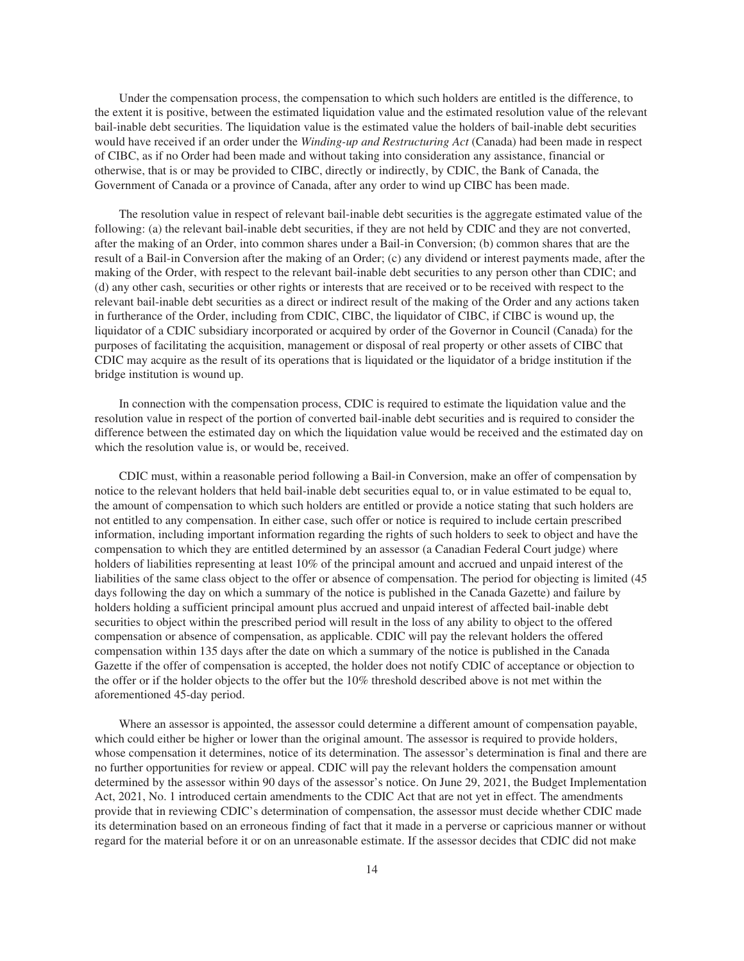Under the compensation process, the compensation to which such holders are entitled is the difference, to the extent it is positive, between the estimated liquidation value and the estimated resolution value of the relevant bail-inable debt securities. The liquidation value is the estimated value the holders of bail-inable debt securities would have received if an order under the *Winding-up and Restructuring Act* (Canada) had been made in respect of CIBC, as if no Order had been made and without taking into consideration any assistance, financial or otherwise, that is or may be provided to CIBC, directly or indirectly, by CDIC, the Bank of Canada, the Government of Canada or a province of Canada, after any order to wind up CIBC has been made.

The resolution value in respect of relevant bail-inable debt securities is the aggregate estimated value of the following: (a) the relevant bail-inable debt securities, if they are not held by CDIC and they are not converted, after the making of an Order, into common shares under a Bail-in Conversion; (b) common shares that are the result of a Bail-in Conversion after the making of an Order; (c) any dividend or interest payments made, after the making of the Order, with respect to the relevant bail-inable debt securities to any person other than CDIC; and (d) any other cash, securities or other rights or interests that are received or to be received with respect to the relevant bail-inable debt securities as a direct or indirect result of the making of the Order and any actions taken in furtherance of the Order, including from CDIC, CIBC, the liquidator of CIBC, if CIBC is wound up, the liquidator of a CDIC subsidiary incorporated or acquired by order of the Governor in Council (Canada) for the purposes of facilitating the acquisition, management or disposal of real property or other assets of CIBC that CDIC may acquire as the result of its operations that is liquidated or the liquidator of a bridge institution if the bridge institution is wound up.

In connection with the compensation process, CDIC is required to estimate the liquidation value and the resolution value in respect of the portion of converted bail-inable debt securities and is required to consider the difference between the estimated day on which the liquidation value would be received and the estimated day on which the resolution value is, or would be, received.

CDIC must, within a reasonable period following a Bail-in Conversion, make an offer of compensation by notice to the relevant holders that held bail-inable debt securities equal to, or in value estimated to be equal to, the amount of compensation to which such holders are entitled or provide a notice stating that such holders are not entitled to any compensation. In either case, such offer or notice is required to include certain prescribed information, including important information regarding the rights of such holders to seek to object and have the compensation to which they are entitled determined by an assessor (a Canadian Federal Court judge) where holders of liabilities representing at least 10% of the principal amount and accrued and unpaid interest of the liabilities of the same class object to the offer or absence of compensation. The period for objecting is limited (45 days following the day on which a summary of the notice is published in the Canada Gazette) and failure by holders holding a sufficient principal amount plus accrued and unpaid interest of affected bail-inable debt securities to object within the prescribed period will result in the loss of any ability to object to the offered compensation or absence of compensation, as applicable. CDIC will pay the relevant holders the offered compensation within 135 days after the date on which a summary of the notice is published in the Canada Gazette if the offer of compensation is accepted, the holder does not notify CDIC of acceptance or objection to the offer or if the holder objects to the offer but the 10% threshold described above is not met within the aforementioned 45-day period.

Where an assessor is appointed, the assessor could determine a different amount of compensation payable, which could either be higher or lower than the original amount. The assessor is required to provide holders, whose compensation it determines, notice of its determination. The assessor's determination is final and there are no further opportunities for review or appeal. CDIC will pay the relevant holders the compensation amount determined by the assessor within 90 days of the assessor's notice. On June 29, 2021, the Budget Implementation Act, 2021, No. 1 introduced certain amendments to the CDIC Act that are not yet in effect. The amendments provide that in reviewing CDIC's determination of compensation, the assessor must decide whether CDIC made its determination based on an erroneous finding of fact that it made in a perverse or capricious manner or without regard for the material before it or on an unreasonable estimate. If the assessor decides that CDIC did not make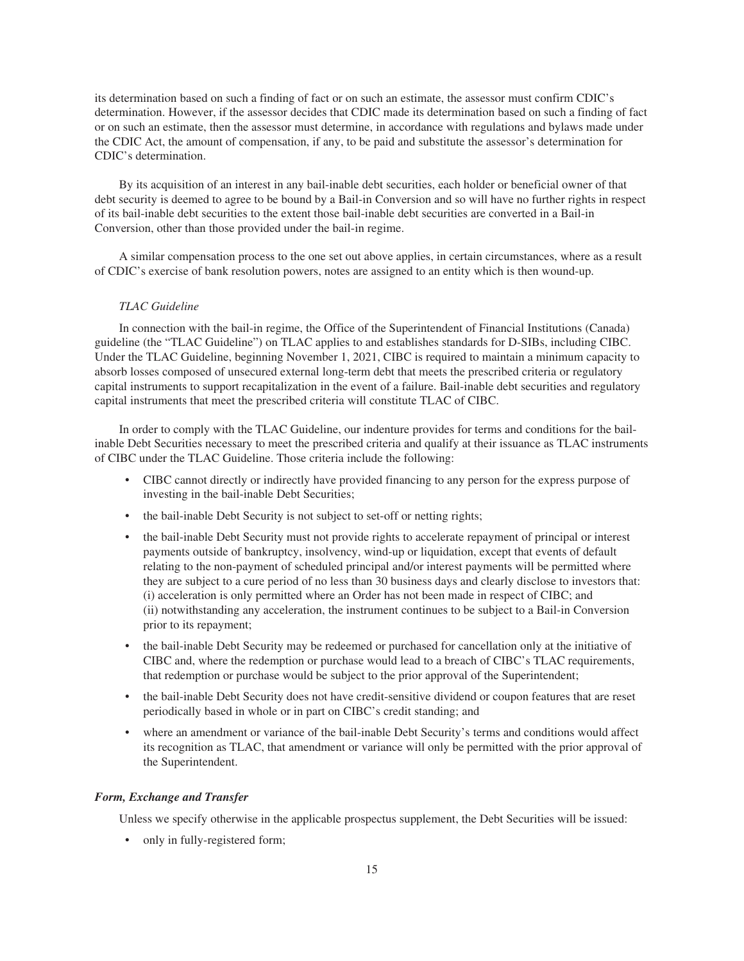its determination based on such a finding of fact or on such an estimate, the assessor must confirm CDIC's determination. However, if the assessor decides that CDIC made its determination based on such a finding of fact or on such an estimate, then the assessor must determine, in accordance with regulations and bylaws made under the CDIC Act, the amount of compensation, if any, to be paid and substitute the assessor's determination for CDIC's determination.

By its acquisition of an interest in any bail-inable debt securities, each holder or beneficial owner of that debt security is deemed to agree to be bound by a Bail-in Conversion and so will have no further rights in respect of its bail-inable debt securities to the extent those bail-inable debt securities are converted in a Bail-in Conversion, other than those provided under the bail-in regime.

A similar compensation process to the one set out above applies, in certain circumstances, where as a result of CDIC's exercise of bank resolution powers, notes are assigned to an entity which is then wound-up.

#### *TLAC Guideline*

In connection with the bail-in regime, the Office of the Superintendent of Financial Institutions (Canada) guideline (the "TLAC Guideline") on TLAC applies to and establishes standards for D-SIBs, including CIBC. Under the TLAC Guideline, beginning November 1, 2021, CIBC is required to maintain a minimum capacity to absorb losses composed of unsecured external long-term debt that meets the prescribed criteria or regulatory capital instruments to support recapitalization in the event of a failure. Bail-inable debt securities and regulatory capital instruments that meet the prescribed criteria will constitute TLAC of CIBC.

In order to comply with the TLAC Guideline, our indenture provides for terms and conditions for the bailinable Debt Securities necessary to meet the prescribed criteria and qualify at their issuance as TLAC instruments of CIBC under the TLAC Guideline. Those criteria include the following:

- CIBC cannot directly or indirectly have provided financing to any person for the express purpose of investing in the bail-inable Debt Securities;
- the bail-inable Debt Security is not subject to set-off or netting rights;
- the bail-inable Debt Security must not provide rights to accelerate repayment of principal or interest payments outside of bankruptcy, insolvency, wind-up or liquidation, except that events of default relating to the non-payment of scheduled principal and/or interest payments will be permitted where they are subject to a cure period of no less than 30 business days and clearly disclose to investors that: (i) acceleration is only permitted where an Order has not been made in respect of CIBC; and (ii) notwithstanding any acceleration, the instrument continues to be subject to a Bail-in Conversion prior to its repayment;
- the bail-inable Debt Security may be redeemed or purchased for cancellation only at the initiative of CIBC and, where the redemption or purchase would lead to a breach of CIBC's TLAC requirements, that redemption or purchase would be subject to the prior approval of the Superintendent;
- the bail-inable Debt Security does not have credit-sensitive dividend or coupon features that are reset periodically based in whole or in part on CIBC's credit standing; and
- where an amendment or variance of the bail-inable Debt Security's terms and conditions would affect its recognition as TLAC, that amendment or variance will only be permitted with the prior approval of the Superintendent.

#### *Form, Exchange and Transfer*

Unless we specify otherwise in the applicable prospectus supplement, the Debt Securities will be issued:

• only in fully-registered form;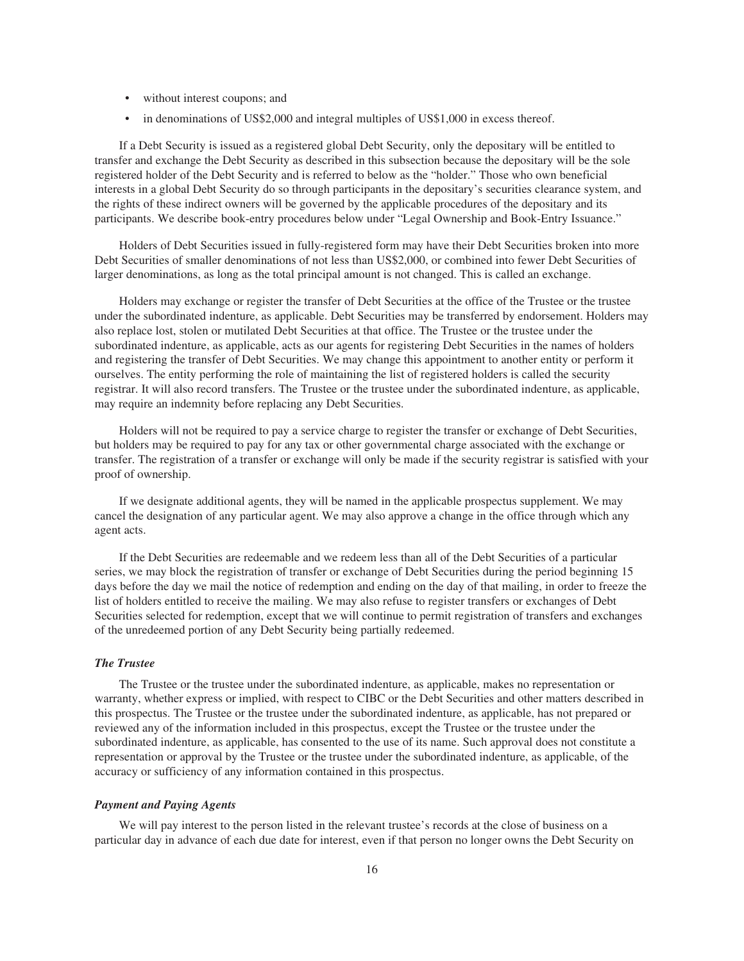- without interest coupons; and
- in denominations of US\$2,000 and integral multiples of US\$1,000 in excess thereof.

If a Debt Security is issued as a registered global Debt Security, only the depositary will be entitled to transfer and exchange the Debt Security as described in this subsection because the depositary will be the sole registered holder of the Debt Security and is referred to below as the "holder." Those who own beneficial interests in a global Debt Security do so through participants in the depositary's securities clearance system, and the rights of these indirect owners will be governed by the applicable procedures of the depositary and its participants. We describe book-entry procedures below under "Legal Ownership and Book-Entry Issuance."

Holders of Debt Securities issued in fully-registered form may have their Debt Securities broken into more Debt Securities of smaller denominations of not less than US\$2,000, or combined into fewer Debt Securities of larger denominations, as long as the total principal amount is not changed. This is called an exchange.

Holders may exchange or register the transfer of Debt Securities at the office of the Trustee or the trustee under the subordinated indenture, as applicable. Debt Securities may be transferred by endorsement. Holders may also replace lost, stolen or mutilated Debt Securities at that office. The Trustee or the trustee under the subordinated indenture, as applicable, acts as our agents for registering Debt Securities in the names of holders and registering the transfer of Debt Securities. We may change this appointment to another entity or perform it ourselves. The entity performing the role of maintaining the list of registered holders is called the security registrar. It will also record transfers. The Trustee or the trustee under the subordinated indenture, as applicable, may require an indemnity before replacing any Debt Securities.

Holders will not be required to pay a service charge to register the transfer or exchange of Debt Securities, but holders may be required to pay for any tax or other governmental charge associated with the exchange or transfer. The registration of a transfer or exchange will only be made if the security registrar is satisfied with your proof of ownership.

If we designate additional agents, they will be named in the applicable prospectus supplement. We may cancel the designation of any particular agent. We may also approve a change in the office through which any agent acts.

If the Debt Securities are redeemable and we redeem less than all of the Debt Securities of a particular series, we may block the registration of transfer or exchange of Debt Securities during the period beginning 15 days before the day we mail the notice of redemption and ending on the day of that mailing, in order to freeze the list of holders entitled to receive the mailing. We may also refuse to register transfers or exchanges of Debt Securities selected for redemption, except that we will continue to permit registration of transfers and exchanges of the unredeemed portion of any Debt Security being partially redeemed.

#### *The Trustee*

The Trustee or the trustee under the subordinated indenture, as applicable, makes no representation or warranty, whether express or implied, with respect to CIBC or the Debt Securities and other matters described in this prospectus. The Trustee or the trustee under the subordinated indenture, as applicable, has not prepared or reviewed any of the information included in this prospectus, except the Trustee or the trustee under the subordinated indenture, as applicable, has consented to the use of its name. Such approval does not constitute a representation or approval by the Trustee or the trustee under the subordinated indenture, as applicable, of the accuracy or sufficiency of any information contained in this prospectus.

#### *Payment and Paying Agents*

We will pay interest to the person listed in the relevant trustee's records at the close of business on a particular day in advance of each due date for interest, even if that person no longer owns the Debt Security on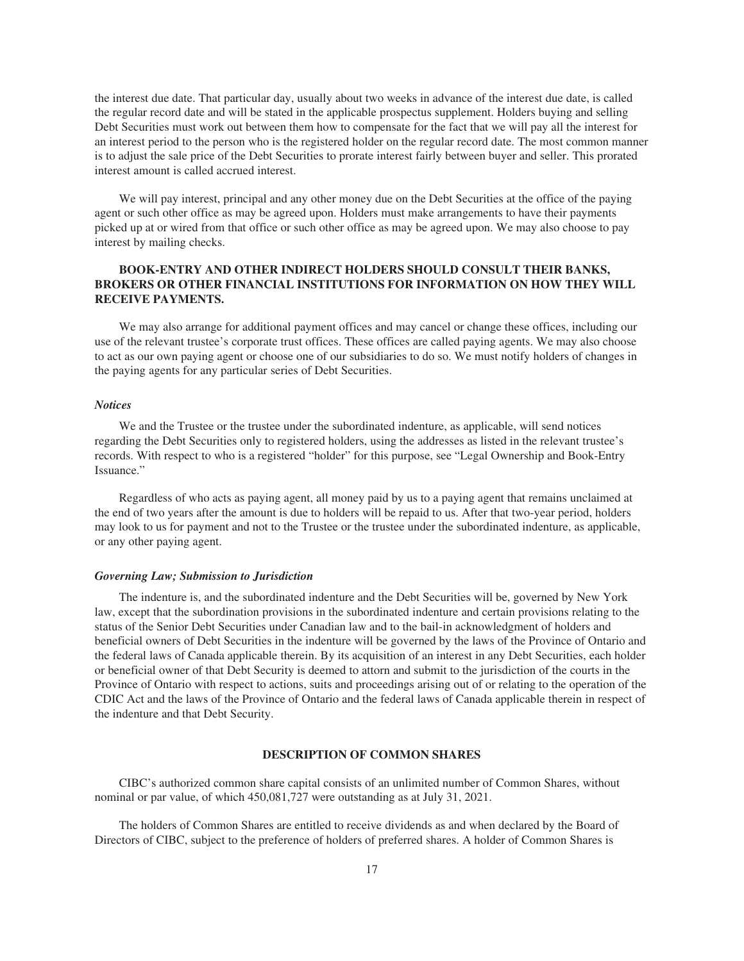the interest due date. That particular day, usually about two weeks in advance of the interest due date, is called the regular record date and will be stated in the applicable prospectus supplement. Holders buying and selling Debt Securities must work out between them how to compensate for the fact that we will pay all the interest for an interest period to the person who is the registered holder on the regular record date. The most common manner is to adjust the sale price of the Debt Securities to prorate interest fairly between buyer and seller. This prorated interest amount is called accrued interest.

We will pay interest, principal and any other money due on the Debt Securities at the office of the paying agent or such other office as may be agreed upon. Holders must make arrangements to have their payments picked up at or wired from that office or such other office as may be agreed upon. We may also choose to pay interest by mailing checks.

# **BOOK-ENTRY AND OTHER INDIRECT HOLDERS SHOULD CONSULT THEIR BANKS, BROKERS OR OTHER FINANCIAL INSTITUTIONS FOR INFORMATION ON HOW THEY WILL RECEIVE PAYMENTS.**

We may also arrange for additional payment offices and may cancel or change these offices, including our use of the relevant trustee's corporate trust offices. These offices are called paying agents. We may also choose to act as our own paying agent or choose one of our subsidiaries to do so. We must notify holders of changes in the paying agents for any particular series of Debt Securities.

#### *Notices*

We and the Trustee or the trustee under the subordinated indenture, as applicable, will send notices regarding the Debt Securities only to registered holders, using the addresses as listed in the relevant trustee's records. With respect to who is a registered "holder" for this purpose, see "Legal Ownership and Book-Entry Issuance."

Regardless of who acts as paying agent, all money paid by us to a paying agent that remains unclaimed at the end of two years after the amount is due to holders will be repaid to us. After that two-year period, holders may look to us for payment and not to the Trustee or the trustee under the subordinated indenture, as applicable, or any other paying agent.

#### *Governing Law; Submission to Jurisdiction*

The indenture is, and the subordinated indenture and the Debt Securities will be, governed by New York law, except that the subordination provisions in the subordinated indenture and certain provisions relating to the status of the Senior Debt Securities under Canadian law and to the bail-in acknowledgment of holders and beneficial owners of Debt Securities in the indenture will be governed by the laws of the Province of Ontario and the federal laws of Canada applicable therein. By its acquisition of an interest in any Debt Securities, each holder or beneficial owner of that Debt Security is deemed to attorn and submit to the jurisdiction of the courts in the Province of Ontario with respect to actions, suits and proceedings arising out of or relating to the operation of the CDIC Act and the laws of the Province of Ontario and the federal laws of Canada applicable therein in respect of the indenture and that Debt Security.

# **DESCRIPTION OF COMMON SHARES**

CIBC's authorized common share capital consists of an unlimited number of Common Shares, without nominal or par value, of which 450,081,727 were outstanding as at July 31, 2021.

The holders of Common Shares are entitled to receive dividends as and when declared by the Board of Directors of CIBC, subject to the preference of holders of preferred shares. A holder of Common Shares is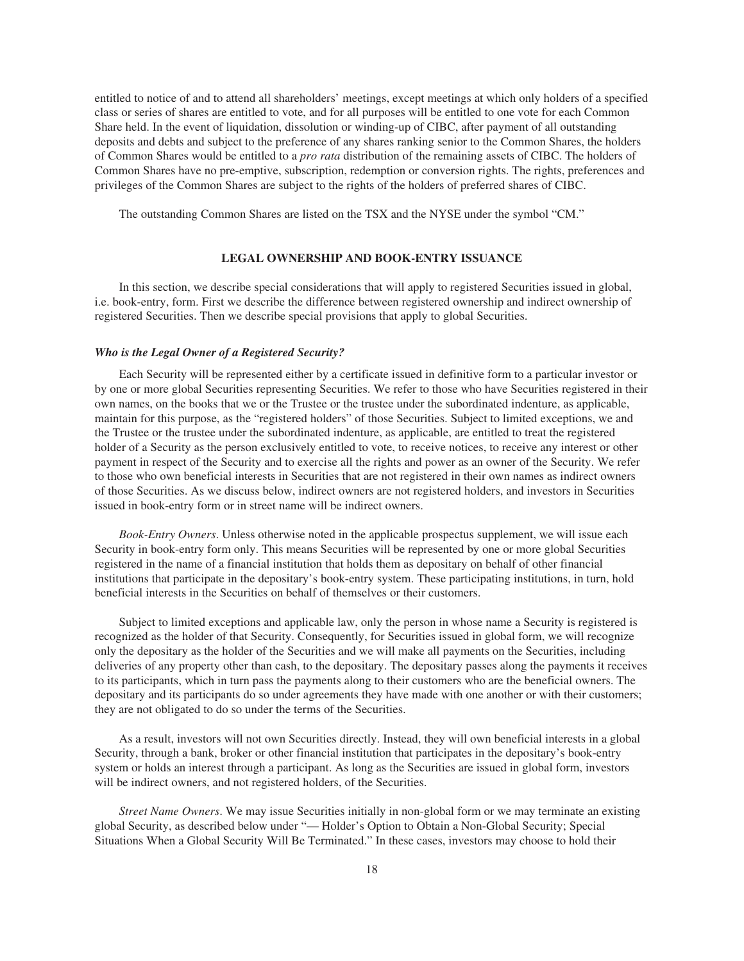entitled to notice of and to attend all shareholders' meetings, except meetings at which only holders of a specified class or series of shares are entitled to vote, and for all purposes will be entitled to one vote for each Common Share held. In the event of liquidation, dissolution or winding-up of CIBC, after payment of all outstanding deposits and debts and subject to the preference of any shares ranking senior to the Common Shares, the holders of Common Shares would be entitled to a *pro rata* distribution of the remaining assets of CIBC. The holders of Common Shares have no pre-emptive, subscription, redemption or conversion rights. The rights, preferences and privileges of the Common Shares are subject to the rights of the holders of preferred shares of CIBC.

The outstanding Common Shares are listed on the TSX and the NYSE under the symbol "CM."

# **LEGAL OWNERSHIP AND BOOK-ENTRY ISSUANCE**

In this section, we describe special considerations that will apply to registered Securities issued in global, i.e. book-entry, form. First we describe the difference between registered ownership and indirect ownership of registered Securities. Then we describe special provisions that apply to global Securities.

# *Who is the Legal Owner of a Registered Security?*

Each Security will be represented either by a certificate issued in definitive form to a particular investor or by one or more global Securities representing Securities. We refer to those who have Securities registered in their own names, on the books that we or the Trustee or the trustee under the subordinated indenture, as applicable, maintain for this purpose, as the "registered holders" of those Securities. Subject to limited exceptions, we and the Trustee or the trustee under the subordinated indenture, as applicable, are entitled to treat the registered holder of a Security as the person exclusively entitled to vote, to receive notices, to receive any interest or other payment in respect of the Security and to exercise all the rights and power as an owner of the Security. We refer to those who own beneficial interests in Securities that are not registered in their own names as indirect owners of those Securities. As we discuss below, indirect owners are not registered holders, and investors in Securities issued in book-entry form or in street name will be indirect owners.

*Book-Entry Owners*. Unless otherwise noted in the applicable prospectus supplement, we will issue each Security in book-entry form only. This means Securities will be represented by one or more global Securities registered in the name of a financial institution that holds them as depositary on behalf of other financial institutions that participate in the depositary's book-entry system. These participating institutions, in turn, hold beneficial interests in the Securities on behalf of themselves or their customers.

Subject to limited exceptions and applicable law, only the person in whose name a Security is registered is recognized as the holder of that Security. Consequently, for Securities issued in global form, we will recognize only the depositary as the holder of the Securities and we will make all payments on the Securities, including deliveries of any property other than cash, to the depositary. The depositary passes along the payments it receives to its participants, which in turn pass the payments along to their customers who are the beneficial owners. The depositary and its participants do so under agreements they have made with one another or with their customers; they are not obligated to do so under the terms of the Securities.

As a result, investors will not own Securities directly. Instead, they will own beneficial interests in a global Security, through a bank, broker or other financial institution that participates in the depositary's book-entry system or holds an interest through a participant. As long as the Securities are issued in global form, investors will be indirect owners, and not registered holders, of the Securities.

*Street Name Owners*. We may issue Securities initially in non-global form or we may terminate an existing global Security, as described below under "— Holder's Option to Obtain a Non-Global Security; Special Situations When a Global Security Will Be Terminated." In these cases, investors may choose to hold their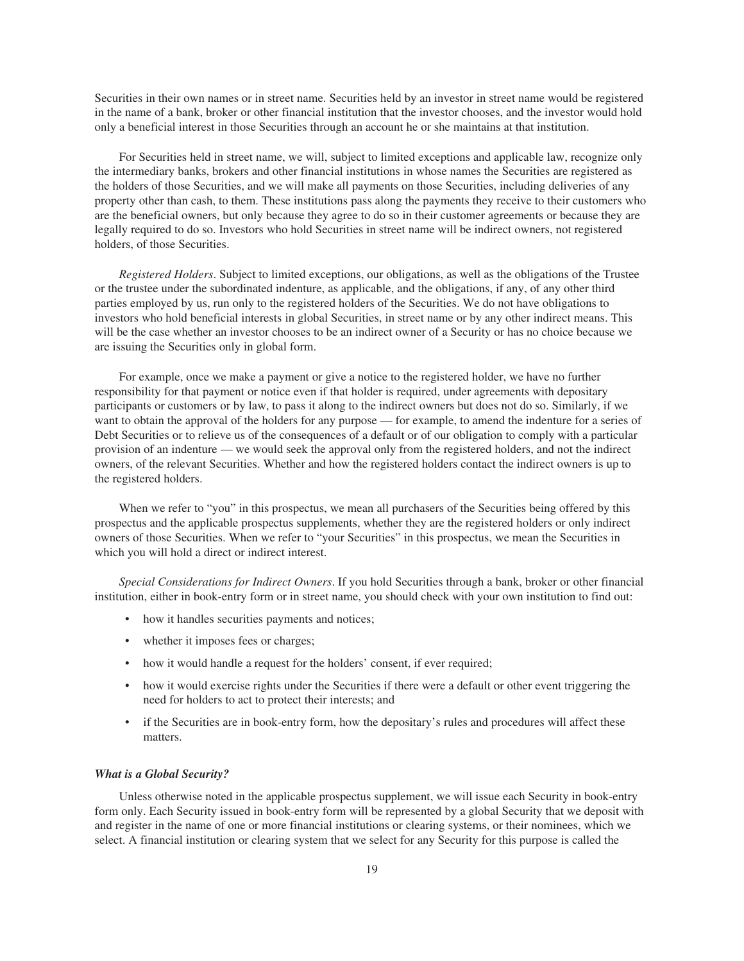Securities in their own names or in street name. Securities held by an investor in street name would be registered in the name of a bank, broker or other financial institution that the investor chooses, and the investor would hold only a beneficial interest in those Securities through an account he or she maintains at that institution.

For Securities held in street name, we will, subject to limited exceptions and applicable law, recognize only the intermediary banks, brokers and other financial institutions in whose names the Securities are registered as the holders of those Securities, and we will make all payments on those Securities, including deliveries of any property other than cash, to them. These institutions pass along the payments they receive to their customers who are the beneficial owners, but only because they agree to do so in their customer agreements or because they are legally required to do so. Investors who hold Securities in street name will be indirect owners, not registered holders, of those Securities.

*Registered Holders*. Subject to limited exceptions, our obligations, as well as the obligations of the Trustee or the trustee under the subordinated indenture, as applicable, and the obligations, if any, of any other third parties employed by us, run only to the registered holders of the Securities. We do not have obligations to investors who hold beneficial interests in global Securities, in street name or by any other indirect means. This will be the case whether an investor chooses to be an indirect owner of a Security or has no choice because we are issuing the Securities only in global form.

For example, once we make a payment or give a notice to the registered holder, we have no further responsibility for that payment or notice even if that holder is required, under agreements with depositary participants or customers or by law, to pass it along to the indirect owners but does not do so. Similarly, if we want to obtain the approval of the holders for any purpose — for example, to amend the indenture for a series of Debt Securities or to relieve us of the consequences of a default or of our obligation to comply with a particular provision of an indenture — we would seek the approval only from the registered holders, and not the indirect owners, of the relevant Securities. Whether and how the registered holders contact the indirect owners is up to the registered holders.

When we refer to "you" in this prospectus, we mean all purchasers of the Securities being offered by this prospectus and the applicable prospectus supplements, whether they are the registered holders or only indirect owners of those Securities. When we refer to "your Securities" in this prospectus, we mean the Securities in which you will hold a direct or indirect interest.

*Special Considerations for Indirect Owners*. If you hold Securities through a bank, broker or other financial institution, either in book-entry form or in street name, you should check with your own institution to find out:

- how it handles securities payments and notices;
- whether it imposes fees or charges;
- how it would handle a request for the holders' consent, if ever required;
- how it would exercise rights under the Securities if there were a default or other event triggering the need for holders to act to protect their interests; and
- if the Securities are in book-entry form, how the depositary's rules and procedures will affect these matters.

#### *What is a Global Security?*

Unless otherwise noted in the applicable prospectus supplement, we will issue each Security in book-entry form only. Each Security issued in book-entry form will be represented by a global Security that we deposit with and register in the name of one or more financial institutions or clearing systems, or their nominees, which we select. A financial institution or clearing system that we select for any Security for this purpose is called the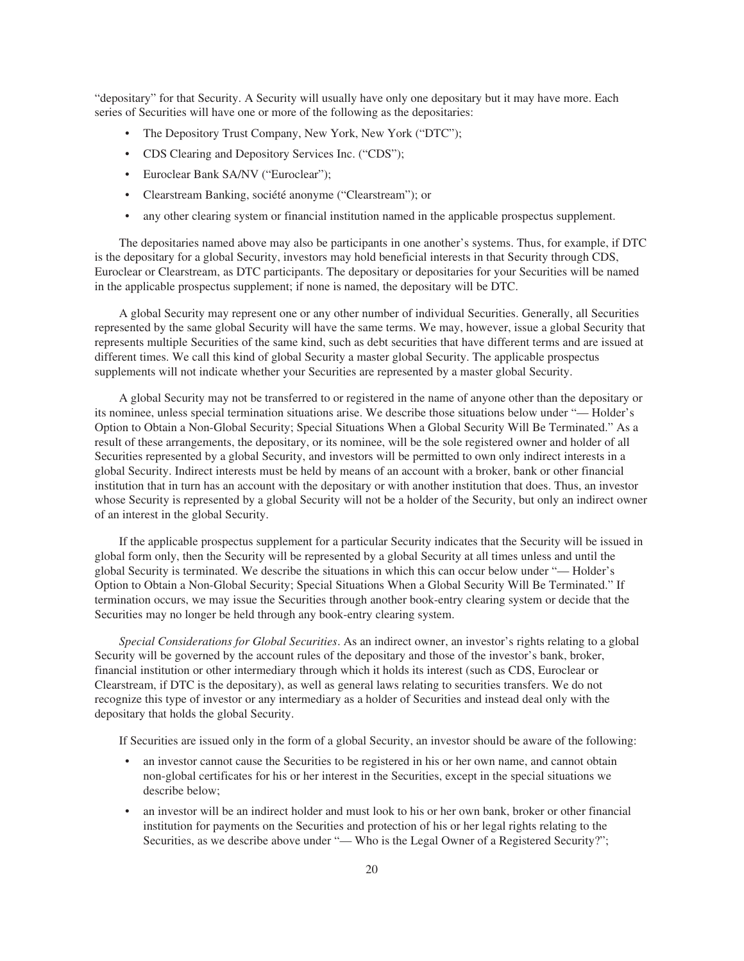"depositary" for that Security. A Security will usually have only one depositary but it may have more. Each series of Securities will have one or more of the following as the depositaries:

- The Depository Trust Company, New York, New York ("DTC");
- CDS Clearing and Depository Services Inc. ("CDS");
- Euroclear Bank SA/NV ("Euroclear");
- Clearstream Banking, société anonyme ("Clearstream"); or
- any other clearing system or financial institution named in the applicable prospectus supplement.

The depositaries named above may also be participants in one another's systems. Thus, for example, if DTC is the depositary for a global Security, investors may hold beneficial interests in that Security through CDS, Euroclear or Clearstream, as DTC participants. The depositary or depositaries for your Securities will be named in the applicable prospectus supplement; if none is named, the depositary will be DTC.

A global Security may represent one or any other number of individual Securities. Generally, all Securities represented by the same global Security will have the same terms. We may, however, issue a global Security that represents multiple Securities of the same kind, such as debt securities that have different terms and are issued at different times. We call this kind of global Security a master global Security. The applicable prospectus supplements will not indicate whether your Securities are represented by a master global Security.

A global Security may not be transferred to or registered in the name of anyone other than the depositary or its nominee, unless special termination situations arise. We describe those situations below under "— Holder's Option to Obtain a Non-Global Security; Special Situations When a Global Security Will Be Terminated." As a result of these arrangements, the depositary, or its nominee, will be the sole registered owner and holder of all Securities represented by a global Security, and investors will be permitted to own only indirect interests in a global Security. Indirect interests must be held by means of an account with a broker, bank or other financial institution that in turn has an account with the depositary or with another institution that does. Thus, an investor whose Security is represented by a global Security will not be a holder of the Security, but only an indirect owner of an interest in the global Security.

If the applicable prospectus supplement for a particular Security indicates that the Security will be issued in global form only, then the Security will be represented by a global Security at all times unless and until the global Security is terminated. We describe the situations in which this can occur below under "— Holder's Option to Obtain a Non-Global Security; Special Situations When a Global Security Will Be Terminated." If termination occurs, we may issue the Securities through another book-entry clearing system or decide that the Securities may no longer be held through any book-entry clearing system.

*Special Considerations for Global Securities*. As an indirect owner, an investor's rights relating to a global Security will be governed by the account rules of the depositary and those of the investor's bank, broker, financial institution or other intermediary through which it holds its interest (such as CDS, Euroclear or Clearstream, if DTC is the depositary), as well as general laws relating to securities transfers. We do not recognize this type of investor or any intermediary as a holder of Securities and instead deal only with the depositary that holds the global Security.

If Securities are issued only in the form of a global Security, an investor should be aware of the following:

- an investor cannot cause the Securities to be registered in his or her own name, and cannot obtain non-global certificates for his or her interest in the Securities, except in the special situations we describe below;
- an investor will be an indirect holder and must look to his or her own bank, broker or other financial institution for payments on the Securities and protection of his or her legal rights relating to the Securities, as we describe above under "— Who is the Legal Owner of a Registered Security?";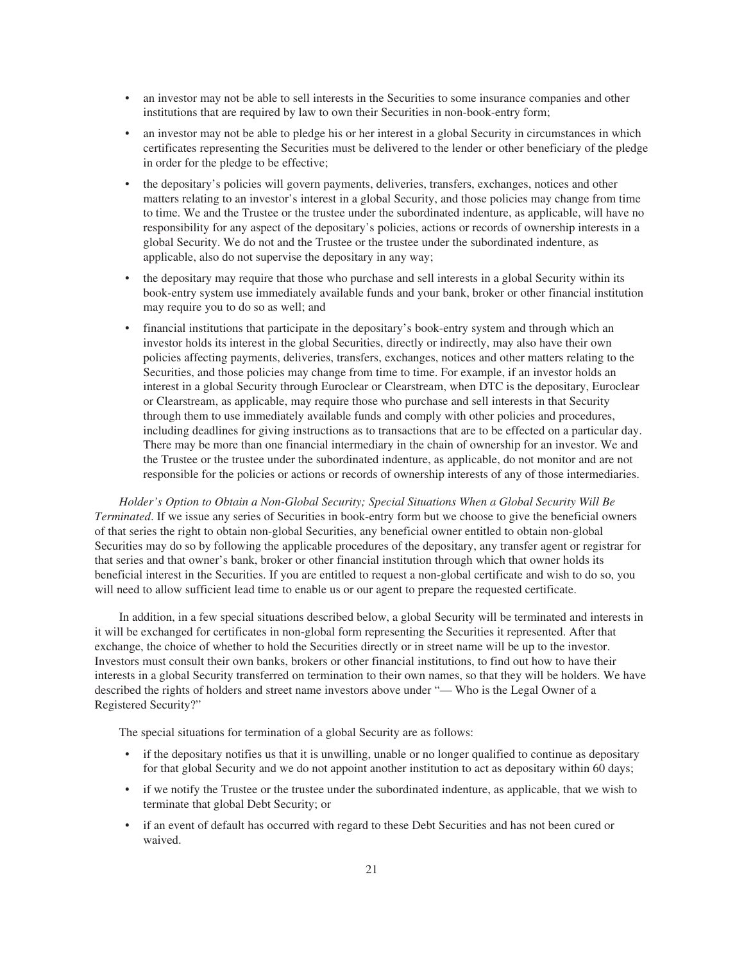- an investor may not be able to sell interests in the Securities to some insurance companies and other institutions that are required by law to own their Securities in non-book-entry form;
- an investor may not be able to pledge his or her interest in a global Security in circumstances in which certificates representing the Securities must be delivered to the lender or other beneficiary of the pledge in order for the pledge to be effective;
- the depositary's policies will govern payments, deliveries, transfers, exchanges, notices and other matters relating to an investor's interest in a global Security, and those policies may change from time to time. We and the Trustee or the trustee under the subordinated indenture, as applicable, will have no responsibility for any aspect of the depositary's policies, actions or records of ownership interests in a global Security. We do not and the Trustee or the trustee under the subordinated indenture, as applicable, also do not supervise the depositary in any way;
- the depositary may require that those who purchase and sell interests in a global Security within its book-entry system use immediately available funds and your bank, broker or other financial institution may require you to do so as well; and
- financial institutions that participate in the depositary's book-entry system and through which an investor holds its interest in the global Securities, directly or indirectly, may also have their own policies affecting payments, deliveries, transfers, exchanges, notices and other matters relating to the Securities, and those policies may change from time to time. For example, if an investor holds an interest in a global Security through Euroclear or Clearstream, when DTC is the depositary, Euroclear or Clearstream, as applicable, may require those who purchase and sell interests in that Security through them to use immediately available funds and comply with other policies and procedures, including deadlines for giving instructions as to transactions that are to be effected on a particular day. There may be more than one financial intermediary in the chain of ownership for an investor. We and the Trustee or the trustee under the subordinated indenture, as applicable, do not monitor and are not responsible for the policies or actions or records of ownership interests of any of those intermediaries.

*Holder's Option to Obtain a Non-Global Security; Special Situations When a Global Security Will Be Terminated*. If we issue any series of Securities in book-entry form but we choose to give the beneficial owners of that series the right to obtain non-global Securities, any beneficial owner entitled to obtain non-global Securities may do so by following the applicable procedures of the depositary, any transfer agent or registrar for that series and that owner's bank, broker or other financial institution through which that owner holds its beneficial interest in the Securities. If you are entitled to request a non-global certificate and wish to do so, you will need to allow sufficient lead time to enable us or our agent to prepare the requested certificate.

In addition, in a few special situations described below, a global Security will be terminated and interests in it will be exchanged for certificates in non-global form representing the Securities it represented. After that exchange, the choice of whether to hold the Securities directly or in street name will be up to the investor. Investors must consult their own banks, brokers or other financial institutions, to find out how to have their interests in a global Security transferred on termination to their own names, so that they will be holders. We have described the rights of holders and street name investors above under "— Who is the Legal Owner of a Registered Security?"

The special situations for termination of a global Security are as follows:

- if the depositary notifies us that it is unwilling, unable or no longer qualified to continue as depositary for that global Security and we do not appoint another institution to act as depositary within 60 days;
- if we notify the Trustee or the trustee under the subordinated indenture, as applicable, that we wish to terminate that global Debt Security; or
- if an event of default has occurred with regard to these Debt Securities and has not been cured or waived.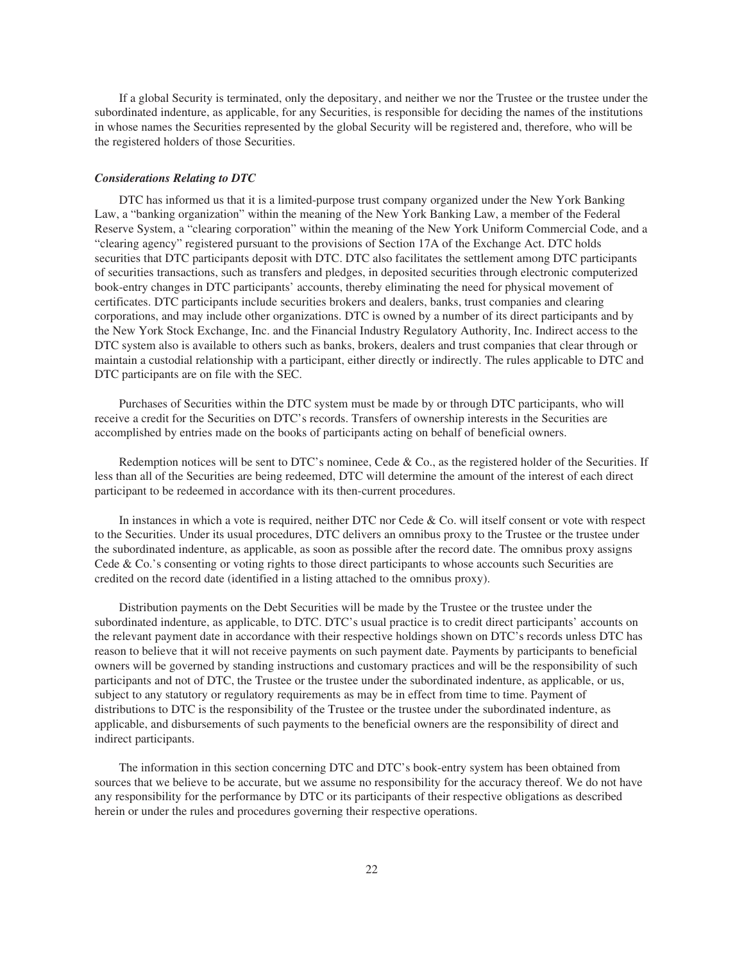If a global Security is terminated, only the depositary, and neither we nor the Trustee or the trustee under the subordinated indenture, as applicable, for any Securities, is responsible for deciding the names of the institutions in whose names the Securities represented by the global Security will be registered and, therefore, who will be the registered holders of those Securities.

#### *Considerations Relating to DTC*

DTC has informed us that it is a limited-purpose trust company organized under the New York Banking Law, a "banking organization" within the meaning of the New York Banking Law, a member of the Federal Reserve System, a "clearing corporation" within the meaning of the New York Uniform Commercial Code, and a "clearing agency" registered pursuant to the provisions of Section 17A of the Exchange Act. DTC holds securities that DTC participants deposit with DTC. DTC also facilitates the settlement among DTC participants of securities transactions, such as transfers and pledges, in deposited securities through electronic computerized book-entry changes in DTC participants' accounts, thereby eliminating the need for physical movement of certificates. DTC participants include securities brokers and dealers, banks, trust companies and clearing corporations, and may include other organizations. DTC is owned by a number of its direct participants and by the New York Stock Exchange, Inc. and the Financial Industry Regulatory Authority, Inc. Indirect access to the DTC system also is available to others such as banks, brokers, dealers and trust companies that clear through or maintain a custodial relationship with a participant, either directly or indirectly. The rules applicable to DTC and DTC participants are on file with the SEC.

Purchases of Securities within the DTC system must be made by or through DTC participants, who will receive a credit for the Securities on DTC's records. Transfers of ownership interests in the Securities are accomplished by entries made on the books of participants acting on behalf of beneficial owners.

Redemption notices will be sent to DTC's nominee, Cede & Co., as the registered holder of the Securities. If less than all of the Securities are being redeemed, DTC will determine the amount of the interest of each direct participant to be redeemed in accordance with its then-current procedures.

In instances in which a vote is required, neither DTC nor Cede & Co. will itself consent or vote with respect to the Securities. Under its usual procedures, DTC delivers an omnibus proxy to the Trustee or the trustee under the subordinated indenture, as applicable, as soon as possible after the record date. The omnibus proxy assigns Cede & Co.'s consenting or voting rights to those direct participants to whose accounts such Securities are credited on the record date (identified in a listing attached to the omnibus proxy).

Distribution payments on the Debt Securities will be made by the Trustee or the trustee under the subordinated indenture, as applicable, to DTC. DTC's usual practice is to credit direct participants' accounts on the relevant payment date in accordance with their respective holdings shown on DTC's records unless DTC has reason to believe that it will not receive payments on such payment date. Payments by participants to beneficial owners will be governed by standing instructions and customary practices and will be the responsibility of such participants and not of DTC, the Trustee or the trustee under the subordinated indenture, as applicable, or us, subject to any statutory or regulatory requirements as may be in effect from time to time. Payment of distributions to DTC is the responsibility of the Trustee or the trustee under the subordinated indenture, as applicable, and disbursements of such payments to the beneficial owners are the responsibility of direct and indirect participants.

The information in this section concerning DTC and DTC's book-entry system has been obtained from sources that we believe to be accurate, but we assume no responsibility for the accuracy thereof. We do not have any responsibility for the performance by DTC or its participants of their respective obligations as described herein or under the rules and procedures governing their respective operations.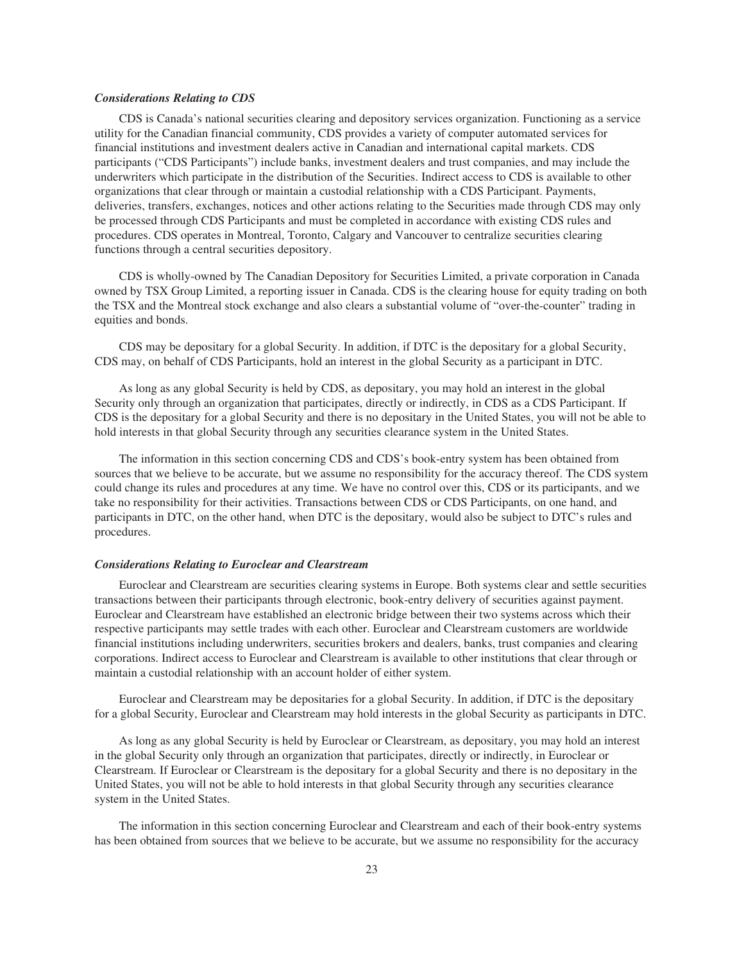#### *Considerations Relating to CDS*

CDS is Canada's national securities clearing and depository services organization. Functioning as a service utility for the Canadian financial community, CDS provides a variety of computer automated services for financial institutions and investment dealers active in Canadian and international capital markets. CDS participants ("CDS Participants") include banks, investment dealers and trust companies, and may include the underwriters which participate in the distribution of the Securities. Indirect access to CDS is available to other organizations that clear through or maintain a custodial relationship with a CDS Participant. Payments, deliveries, transfers, exchanges, notices and other actions relating to the Securities made through CDS may only be processed through CDS Participants and must be completed in accordance with existing CDS rules and procedures. CDS operates in Montreal, Toronto, Calgary and Vancouver to centralize securities clearing functions through a central securities depository.

CDS is wholly-owned by The Canadian Depository for Securities Limited, a private corporation in Canada owned by TSX Group Limited, a reporting issuer in Canada. CDS is the clearing house for equity trading on both the TSX and the Montreal stock exchange and also clears a substantial volume of "over-the-counter" trading in equities and bonds.

CDS may be depositary for a global Security. In addition, if DTC is the depositary for a global Security, CDS may, on behalf of CDS Participants, hold an interest in the global Security as a participant in DTC.

As long as any global Security is held by CDS, as depositary, you may hold an interest in the global Security only through an organization that participates, directly or indirectly, in CDS as a CDS Participant. If CDS is the depositary for a global Security and there is no depositary in the United States, you will not be able to hold interests in that global Security through any securities clearance system in the United States.

The information in this section concerning CDS and CDS's book-entry system has been obtained from sources that we believe to be accurate, but we assume no responsibility for the accuracy thereof. The CDS system could change its rules and procedures at any time. We have no control over this, CDS or its participants, and we take no responsibility for their activities. Transactions between CDS or CDS Participants, on one hand, and participants in DTC, on the other hand, when DTC is the depositary, would also be subject to DTC's rules and procedures.

#### *Considerations Relating to Euroclear and Clearstream*

Euroclear and Clearstream are securities clearing systems in Europe. Both systems clear and settle securities transactions between their participants through electronic, book-entry delivery of securities against payment. Euroclear and Clearstream have established an electronic bridge between their two systems across which their respective participants may settle trades with each other. Euroclear and Clearstream customers are worldwide financial institutions including underwriters, securities brokers and dealers, banks, trust companies and clearing corporations. Indirect access to Euroclear and Clearstream is available to other institutions that clear through or maintain a custodial relationship with an account holder of either system.

Euroclear and Clearstream may be depositaries for a global Security. In addition, if DTC is the depositary for a global Security, Euroclear and Clearstream may hold interests in the global Security as participants in DTC.

As long as any global Security is held by Euroclear or Clearstream, as depositary, you may hold an interest in the global Security only through an organization that participates, directly or indirectly, in Euroclear or Clearstream. If Euroclear or Clearstream is the depositary for a global Security and there is no depositary in the United States, you will not be able to hold interests in that global Security through any securities clearance system in the United States.

The information in this section concerning Euroclear and Clearstream and each of their book-entry systems has been obtained from sources that we believe to be accurate, but we assume no responsibility for the accuracy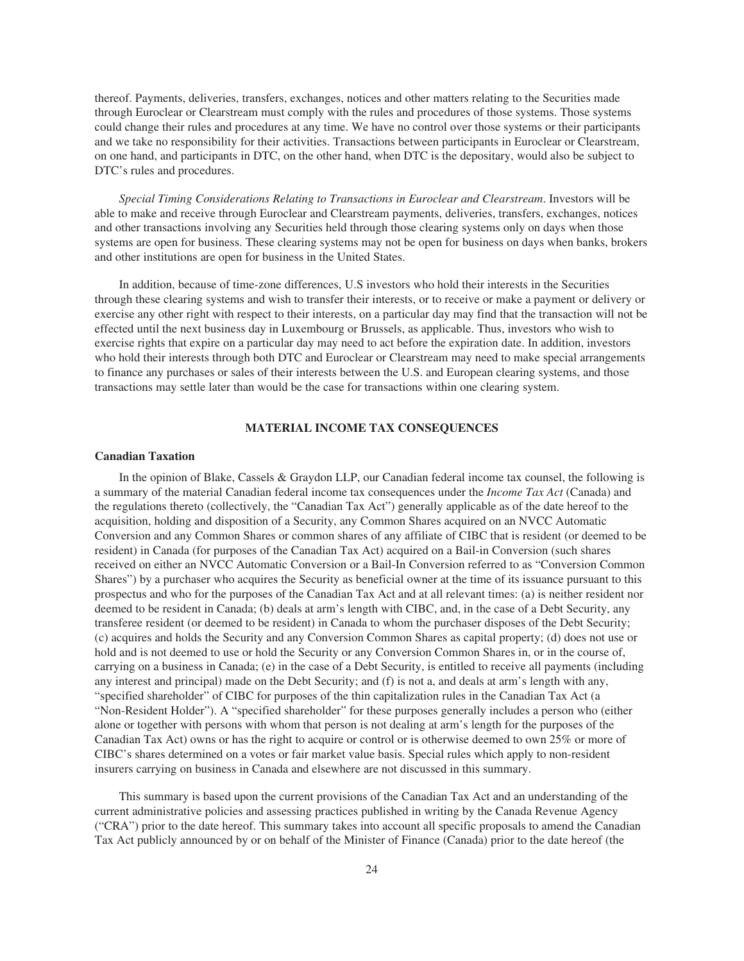thereof. Payments, deliveries, transfers, exchanges, notices and other matters relating to the Securities made through Euroclear or Clearstream must comply with the rules and procedures of those systems. Those systems could change their rules and procedures at any time. We have no control over those systems or their participants and we take no responsibility for their activities. Transactions between participants in Euroclear or Clearstream, on one hand, and participants in DTC, on the other hand, when DTC is the depositary, would also be subject to DTC's rules and procedures.

*Special Timing Considerations Relating to Transactions in Euroclear and Clearstream*. Investors will be able to make and receive through Euroclear and Clearstream payments, deliveries, transfers, exchanges, notices and other transactions involving any Securities held through those clearing systems only on days when those systems are open for business. These clearing systems may not be open for business on days when banks, brokers and other institutions are open for business in the United States.

In addition, because of time-zone differences, U.S investors who hold their interests in the Securities through these clearing systems and wish to transfer their interests, or to receive or make a payment or delivery or exercise any other right with respect to their interests, on a particular day may find that the transaction will not be effected until the next business day in Luxembourg or Brussels, as applicable. Thus, investors who wish to exercise rights that expire on a particular day may need to act before the expiration date. In addition, investors who hold their interests through both DTC and Euroclear or Clearstream may need to make special arrangements to finance any purchases or sales of their interests between the U.S. and European clearing systems, and those transactions may settle later than would be the case for transactions within one clearing system.

#### **MATERIAL INCOME TAX CONSEQUENCES**

#### **Canadian Taxation**

In the opinion of Blake, Cassels & Graydon LLP, our Canadian federal income tax counsel, the following is a summary of the material Canadian federal income tax consequences under the *Income Tax Act* (Canada) and the regulations thereto (collectively, the "Canadian Tax Act") generally applicable as of the date hereof to the acquisition, holding and disposition of a Security, any Common Shares acquired on an NVCC Automatic Conversion and any Common Shares or common shares of any affiliate of CIBC that is resident (or deemed to be resident) in Canada (for purposes of the Canadian Tax Act) acquired on a Bail-in Conversion (such shares received on either an NVCC Automatic Conversion or a Bail-In Conversion referred to as "Conversion Common Shares") by a purchaser who acquires the Security as beneficial owner at the time of its issuance pursuant to this prospectus and who for the purposes of the Canadian Tax Act and at all relevant times: (a) is neither resident nor deemed to be resident in Canada; (b) deals at arm's length with CIBC, and, in the case of a Debt Security, any transferee resident (or deemed to be resident) in Canada to whom the purchaser disposes of the Debt Security; (c) acquires and holds the Security and any Conversion Common Shares as capital property; (d) does not use or hold and is not deemed to use or hold the Security or any Conversion Common Shares in, or in the course of, carrying on a business in Canada; (e) in the case of a Debt Security, is entitled to receive all payments (including any interest and principal) made on the Debt Security; and (f) is not a, and deals at arm's length with any, "specified shareholder" of CIBC for purposes of the thin capitalization rules in the Canadian Tax Act (a "Non-Resident Holder"). A "specified shareholder" for these purposes generally includes a person who (either alone or together with persons with whom that person is not dealing at arm's length for the purposes of the Canadian Tax Act) owns or has the right to acquire or control or is otherwise deemed to own 25% or more of CIBC's shares determined on a votes or fair market value basis. Special rules which apply to non-resident insurers carrying on business in Canada and elsewhere are not discussed in this summary.

This summary is based upon the current provisions of the Canadian Tax Act and an understanding of the current administrative policies and assessing practices published in writing by the Canada Revenue Agency ("CRA") prior to the date hereof. This summary takes into account all specific proposals to amend the Canadian Tax Act publicly announced by or on behalf of the Minister of Finance (Canada) prior to the date hereof (the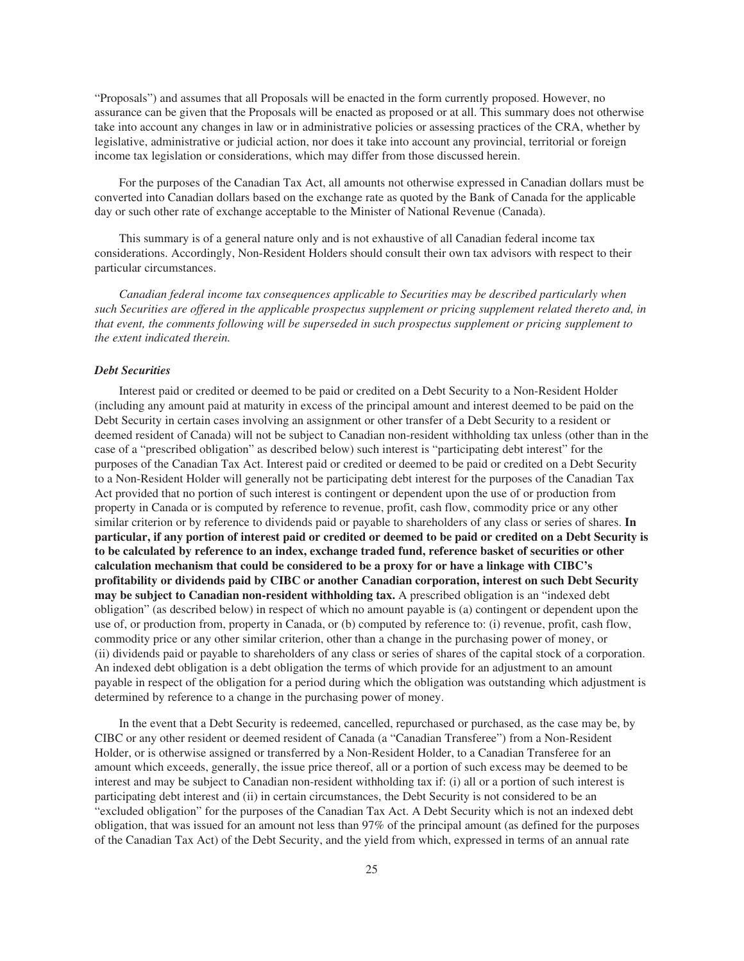"Proposals") and assumes that all Proposals will be enacted in the form currently proposed. However, no assurance can be given that the Proposals will be enacted as proposed or at all. This summary does not otherwise take into account any changes in law or in administrative policies or assessing practices of the CRA, whether by legislative, administrative or judicial action, nor does it take into account any provincial, territorial or foreign income tax legislation or considerations, which may differ from those discussed herein.

For the purposes of the Canadian Tax Act, all amounts not otherwise expressed in Canadian dollars must be converted into Canadian dollars based on the exchange rate as quoted by the Bank of Canada for the applicable day or such other rate of exchange acceptable to the Minister of National Revenue (Canada).

This summary is of a general nature only and is not exhaustive of all Canadian federal income tax considerations. Accordingly, Non-Resident Holders should consult their own tax advisors with respect to their particular circumstances.

*Canadian federal income tax consequences applicable to Securities may be described particularly when such Securities are offered in the applicable prospectus supplement or pricing supplement related thereto and, in that event, the comments following will be superseded in such prospectus supplement or pricing supplement to the extent indicated therein.*

#### *Debt Securities*

Interest paid or credited or deemed to be paid or credited on a Debt Security to a Non-Resident Holder (including any amount paid at maturity in excess of the principal amount and interest deemed to be paid on the Debt Security in certain cases involving an assignment or other transfer of a Debt Security to a resident or deemed resident of Canada) will not be subject to Canadian non-resident withholding tax unless (other than in the case of a "prescribed obligation" as described below) such interest is "participating debt interest" for the purposes of the Canadian Tax Act. Interest paid or credited or deemed to be paid or credited on a Debt Security to a Non-Resident Holder will generally not be participating debt interest for the purposes of the Canadian Tax Act provided that no portion of such interest is contingent or dependent upon the use of or production from property in Canada or is computed by reference to revenue, profit, cash flow, commodity price or any other similar criterion or by reference to dividends paid or payable to shareholders of any class or series of shares. **In particular, if any portion of interest paid or credited or deemed to be paid or credited on a Debt Security is to be calculated by reference to an index, exchange traded fund, reference basket of securities or other calculation mechanism that could be considered to be a proxy for or have a linkage with CIBC's profitability or dividends paid by CIBC or another Canadian corporation, interest on such Debt Security may be subject to Canadian non-resident withholding tax.** A prescribed obligation is an "indexed debt obligation" (as described below) in respect of which no amount payable is (a) contingent or dependent upon the use of, or production from, property in Canada, or (b) computed by reference to: (i) revenue, profit, cash flow, commodity price or any other similar criterion, other than a change in the purchasing power of money, or (ii) dividends paid or payable to shareholders of any class or series of shares of the capital stock of a corporation. An indexed debt obligation is a debt obligation the terms of which provide for an adjustment to an amount payable in respect of the obligation for a period during which the obligation was outstanding which adjustment is determined by reference to a change in the purchasing power of money.

In the event that a Debt Security is redeemed, cancelled, repurchased or purchased, as the case may be, by CIBC or any other resident or deemed resident of Canada (a "Canadian Transferee") from a Non-Resident Holder, or is otherwise assigned or transferred by a Non-Resident Holder, to a Canadian Transferee for an amount which exceeds, generally, the issue price thereof, all or a portion of such excess may be deemed to be interest and may be subject to Canadian non-resident withholding tax if: (i) all or a portion of such interest is participating debt interest and (ii) in certain circumstances, the Debt Security is not considered to be an "excluded obligation" for the purposes of the Canadian Tax Act. A Debt Security which is not an indexed debt obligation, that was issued for an amount not less than 97% of the principal amount (as defined for the purposes of the Canadian Tax Act) of the Debt Security, and the yield from which, expressed in terms of an annual rate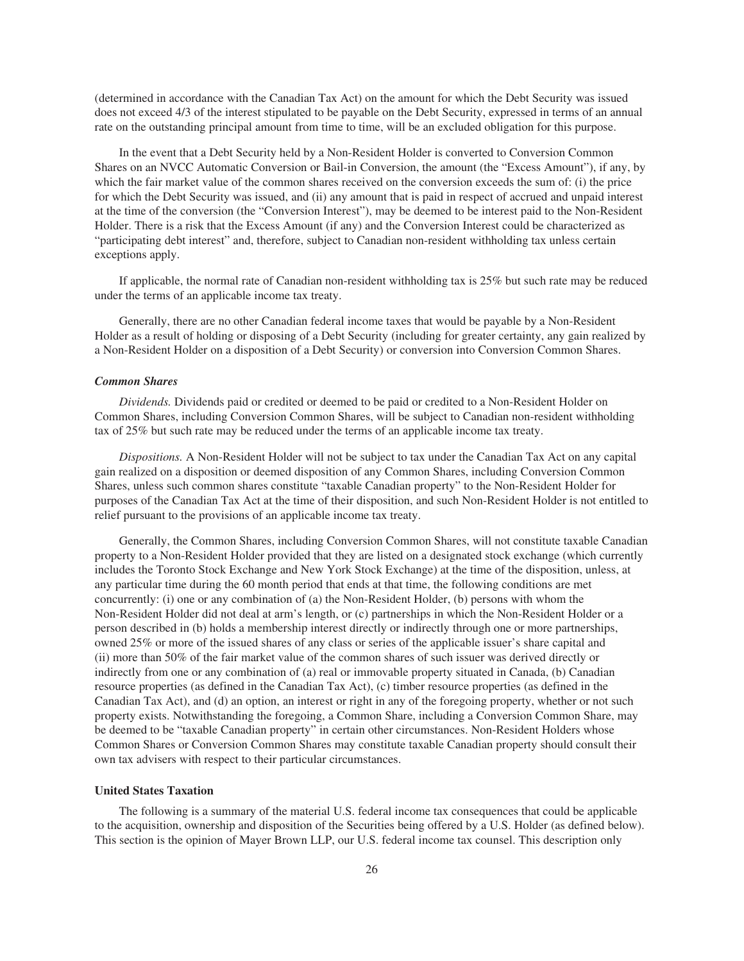(determined in accordance with the Canadian Tax Act) on the amount for which the Debt Security was issued does not exceed 4/3 of the interest stipulated to be payable on the Debt Security, expressed in terms of an annual rate on the outstanding principal amount from time to time, will be an excluded obligation for this purpose.

In the event that a Debt Security held by a Non-Resident Holder is converted to Conversion Common Shares on an NVCC Automatic Conversion or Bail-in Conversion, the amount (the "Excess Amount"), if any, by which the fair market value of the common shares received on the conversion exceeds the sum of: (i) the price for which the Debt Security was issued, and (ii) any amount that is paid in respect of accrued and unpaid interest at the time of the conversion (the "Conversion Interest"), may be deemed to be interest paid to the Non-Resident Holder. There is a risk that the Excess Amount (if any) and the Conversion Interest could be characterized as "participating debt interest" and, therefore, subject to Canadian non-resident withholding tax unless certain exceptions apply.

If applicable, the normal rate of Canadian non-resident withholding tax is 25% but such rate may be reduced under the terms of an applicable income tax treaty.

Generally, there are no other Canadian federal income taxes that would be payable by a Non-Resident Holder as a result of holding or disposing of a Debt Security (including for greater certainty, any gain realized by a Non-Resident Holder on a disposition of a Debt Security) or conversion into Conversion Common Shares.

#### *Common Shares*

*Dividends.* Dividends paid or credited or deemed to be paid or credited to a Non-Resident Holder on Common Shares, including Conversion Common Shares, will be subject to Canadian non-resident withholding tax of 25% but such rate may be reduced under the terms of an applicable income tax treaty.

*Dispositions.* A Non-Resident Holder will not be subject to tax under the Canadian Tax Act on any capital gain realized on a disposition or deemed disposition of any Common Shares, including Conversion Common Shares, unless such common shares constitute "taxable Canadian property" to the Non-Resident Holder for purposes of the Canadian Tax Act at the time of their disposition, and such Non-Resident Holder is not entitled to relief pursuant to the provisions of an applicable income tax treaty.

Generally, the Common Shares, including Conversion Common Shares, will not constitute taxable Canadian property to a Non-Resident Holder provided that they are listed on a designated stock exchange (which currently includes the Toronto Stock Exchange and New York Stock Exchange) at the time of the disposition, unless, at any particular time during the 60 month period that ends at that time, the following conditions are met concurrently: (i) one or any combination of (a) the Non-Resident Holder, (b) persons with whom the Non-Resident Holder did not deal at arm's length, or (c) partnerships in which the Non-Resident Holder or a person described in (b) holds a membership interest directly or indirectly through one or more partnerships, owned 25% or more of the issued shares of any class or series of the applicable issuer's share capital and (ii) more than 50% of the fair market value of the common shares of such issuer was derived directly or indirectly from one or any combination of (a) real or immovable property situated in Canada, (b) Canadian resource properties (as defined in the Canadian Tax Act), (c) timber resource properties (as defined in the Canadian Tax Act), and (d) an option, an interest or right in any of the foregoing property, whether or not such property exists. Notwithstanding the foregoing, a Common Share, including a Conversion Common Share, may be deemed to be "taxable Canadian property" in certain other circumstances. Non-Resident Holders whose Common Shares or Conversion Common Shares may constitute taxable Canadian property should consult their own tax advisers with respect to their particular circumstances.

#### **United States Taxation**

The following is a summary of the material U.S. federal income tax consequences that could be applicable to the acquisition, ownership and disposition of the Securities being offered by a U.S. Holder (as defined below). This section is the opinion of Mayer Brown LLP, our U.S. federal income tax counsel. This description only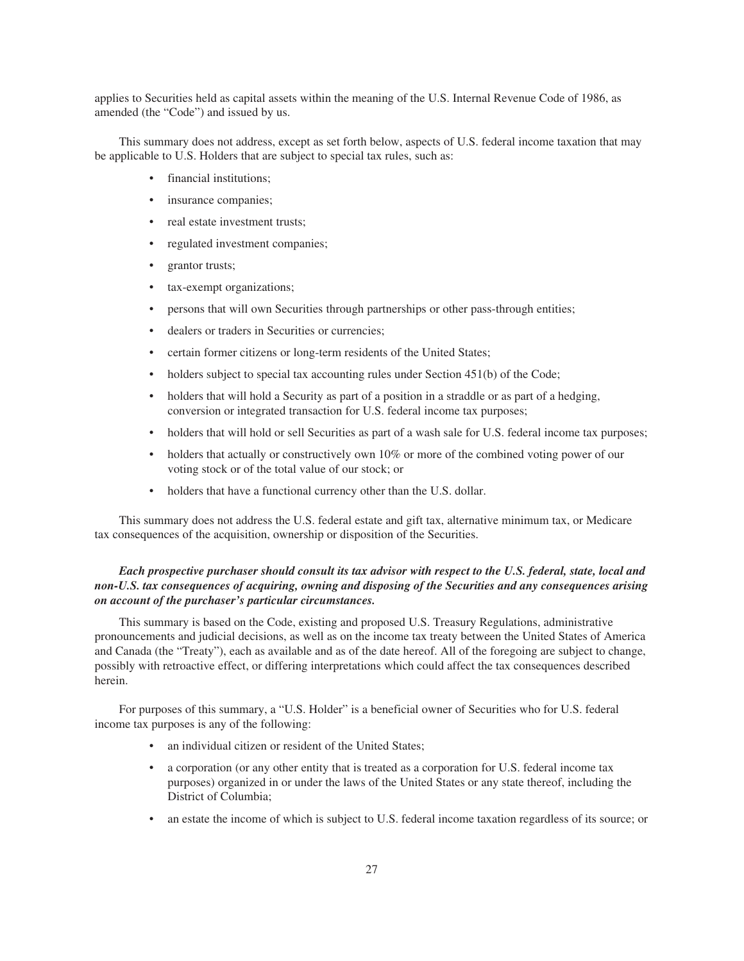applies to Securities held as capital assets within the meaning of the U.S. Internal Revenue Code of 1986, as amended (the "Code") and issued by us.

This summary does not address, except as set forth below, aspects of U.S. federal income taxation that may be applicable to U.S. Holders that are subject to special tax rules, such as:

- financial institutions;
- insurance companies;
- real estate investment trusts;
- regulated investment companies;
- grantor trusts;
- tax-exempt organizations;
- persons that will own Securities through partnerships or other pass-through entities;
- dealers or traders in Securities or currencies;
- certain former citizens or long-term residents of the United States;
- holders subject to special tax accounting rules under Section 451(b) of the Code;
- holders that will hold a Security as part of a position in a straddle or as part of a hedging, conversion or integrated transaction for U.S. federal income tax purposes;
- holders that will hold or sell Securities as part of a wash sale for U.S. federal income tax purposes;
- holders that actually or constructively own 10% or more of the combined voting power of our voting stock or of the total value of our stock; or
- holders that have a functional currency other than the U.S. dollar.

This summary does not address the U.S. federal estate and gift tax, alternative minimum tax, or Medicare tax consequences of the acquisition, ownership or disposition of the Securities.

# *Each prospective purchaser should consult its tax advisor with respect to the U.S. federal, state, local and non-U.S. tax consequences of acquiring, owning and disposing of the Securities and any consequences arising on account of the purchaser's particular circumstances.*

This summary is based on the Code, existing and proposed U.S. Treasury Regulations, administrative pronouncements and judicial decisions, as well as on the income tax treaty between the United States of America and Canada (the "Treaty"), each as available and as of the date hereof. All of the foregoing are subject to change, possibly with retroactive effect, or differing interpretations which could affect the tax consequences described herein.

For purposes of this summary, a "U.S. Holder" is a beneficial owner of Securities who for U.S. federal income tax purposes is any of the following:

- an individual citizen or resident of the United States;
- a corporation (or any other entity that is treated as a corporation for U.S. federal income tax purposes) organized in or under the laws of the United States or any state thereof, including the District of Columbia;
- an estate the income of which is subject to U.S. federal income taxation regardless of its source; or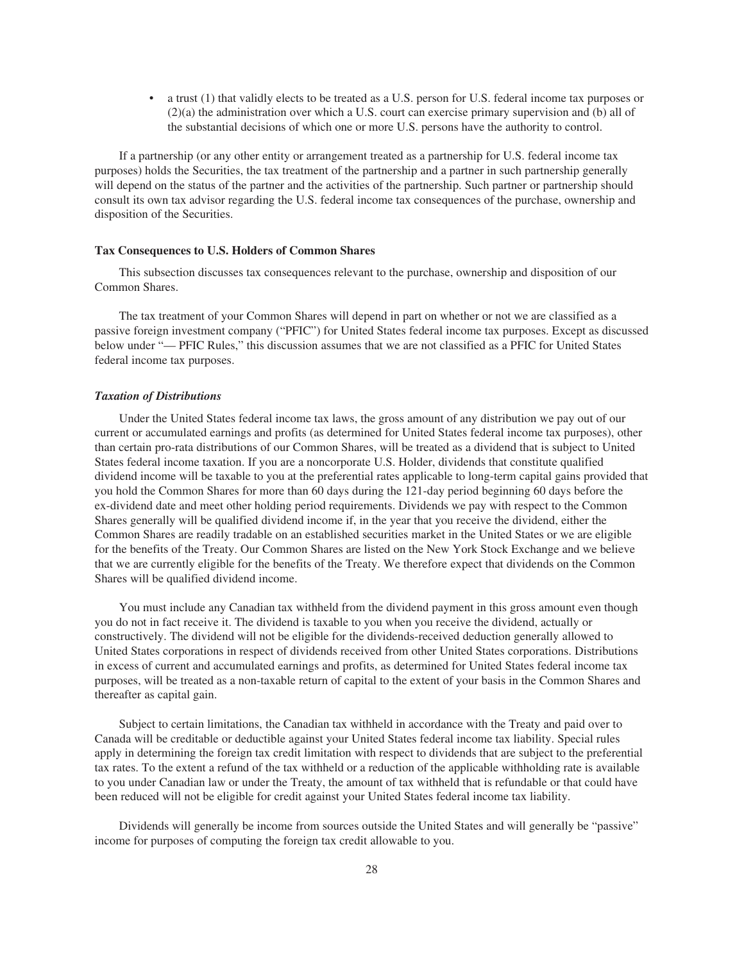• a trust (1) that validly elects to be treated as a U.S. person for U.S. federal income tax purposes or (2)(a) the administration over which a U.S. court can exercise primary supervision and (b) all of the substantial decisions of which one or more U.S. persons have the authority to control.

If a partnership (or any other entity or arrangement treated as a partnership for U.S. federal income tax purposes) holds the Securities, the tax treatment of the partnership and a partner in such partnership generally will depend on the status of the partner and the activities of the partnership. Such partner or partnership should consult its own tax advisor regarding the U.S. federal income tax consequences of the purchase, ownership and disposition of the Securities.

#### **Tax Consequences to U.S. Holders of Common Shares**

This subsection discusses tax consequences relevant to the purchase, ownership and disposition of our Common Shares.

The tax treatment of your Common Shares will depend in part on whether or not we are classified as a passive foreign investment company ("PFIC") for United States federal income tax purposes. Except as discussed below under "— PFIC Rules," this discussion assumes that we are not classified as a PFIC for United States federal income tax purposes.

#### *Taxation of Distributions*

Under the United States federal income tax laws, the gross amount of any distribution we pay out of our current or accumulated earnings and profits (as determined for United States federal income tax purposes), other than certain pro-rata distributions of our Common Shares, will be treated as a dividend that is subject to United States federal income taxation. If you are a noncorporate U.S. Holder, dividends that constitute qualified dividend income will be taxable to you at the preferential rates applicable to long-term capital gains provided that you hold the Common Shares for more than 60 days during the 121-day period beginning 60 days before the ex-dividend date and meet other holding period requirements. Dividends we pay with respect to the Common Shares generally will be qualified dividend income if, in the year that you receive the dividend, either the Common Shares are readily tradable on an established securities market in the United States or we are eligible for the benefits of the Treaty. Our Common Shares are listed on the New York Stock Exchange and we believe that we are currently eligible for the benefits of the Treaty. We therefore expect that dividends on the Common Shares will be qualified dividend income.

You must include any Canadian tax withheld from the dividend payment in this gross amount even though you do not in fact receive it. The dividend is taxable to you when you receive the dividend, actually or constructively. The dividend will not be eligible for the dividends-received deduction generally allowed to United States corporations in respect of dividends received from other United States corporations. Distributions in excess of current and accumulated earnings and profits, as determined for United States federal income tax purposes, will be treated as a non-taxable return of capital to the extent of your basis in the Common Shares and thereafter as capital gain.

Subject to certain limitations, the Canadian tax withheld in accordance with the Treaty and paid over to Canada will be creditable or deductible against your United States federal income tax liability. Special rules apply in determining the foreign tax credit limitation with respect to dividends that are subject to the preferential tax rates. To the extent a refund of the tax withheld or a reduction of the applicable withholding rate is available to you under Canadian law or under the Treaty, the amount of tax withheld that is refundable or that could have been reduced will not be eligible for credit against your United States federal income tax liability.

Dividends will generally be income from sources outside the United States and will generally be "passive" income for purposes of computing the foreign tax credit allowable to you.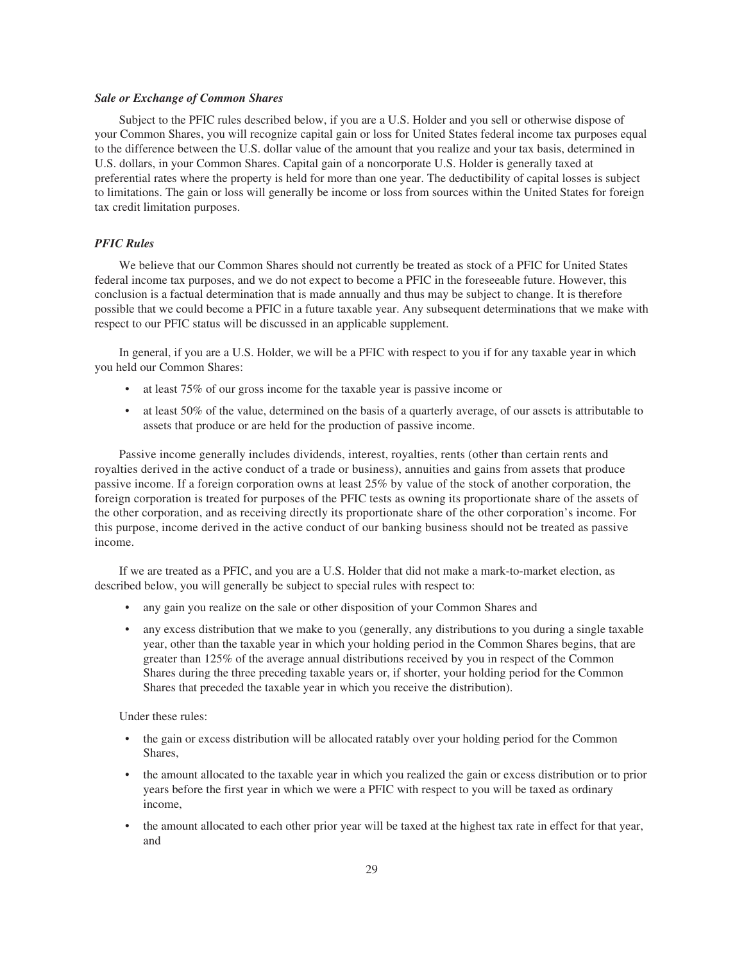#### *Sale or Exchange of Common Shares*

Subject to the PFIC rules described below, if you are a U.S. Holder and you sell or otherwise dispose of your Common Shares, you will recognize capital gain or loss for United States federal income tax purposes equal to the difference between the U.S. dollar value of the amount that you realize and your tax basis, determined in U.S. dollars, in your Common Shares. Capital gain of a noncorporate U.S. Holder is generally taxed at preferential rates where the property is held for more than one year. The deductibility of capital losses is subject to limitations. The gain or loss will generally be income or loss from sources within the United States for foreign tax credit limitation purposes.

#### *PFIC Rules*

We believe that our Common Shares should not currently be treated as stock of a PFIC for United States federal income tax purposes, and we do not expect to become a PFIC in the foreseeable future. However, this conclusion is a factual determination that is made annually and thus may be subject to change. It is therefore possible that we could become a PFIC in a future taxable year. Any subsequent determinations that we make with respect to our PFIC status will be discussed in an applicable supplement.

In general, if you are a U.S. Holder, we will be a PFIC with respect to you if for any taxable year in which you held our Common Shares:

- at least 75% of our gross income for the taxable year is passive income or
- at least 50% of the value, determined on the basis of a quarterly average, of our assets is attributable to assets that produce or are held for the production of passive income.

Passive income generally includes dividends, interest, royalties, rents (other than certain rents and royalties derived in the active conduct of a trade or business), annuities and gains from assets that produce passive income. If a foreign corporation owns at least 25% by value of the stock of another corporation, the foreign corporation is treated for purposes of the PFIC tests as owning its proportionate share of the assets of the other corporation, and as receiving directly its proportionate share of the other corporation's income. For this purpose, income derived in the active conduct of our banking business should not be treated as passive income.

If we are treated as a PFIC, and you are a U.S. Holder that did not make a mark-to-market election, as described below, you will generally be subject to special rules with respect to:

- any gain you realize on the sale or other disposition of your Common Shares and
- any excess distribution that we make to you (generally, any distributions to you during a single taxable year, other than the taxable year in which your holding period in the Common Shares begins, that are greater than 125% of the average annual distributions received by you in respect of the Common Shares during the three preceding taxable years or, if shorter, your holding period for the Common Shares that preceded the taxable year in which you receive the distribution).

Under these rules:

- the gain or excess distribution will be allocated ratably over your holding period for the Common Shares,
- the amount allocated to the taxable year in which you realized the gain or excess distribution or to prior years before the first year in which we were a PFIC with respect to you will be taxed as ordinary income,
- the amount allocated to each other prior year will be taxed at the highest tax rate in effect for that year, and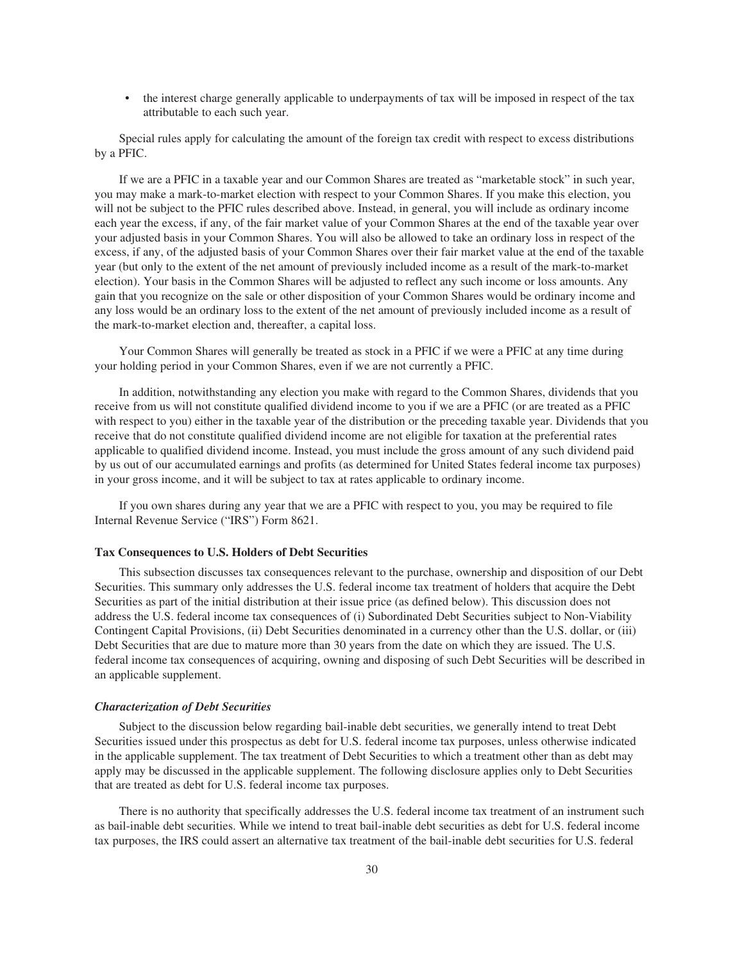• the interest charge generally applicable to underpayments of tax will be imposed in respect of the tax attributable to each such year.

Special rules apply for calculating the amount of the foreign tax credit with respect to excess distributions by a PFIC.

If we are a PFIC in a taxable year and our Common Shares are treated as "marketable stock" in such year, you may make a mark-to-market election with respect to your Common Shares. If you make this election, you will not be subject to the PFIC rules described above. Instead, in general, you will include as ordinary income each year the excess, if any, of the fair market value of your Common Shares at the end of the taxable year over your adjusted basis in your Common Shares. You will also be allowed to take an ordinary loss in respect of the excess, if any, of the adjusted basis of your Common Shares over their fair market value at the end of the taxable year (but only to the extent of the net amount of previously included income as a result of the mark-to-market election). Your basis in the Common Shares will be adjusted to reflect any such income or loss amounts. Any gain that you recognize on the sale or other disposition of your Common Shares would be ordinary income and any loss would be an ordinary loss to the extent of the net amount of previously included income as a result of the mark-to-market election and, thereafter, a capital loss.

Your Common Shares will generally be treated as stock in a PFIC if we were a PFIC at any time during your holding period in your Common Shares, even if we are not currently a PFIC.

In addition, notwithstanding any election you make with regard to the Common Shares, dividends that you receive from us will not constitute qualified dividend income to you if we are a PFIC (or are treated as a PFIC with respect to you) either in the taxable year of the distribution or the preceding taxable year. Dividends that you receive that do not constitute qualified dividend income are not eligible for taxation at the preferential rates applicable to qualified dividend income. Instead, you must include the gross amount of any such dividend paid by us out of our accumulated earnings and profits (as determined for United States federal income tax purposes) in your gross income, and it will be subject to tax at rates applicable to ordinary income.

If you own shares during any year that we are a PFIC with respect to you, you may be required to file Internal Revenue Service ("IRS") Form 8621.

#### **Tax Consequences to U.S. Holders of Debt Securities**

This subsection discusses tax consequences relevant to the purchase, ownership and disposition of our Debt Securities. This summary only addresses the U.S. federal income tax treatment of holders that acquire the Debt Securities as part of the initial distribution at their issue price (as defined below). This discussion does not address the U.S. federal income tax consequences of (i) Subordinated Debt Securities subject to Non-Viability Contingent Capital Provisions, (ii) Debt Securities denominated in a currency other than the U.S. dollar, or (iii) Debt Securities that are due to mature more than 30 years from the date on which they are issued. The U.S. federal income tax consequences of acquiring, owning and disposing of such Debt Securities will be described in an applicable supplement.

#### *Characterization of Debt Securities*

Subject to the discussion below regarding bail-inable debt securities, we generally intend to treat Debt Securities issued under this prospectus as debt for U.S. federal income tax purposes, unless otherwise indicated in the applicable supplement. The tax treatment of Debt Securities to which a treatment other than as debt may apply may be discussed in the applicable supplement. The following disclosure applies only to Debt Securities that are treated as debt for U.S. federal income tax purposes.

There is no authority that specifically addresses the U.S. federal income tax treatment of an instrument such as bail-inable debt securities. While we intend to treat bail-inable debt securities as debt for U.S. federal income tax purposes, the IRS could assert an alternative tax treatment of the bail-inable debt securities for U.S. federal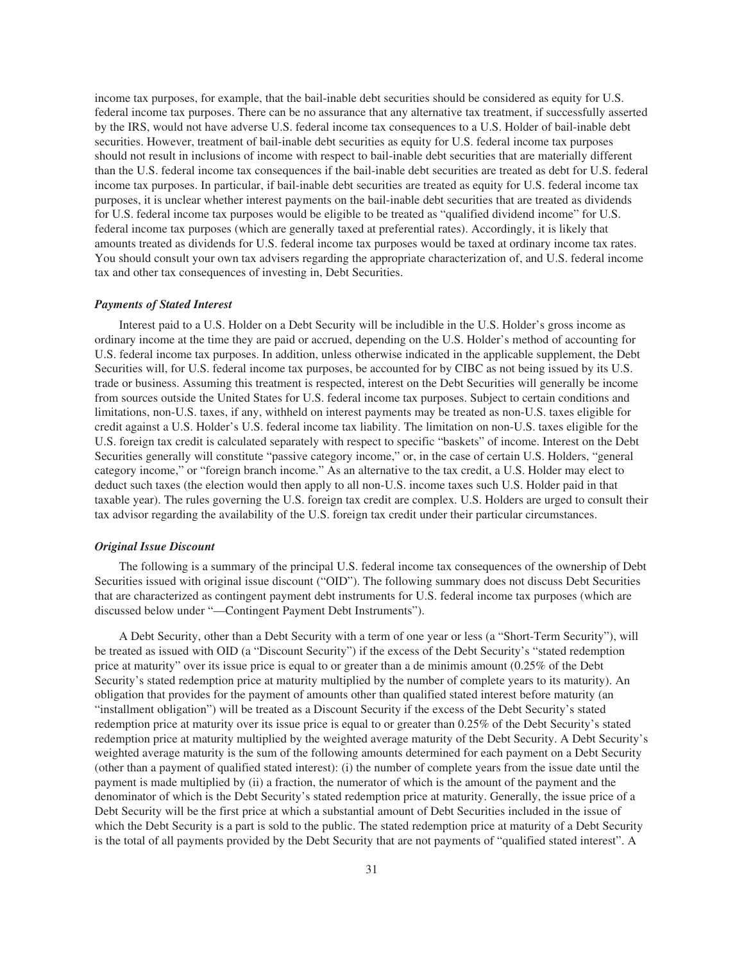income tax purposes, for example, that the bail-inable debt securities should be considered as equity for U.S. federal income tax purposes. There can be no assurance that any alternative tax treatment, if successfully asserted by the IRS, would not have adverse U.S. federal income tax consequences to a U.S. Holder of bail-inable debt securities. However, treatment of bail-inable debt securities as equity for U.S. federal income tax purposes should not result in inclusions of income with respect to bail-inable debt securities that are materially different than the U.S. federal income tax consequences if the bail-inable debt securities are treated as debt for U.S. federal income tax purposes. In particular, if bail-inable debt securities are treated as equity for U.S. federal income tax purposes, it is unclear whether interest payments on the bail-inable debt securities that are treated as dividends for U.S. federal income tax purposes would be eligible to be treated as "qualified dividend income" for U.S. federal income tax purposes (which are generally taxed at preferential rates). Accordingly, it is likely that amounts treated as dividends for U.S. federal income tax purposes would be taxed at ordinary income tax rates. You should consult your own tax advisers regarding the appropriate characterization of, and U.S. federal income tax and other tax consequences of investing in, Debt Securities.

#### *Payments of Stated Interest*

Interest paid to a U.S. Holder on a Debt Security will be includible in the U.S. Holder's gross income as ordinary income at the time they are paid or accrued, depending on the U.S. Holder's method of accounting for U.S. federal income tax purposes. In addition, unless otherwise indicated in the applicable supplement, the Debt Securities will, for U.S. federal income tax purposes, be accounted for by CIBC as not being issued by its U.S. trade or business. Assuming this treatment is respected, interest on the Debt Securities will generally be income from sources outside the United States for U.S. federal income tax purposes. Subject to certain conditions and limitations, non-U.S. taxes, if any, withheld on interest payments may be treated as non-U.S. taxes eligible for credit against a U.S. Holder's U.S. federal income tax liability. The limitation on non-U.S. taxes eligible for the U.S. foreign tax credit is calculated separately with respect to specific "baskets" of income. Interest on the Debt Securities generally will constitute "passive category income," or, in the case of certain U.S. Holders, "general category income," or "foreign branch income." As an alternative to the tax credit, a U.S. Holder may elect to deduct such taxes (the election would then apply to all non-U.S. income taxes such U.S. Holder paid in that taxable year). The rules governing the U.S. foreign tax credit are complex. U.S. Holders are urged to consult their tax advisor regarding the availability of the U.S. foreign tax credit under their particular circumstances.

#### *Original Issue Discount*

The following is a summary of the principal U.S. federal income tax consequences of the ownership of Debt Securities issued with original issue discount ("OID"). The following summary does not discuss Debt Securities that are characterized as contingent payment debt instruments for U.S. federal income tax purposes (which are discussed below under "—Contingent Payment Debt Instruments").

A Debt Security, other than a Debt Security with a term of one year or less (a "Short-Term Security"), will be treated as issued with OID (a "Discount Security") if the excess of the Debt Security's "stated redemption price at maturity" over its issue price is equal to or greater than a de minimis amount (0.25% of the Debt Security's stated redemption price at maturity multiplied by the number of complete years to its maturity). An obligation that provides for the payment of amounts other than qualified stated interest before maturity (an "installment obligation") will be treated as a Discount Security if the excess of the Debt Security's stated redemption price at maturity over its issue price is equal to or greater than 0.25% of the Debt Security's stated redemption price at maturity multiplied by the weighted average maturity of the Debt Security. A Debt Security's weighted average maturity is the sum of the following amounts determined for each payment on a Debt Security (other than a payment of qualified stated interest): (i) the number of complete years from the issue date until the payment is made multiplied by (ii) a fraction, the numerator of which is the amount of the payment and the denominator of which is the Debt Security's stated redemption price at maturity. Generally, the issue price of a Debt Security will be the first price at which a substantial amount of Debt Securities included in the issue of which the Debt Security is a part is sold to the public. The stated redemption price at maturity of a Debt Security is the total of all payments provided by the Debt Security that are not payments of "qualified stated interest". A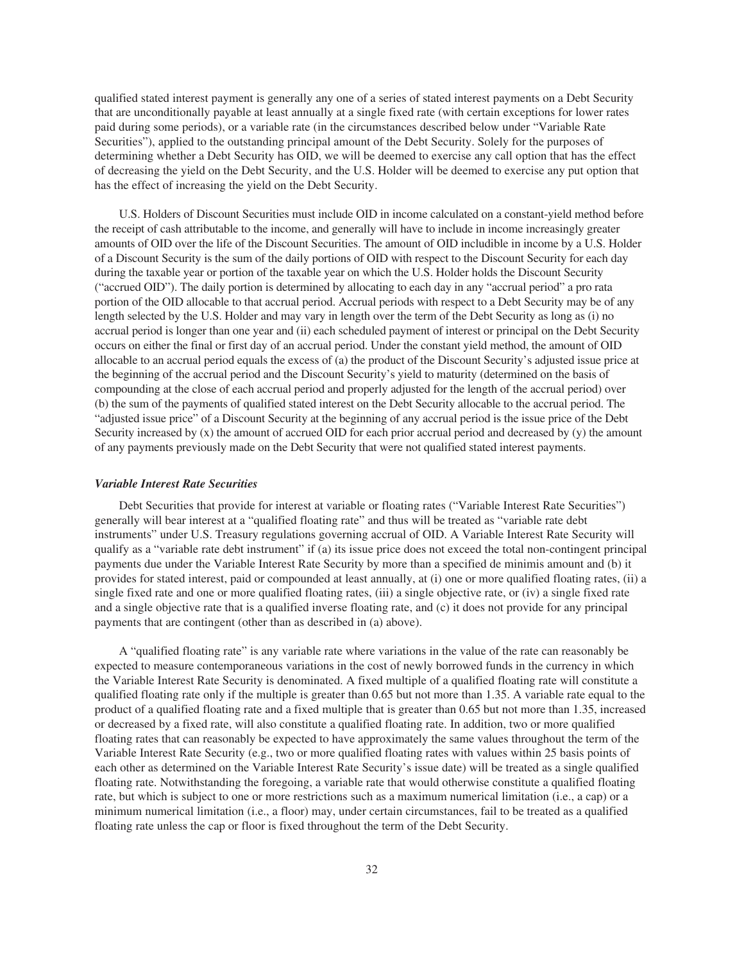qualified stated interest payment is generally any one of a series of stated interest payments on a Debt Security that are unconditionally payable at least annually at a single fixed rate (with certain exceptions for lower rates paid during some periods), or a variable rate (in the circumstances described below under "Variable Rate Securities"), applied to the outstanding principal amount of the Debt Security. Solely for the purposes of determining whether a Debt Security has OID, we will be deemed to exercise any call option that has the effect of decreasing the yield on the Debt Security, and the U.S. Holder will be deemed to exercise any put option that has the effect of increasing the yield on the Debt Security.

U.S. Holders of Discount Securities must include OID in income calculated on a constant-yield method before the receipt of cash attributable to the income, and generally will have to include in income increasingly greater amounts of OID over the life of the Discount Securities. The amount of OID includible in income by a U.S. Holder of a Discount Security is the sum of the daily portions of OID with respect to the Discount Security for each day during the taxable year or portion of the taxable year on which the U.S. Holder holds the Discount Security ("accrued OID"). The daily portion is determined by allocating to each day in any "accrual period" a pro rata portion of the OID allocable to that accrual period. Accrual periods with respect to a Debt Security may be of any length selected by the U.S. Holder and may vary in length over the term of the Debt Security as long as (i) no accrual period is longer than one year and (ii) each scheduled payment of interest or principal on the Debt Security occurs on either the final or first day of an accrual period. Under the constant yield method, the amount of OID allocable to an accrual period equals the excess of (a) the product of the Discount Security's adjusted issue price at the beginning of the accrual period and the Discount Security's yield to maturity (determined on the basis of compounding at the close of each accrual period and properly adjusted for the length of the accrual period) over (b) the sum of the payments of qualified stated interest on the Debt Security allocable to the accrual period. The "adjusted issue price" of a Discount Security at the beginning of any accrual period is the issue price of the Debt Security increased by (x) the amount of accrued OID for each prior accrual period and decreased by (y) the amount of any payments previously made on the Debt Security that were not qualified stated interest payments.

#### *Variable Interest Rate Securities*

Debt Securities that provide for interest at variable or floating rates ("Variable Interest Rate Securities") generally will bear interest at a "qualified floating rate" and thus will be treated as "variable rate debt instruments" under U.S. Treasury regulations governing accrual of OID. A Variable Interest Rate Security will qualify as a "variable rate debt instrument" if (a) its issue price does not exceed the total non-contingent principal payments due under the Variable Interest Rate Security by more than a specified de minimis amount and (b) it provides for stated interest, paid or compounded at least annually, at (i) one or more qualified floating rates, (ii) a single fixed rate and one or more qualified floating rates, (iii) a single objective rate, or (iv) a single fixed rate and a single objective rate that is a qualified inverse floating rate, and (c) it does not provide for any principal payments that are contingent (other than as described in (a) above).

A "qualified floating rate" is any variable rate where variations in the value of the rate can reasonably be expected to measure contemporaneous variations in the cost of newly borrowed funds in the currency in which the Variable Interest Rate Security is denominated. A fixed multiple of a qualified floating rate will constitute a qualified floating rate only if the multiple is greater than 0.65 but not more than 1.35. A variable rate equal to the product of a qualified floating rate and a fixed multiple that is greater than 0.65 but not more than 1.35, increased or decreased by a fixed rate, will also constitute a qualified floating rate. In addition, two or more qualified floating rates that can reasonably be expected to have approximately the same values throughout the term of the Variable Interest Rate Security (e.g., two or more qualified floating rates with values within 25 basis points of each other as determined on the Variable Interest Rate Security's issue date) will be treated as a single qualified floating rate. Notwithstanding the foregoing, a variable rate that would otherwise constitute a qualified floating rate, but which is subject to one or more restrictions such as a maximum numerical limitation (i.e., a cap) or a minimum numerical limitation (i.e., a floor) may, under certain circumstances, fail to be treated as a qualified floating rate unless the cap or floor is fixed throughout the term of the Debt Security.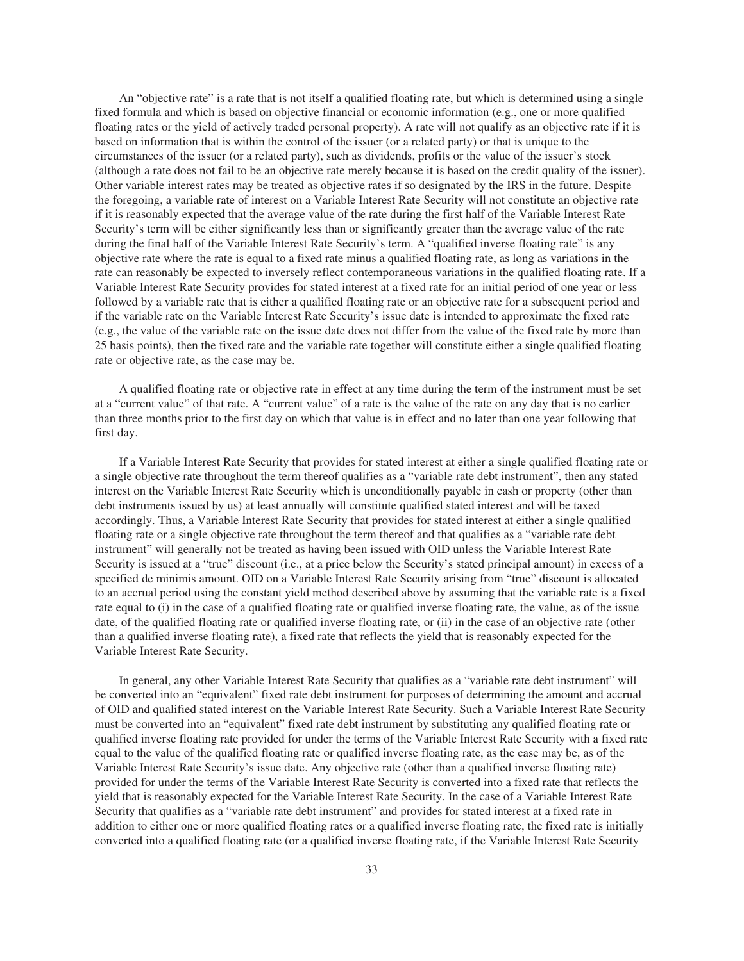An "objective rate" is a rate that is not itself a qualified floating rate, but which is determined using a single fixed formula and which is based on objective financial or economic information (e.g., one or more qualified floating rates or the yield of actively traded personal property). A rate will not qualify as an objective rate if it is based on information that is within the control of the issuer (or a related party) or that is unique to the circumstances of the issuer (or a related party), such as dividends, profits or the value of the issuer's stock (although a rate does not fail to be an objective rate merely because it is based on the credit quality of the issuer). Other variable interest rates may be treated as objective rates if so designated by the IRS in the future. Despite the foregoing, a variable rate of interest on a Variable Interest Rate Security will not constitute an objective rate if it is reasonably expected that the average value of the rate during the first half of the Variable Interest Rate Security's term will be either significantly less than or significantly greater than the average value of the rate during the final half of the Variable Interest Rate Security's term. A "qualified inverse floating rate" is any objective rate where the rate is equal to a fixed rate minus a qualified floating rate, as long as variations in the rate can reasonably be expected to inversely reflect contemporaneous variations in the qualified floating rate. If a Variable Interest Rate Security provides for stated interest at a fixed rate for an initial period of one year or less followed by a variable rate that is either a qualified floating rate or an objective rate for a subsequent period and if the variable rate on the Variable Interest Rate Security's issue date is intended to approximate the fixed rate (e.g., the value of the variable rate on the issue date does not differ from the value of the fixed rate by more than 25 basis points), then the fixed rate and the variable rate together will constitute either a single qualified floating rate or objective rate, as the case may be.

A qualified floating rate or objective rate in effect at any time during the term of the instrument must be set at a "current value" of that rate. A "current value" of a rate is the value of the rate on any day that is no earlier than three months prior to the first day on which that value is in effect and no later than one year following that first day.

If a Variable Interest Rate Security that provides for stated interest at either a single qualified floating rate or a single objective rate throughout the term thereof qualifies as a "variable rate debt instrument", then any stated interest on the Variable Interest Rate Security which is unconditionally payable in cash or property (other than debt instruments issued by us) at least annually will constitute qualified stated interest and will be taxed accordingly. Thus, a Variable Interest Rate Security that provides for stated interest at either a single qualified floating rate or a single objective rate throughout the term thereof and that qualifies as a "variable rate debt instrument" will generally not be treated as having been issued with OID unless the Variable Interest Rate Security is issued at a "true" discount (i.e., at a price below the Security's stated principal amount) in excess of a specified de minimis amount. OID on a Variable Interest Rate Security arising from "true" discount is allocated to an accrual period using the constant yield method described above by assuming that the variable rate is a fixed rate equal to (i) in the case of a qualified floating rate or qualified inverse floating rate, the value, as of the issue date, of the qualified floating rate or qualified inverse floating rate, or (ii) in the case of an objective rate (other than a qualified inverse floating rate), a fixed rate that reflects the yield that is reasonably expected for the Variable Interest Rate Security.

In general, any other Variable Interest Rate Security that qualifies as a "variable rate debt instrument" will be converted into an "equivalent" fixed rate debt instrument for purposes of determining the amount and accrual of OID and qualified stated interest on the Variable Interest Rate Security. Such a Variable Interest Rate Security must be converted into an "equivalent" fixed rate debt instrument by substituting any qualified floating rate or qualified inverse floating rate provided for under the terms of the Variable Interest Rate Security with a fixed rate equal to the value of the qualified floating rate or qualified inverse floating rate, as the case may be, as of the Variable Interest Rate Security's issue date. Any objective rate (other than a qualified inverse floating rate) provided for under the terms of the Variable Interest Rate Security is converted into a fixed rate that reflects the yield that is reasonably expected for the Variable Interest Rate Security. In the case of a Variable Interest Rate Security that qualifies as a "variable rate debt instrument" and provides for stated interest at a fixed rate in addition to either one or more qualified floating rates or a qualified inverse floating rate, the fixed rate is initially converted into a qualified floating rate (or a qualified inverse floating rate, if the Variable Interest Rate Security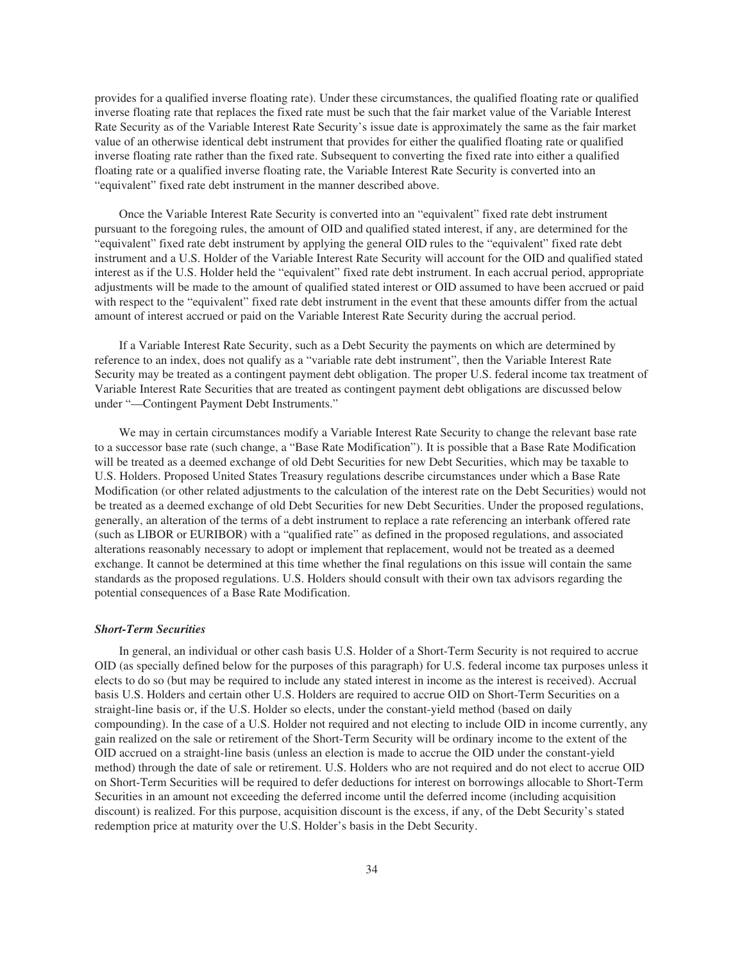provides for a qualified inverse floating rate). Under these circumstances, the qualified floating rate or qualified inverse floating rate that replaces the fixed rate must be such that the fair market value of the Variable Interest Rate Security as of the Variable Interest Rate Security's issue date is approximately the same as the fair market value of an otherwise identical debt instrument that provides for either the qualified floating rate or qualified inverse floating rate rather than the fixed rate. Subsequent to converting the fixed rate into either a qualified floating rate or a qualified inverse floating rate, the Variable Interest Rate Security is converted into an "equivalent" fixed rate debt instrument in the manner described above.

Once the Variable Interest Rate Security is converted into an "equivalent" fixed rate debt instrument pursuant to the foregoing rules, the amount of OID and qualified stated interest, if any, are determined for the "equivalent" fixed rate debt instrument by applying the general OID rules to the "equivalent" fixed rate debt instrument and a U.S. Holder of the Variable Interest Rate Security will account for the OID and qualified stated interest as if the U.S. Holder held the "equivalent" fixed rate debt instrument. In each accrual period, appropriate adjustments will be made to the amount of qualified stated interest or OID assumed to have been accrued or paid with respect to the "equivalent" fixed rate debt instrument in the event that these amounts differ from the actual amount of interest accrued or paid on the Variable Interest Rate Security during the accrual period.

If a Variable Interest Rate Security, such as a Debt Security the payments on which are determined by reference to an index, does not qualify as a "variable rate debt instrument", then the Variable Interest Rate Security may be treated as a contingent payment debt obligation. The proper U.S. federal income tax treatment of Variable Interest Rate Securities that are treated as contingent payment debt obligations are discussed below under "—Contingent Payment Debt Instruments."

We may in certain circumstances modify a Variable Interest Rate Security to change the relevant base rate to a successor base rate (such change, a "Base Rate Modification"). It is possible that a Base Rate Modification will be treated as a deemed exchange of old Debt Securities for new Debt Securities, which may be taxable to U.S. Holders. Proposed United States Treasury regulations describe circumstances under which a Base Rate Modification (or other related adjustments to the calculation of the interest rate on the Debt Securities) would not be treated as a deemed exchange of old Debt Securities for new Debt Securities. Under the proposed regulations, generally, an alteration of the terms of a debt instrument to replace a rate referencing an interbank offered rate (such as LIBOR or EURIBOR) with a "qualified rate" as defined in the proposed regulations, and associated alterations reasonably necessary to adopt or implement that replacement, would not be treated as a deemed exchange. It cannot be determined at this time whether the final regulations on this issue will contain the same standards as the proposed regulations. U.S. Holders should consult with their own tax advisors regarding the potential consequences of a Base Rate Modification.

#### *Short-Term Securities*

In general, an individual or other cash basis U.S. Holder of a Short-Term Security is not required to accrue OID (as specially defined below for the purposes of this paragraph) for U.S. federal income tax purposes unless it elects to do so (but may be required to include any stated interest in income as the interest is received). Accrual basis U.S. Holders and certain other U.S. Holders are required to accrue OID on Short-Term Securities on a straight-line basis or, if the U.S. Holder so elects, under the constant-yield method (based on daily compounding). In the case of a U.S. Holder not required and not electing to include OID in income currently, any gain realized on the sale or retirement of the Short-Term Security will be ordinary income to the extent of the OID accrued on a straight-line basis (unless an election is made to accrue the OID under the constant-yield method) through the date of sale or retirement. U.S. Holders who are not required and do not elect to accrue OID on Short-Term Securities will be required to defer deductions for interest on borrowings allocable to Short-Term Securities in an amount not exceeding the deferred income until the deferred income (including acquisition discount) is realized. For this purpose, acquisition discount is the excess, if any, of the Debt Security's stated redemption price at maturity over the U.S. Holder's basis in the Debt Security.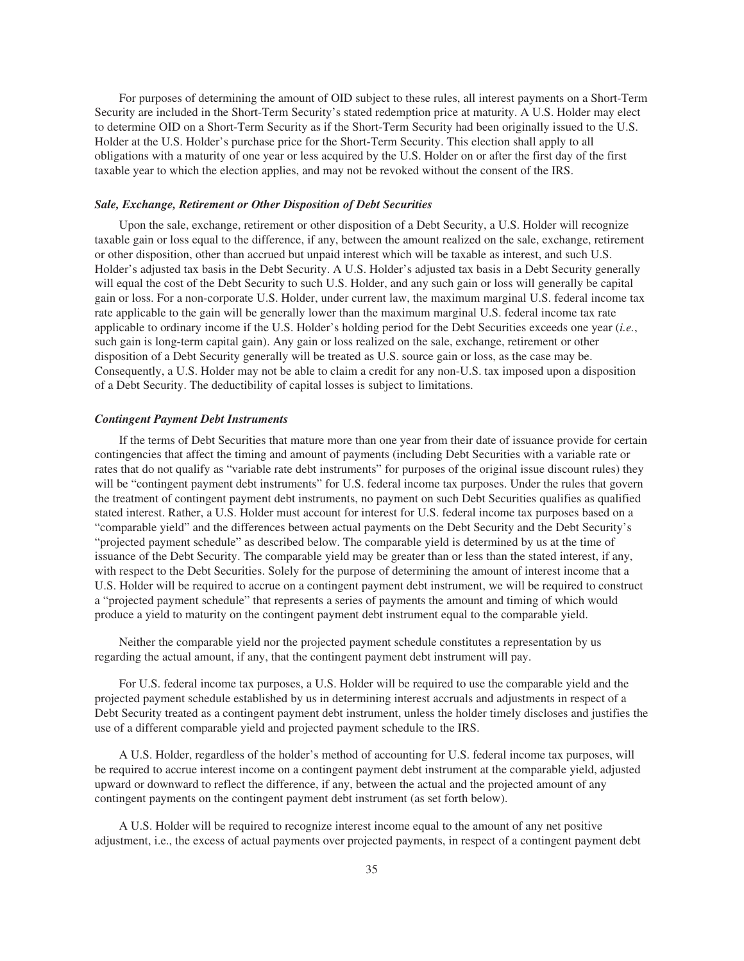For purposes of determining the amount of OID subject to these rules, all interest payments on a Short-Term Security are included in the Short-Term Security's stated redemption price at maturity. A U.S. Holder may elect to determine OID on a Short-Term Security as if the Short-Term Security had been originally issued to the U.S. Holder at the U.S. Holder's purchase price for the Short-Term Security. This election shall apply to all obligations with a maturity of one year or less acquired by the U.S. Holder on or after the first day of the first taxable year to which the election applies, and may not be revoked without the consent of the IRS.

#### *Sale, Exchange, Retirement or Other Disposition of Debt Securities*

Upon the sale, exchange, retirement or other disposition of a Debt Security, a U.S. Holder will recognize taxable gain or loss equal to the difference, if any, between the amount realized on the sale, exchange, retirement or other disposition, other than accrued but unpaid interest which will be taxable as interest, and such U.S. Holder's adjusted tax basis in the Debt Security. A U.S. Holder's adjusted tax basis in a Debt Security generally will equal the cost of the Debt Security to such U.S. Holder, and any such gain or loss will generally be capital gain or loss. For a non-corporate U.S. Holder, under current law, the maximum marginal U.S. federal income tax rate applicable to the gain will be generally lower than the maximum marginal U.S. federal income tax rate applicable to ordinary income if the U.S. Holder's holding period for the Debt Securities exceeds one year (*i.e.*, such gain is long-term capital gain). Any gain or loss realized on the sale, exchange, retirement or other disposition of a Debt Security generally will be treated as U.S. source gain or loss, as the case may be. Consequently, a U.S. Holder may not be able to claim a credit for any non-U.S. tax imposed upon a disposition of a Debt Security. The deductibility of capital losses is subject to limitations.

#### *Contingent Payment Debt Instruments*

If the terms of Debt Securities that mature more than one year from their date of issuance provide for certain contingencies that affect the timing and amount of payments (including Debt Securities with a variable rate or rates that do not qualify as "variable rate debt instruments" for purposes of the original issue discount rules) they will be "contingent payment debt instruments" for U.S. federal income tax purposes. Under the rules that govern the treatment of contingent payment debt instruments, no payment on such Debt Securities qualifies as qualified stated interest. Rather, a U.S. Holder must account for interest for U.S. federal income tax purposes based on a "comparable yield" and the differences between actual payments on the Debt Security and the Debt Security's "projected payment schedule" as described below. The comparable yield is determined by us at the time of issuance of the Debt Security. The comparable yield may be greater than or less than the stated interest, if any, with respect to the Debt Securities. Solely for the purpose of determining the amount of interest income that a U.S. Holder will be required to accrue on a contingent payment debt instrument, we will be required to construct a "projected payment schedule" that represents a series of payments the amount and timing of which would produce a yield to maturity on the contingent payment debt instrument equal to the comparable yield.

Neither the comparable yield nor the projected payment schedule constitutes a representation by us regarding the actual amount, if any, that the contingent payment debt instrument will pay.

For U.S. federal income tax purposes, a U.S. Holder will be required to use the comparable yield and the projected payment schedule established by us in determining interest accruals and adjustments in respect of a Debt Security treated as a contingent payment debt instrument, unless the holder timely discloses and justifies the use of a different comparable yield and projected payment schedule to the IRS.

A U.S. Holder, regardless of the holder's method of accounting for U.S. federal income tax purposes, will be required to accrue interest income on a contingent payment debt instrument at the comparable yield, adjusted upward or downward to reflect the difference, if any, between the actual and the projected amount of any contingent payments on the contingent payment debt instrument (as set forth below).

A U.S. Holder will be required to recognize interest income equal to the amount of any net positive adjustment, i.e., the excess of actual payments over projected payments, in respect of a contingent payment debt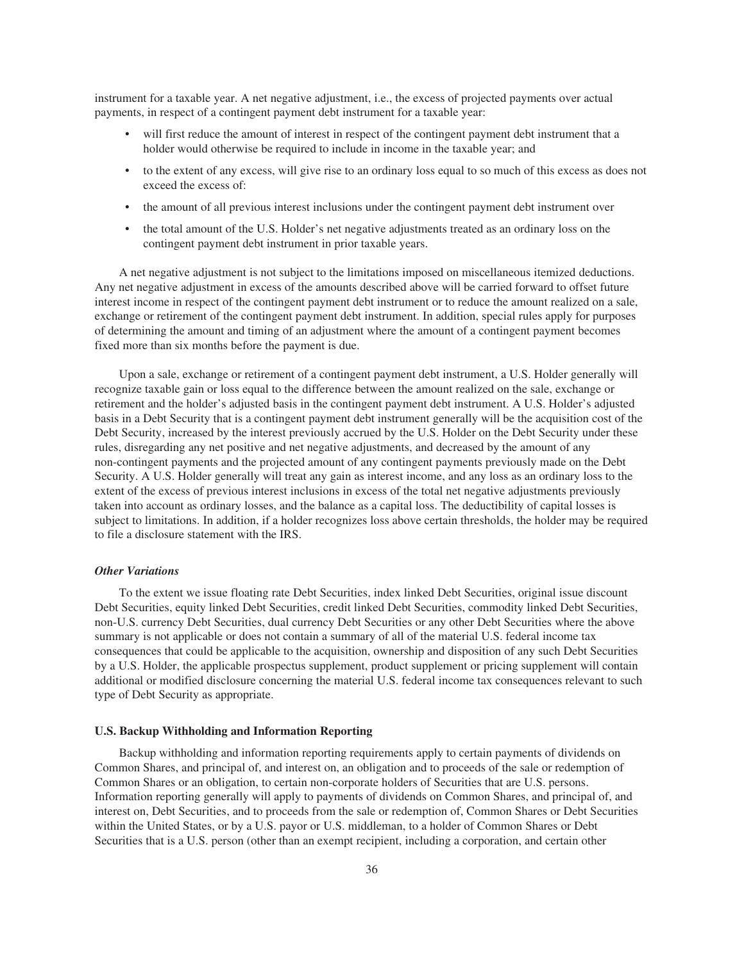instrument for a taxable year. A net negative adjustment, i.e., the excess of projected payments over actual payments, in respect of a contingent payment debt instrument for a taxable year:

- will first reduce the amount of interest in respect of the contingent payment debt instrument that a holder would otherwise be required to include in income in the taxable year; and
- to the extent of any excess, will give rise to an ordinary loss equal to so much of this excess as does not exceed the excess of:
- the amount of all previous interest inclusions under the contingent payment debt instrument over
- the total amount of the U.S. Holder's net negative adjustments treated as an ordinary loss on the contingent payment debt instrument in prior taxable years.

A net negative adjustment is not subject to the limitations imposed on miscellaneous itemized deductions. Any net negative adjustment in excess of the amounts described above will be carried forward to offset future interest income in respect of the contingent payment debt instrument or to reduce the amount realized on a sale, exchange or retirement of the contingent payment debt instrument. In addition, special rules apply for purposes of determining the amount and timing of an adjustment where the amount of a contingent payment becomes fixed more than six months before the payment is due.

Upon a sale, exchange or retirement of a contingent payment debt instrument, a U.S. Holder generally will recognize taxable gain or loss equal to the difference between the amount realized on the sale, exchange or retirement and the holder's adjusted basis in the contingent payment debt instrument. A U.S. Holder's adjusted basis in a Debt Security that is a contingent payment debt instrument generally will be the acquisition cost of the Debt Security, increased by the interest previously accrued by the U.S. Holder on the Debt Security under these rules, disregarding any net positive and net negative adjustments, and decreased by the amount of any non-contingent payments and the projected amount of any contingent payments previously made on the Debt Security. A U.S. Holder generally will treat any gain as interest income, and any loss as an ordinary loss to the extent of the excess of previous interest inclusions in excess of the total net negative adjustments previously taken into account as ordinary losses, and the balance as a capital loss. The deductibility of capital losses is subject to limitations. In addition, if a holder recognizes loss above certain thresholds, the holder may be required to file a disclosure statement with the IRS.

#### *Other Variations*

To the extent we issue floating rate Debt Securities, index linked Debt Securities, original issue discount Debt Securities, equity linked Debt Securities, credit linked Debt Securities, commodity linked Debt Securities, non-U.S. currency Debt Securities, dual currency Debt Securities or any other Debt Securities where the above summary is not applicable or does not contain a summary of all of the material U.S. federal income tax consequences that could be applicable to the acquisition, ownership and disposition of any such Debt Securities by a U.S. Holder, the applicable prospectus supplement, product supplement or pricing supplement will contain additional or modified disclosure concerning the material U.S. federal income tax consequences relevant to such type of Debt Security as appropriate.

#### **U.S. Backup Withholding and Information Reporting**

Backup withholding and information reporting requirements apply to certain payments of dividends on Common Shares, and principal of, and interest on, an obligation and to proceeds of the sale or redemption of Common Shares or an obligation, to certain non-corporate holders of Securities that are U.S. persons. Information reporting generally will apply to payments of dividends on Common Shares, and principal of, and interest on, Debt Securities, and to proceeds from the sale or redemption of, Common Shares or Debt Securities within the United States, or by a U.S. payor or U.S. middleman, to a holder of Common Shares or Debt Securities that is a U.S. person (other than an exempt recipient, including a corporation, and certain other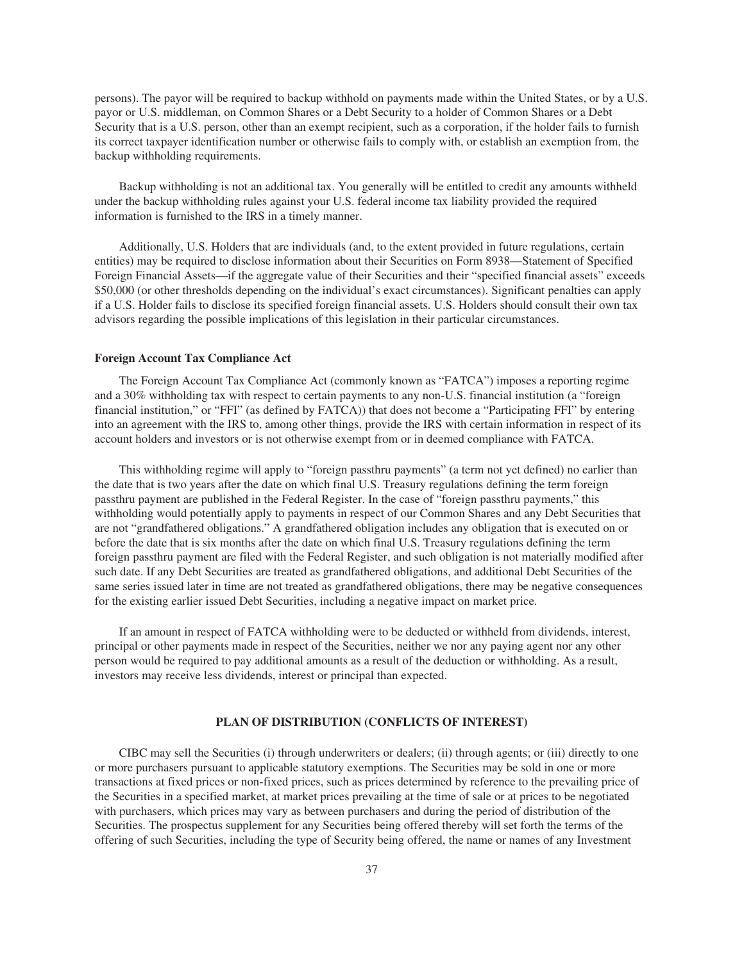persons). The payor will be required to backup withhold on payments made within the United States, or by a U.S. payor or U.S. middleman, on Common Shares or a Debt Security to a holder of Common Shares or a Debt Security that is a U.S. person, other than an exempt recipient, such as a corporation, if the holder fails to furnish its correct taxpayer identification number or otherwise fails to comply with, or establish an exemption from, the backup withholding requirements.

Backup withholding is not an additional tax. You generally will be entitled to credit any amounts withheld under the backup withholding rules against your U.S. federal income tax liability provided the required information is furnished to the IRS in a timely manner.

Additionally, U.S. Holders that are individuals (and, to the extent provided in future regulations, certain entities) may be required to disclose information about their Securities on Form 8938—Statement of Specified Foreign Financial Assets—if the aggregate value of their Securities and their "specified financial assets" exceeds \$50,000 (or other thresholds depending on the individual's exact circumstances). Significant penalties can apply if a U.S. Holder fails to disclose its specified foreign financial assets. U.S. Holders should consult their own tax advisors regarding the possible implications of this legislation in their particular circumstances.

#### **Foreign Account Tax Compliance Act**

The Foreign Account Tax Compliance Act (commonly known as "FATCA") imposes a reporting regime and a 30% withholding tax with respect to certain payments to any non-U.S. financial institution (a "foreign financial institution," or "FFI" (as defined by FATCA)) that does not become a "Participating FFI" by entering into an agreement with the IRS to, among other things, provide the IRS with certain information in respect of its account holders and investors or is not otherwise exempt from or in deemed compliance with FATCA.

This withholding regime will apply to "foreign passthru payments" (a term not yet defined) no earlier than the date that is two years after the date on which final U.S. Treasury regulations defining the term foreign passthru payment are published in the Federal Register. In the case of "foreign passthru payments," this withholding would potentially apply to payments in respect of our Common Shares and any Debt Securities that are not "grandfathered obligations." A grandfathered obligation includes any obligation that is executed on or before the date that is six months after the date on which final U.S. Treasury regulations defining the term foreign passthru payment are filed with the Federal Register, and such obligation is not materially modified after such date. If any Debt Securities are treated as grandfathered obligations, and additional Debt Securities of the same series issued later in time are not treated as grandfathered obligations, there may be negative consequences for the existing earlier issued Debt Securities, including a negative impact on market price.

If an amount in respect of FATCA withholding were to be deducted or withheld from dividends, interest, principal or other payments made in respect of the Securities, neither we nor any paying agent nor any other person would be required to pay additional amounts as a result of the deduction or withholding. As a result, investors may receive less dividends, interest or principal than expected.

#### **PLAN OF DISTRIBUTION (CONFLICTS OF INTEREST)**

CIBC may sell the Securities (i) through underwriters or dealers; (ii) through agents; or (iii) directly to one or more purchasers pursuant to applicable statutory exemptions. The Securities may be sold in one or more transactions at fixed prices or non-fixed prices, such as prices determined by reference to the prevailing price of the Securities in a specified market, at market prices prevailing at the time of sale or at prices to be negotiated with purchasers, which prices may vary as between purchasers and during the period of distribution of the Securities. The prospectus supplement for any Securities being offered thereby will set forth the terms of the offering of such Securities, including the type of Security being offered, the name or names of any Investment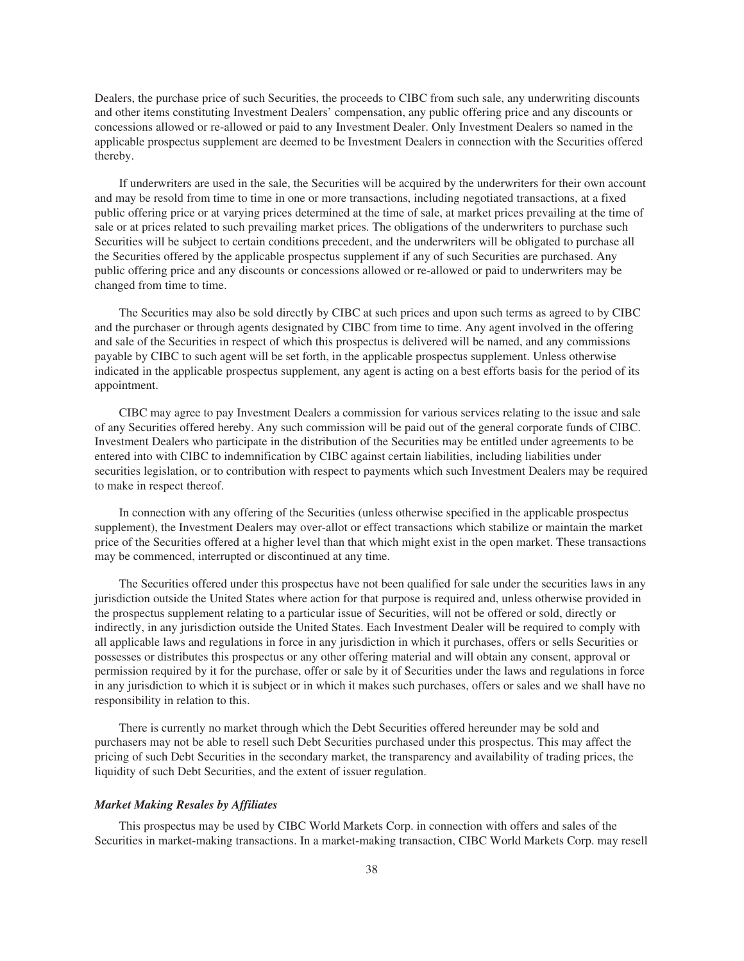Dealers, the purchase price of such Securities, the proceeds to CIBC from such sale, any underwriting discounts and other items constituting Investment Dealers' compensation, any public offering price and any discounts or concessions allowed or re-allowed or paid to any Investment Dealer. Only Investment Dealers so named in the applicable prospectus supplement are deemed to be Investment Dealers in connection with the Securities offered thereby.

If underwriters are used in the sale, the Securities will be acquired by the underwriters for their own account and may be resold from time to time in one or more transactions, including negotiated transactions, at a fixed public offering price or at varying prices determined at the time of sale, at market prices prevailing at the time of sale or at prices related to such prevailing market prices. The obligations of the underwriters to purchase such Securities will be subject to certain conditions precedent, and the underwriters will be obligated to purchase all the Securities offered by the applicable prospectus supplement if any of such Securities are purchased. Any public offering price and any discounts or concessions allowed or re-allowed or paid to underwriters may be changed from time to time.

The Securities may also be sold directly by CIBC at such prices and upon such terms as agreed to by CIBC and the purchaser or through agents designated by CIBC from time to time. Any agent involved in the offering and sale of the Securities in respect of which this prospectus is delivered will be named, and any commissions payable by CIBC to such agent will be set forth, in the applicable prospectus supplement. Unless otherwise indicated in the applicable prospectus supplement, any agent is acting on a best efforts basis for the period of its appointment.

CIBC may agree to pay Investment Dealers a commission for various services relating to the issue and sale of any Securities offered hereby. Any such commission will be paid out of the general corporate funds of CIBC. Investment Dealers who participate in the distribution of the Securities may be entitled under agreements to be entered into with CIBC to indemnification by CIBC against certain liabilities, including liabilities under securities legislation, or to contribution with respect to payments which such Investment Dealers may be required to make in respect thereof.

In connection with any offering of the Securities (unless otherwise specified in the applicable prospectus supplement), the Investment Dealers may over-allot or effect transactions which stabilize or maintain the market price of the Securities offered at a higher level than that which might exist in the open market. These transactions may be commenced, interrupted or discontinued at any time.

The Securities offered under this prospectus have not been qualified for sale under the securities laws in any jurisdiction outside the United States where action for that purpose is required and, unless otherwise provided in the prospectus supplement relating to a particular issue of Securities, will not be offered or sold, directly or indirectly, in any jurisdiction outside the United States. Each Investment Dealer will be required to comply with all applicable laws and regulations in force in any jurisdiction in which it purchases, offers or sells Securities or possesses or distributes this prospectus or any other offering material and will obtain any consent, approval or permission required by it for the purchase, offer or sale by it of Securities under the laws and regulations in force in any jurisdiction to which it is subject or in which it makes such purchases, offers or sales and we shall have no responsibility in relation to this.

There is currently no market through which the Debt Securities offered hereunder may be sold and purchasers may not be able to resell such Debt Securities purchased under this prospectus. This may affect the pricing of such Debt Securities in the secondary market, the transparency and availability of trading prices, the liquidity of such Debt Securities, and the extent of issuer regulation.

#### *Market Making Resales by Affiliates*

This prospectus may be used by CIBC World Markets Corp. in connection with offers and sales of the Securities in market-making transactions. In a market-making transaction, CIBC World Markets Corp. may resell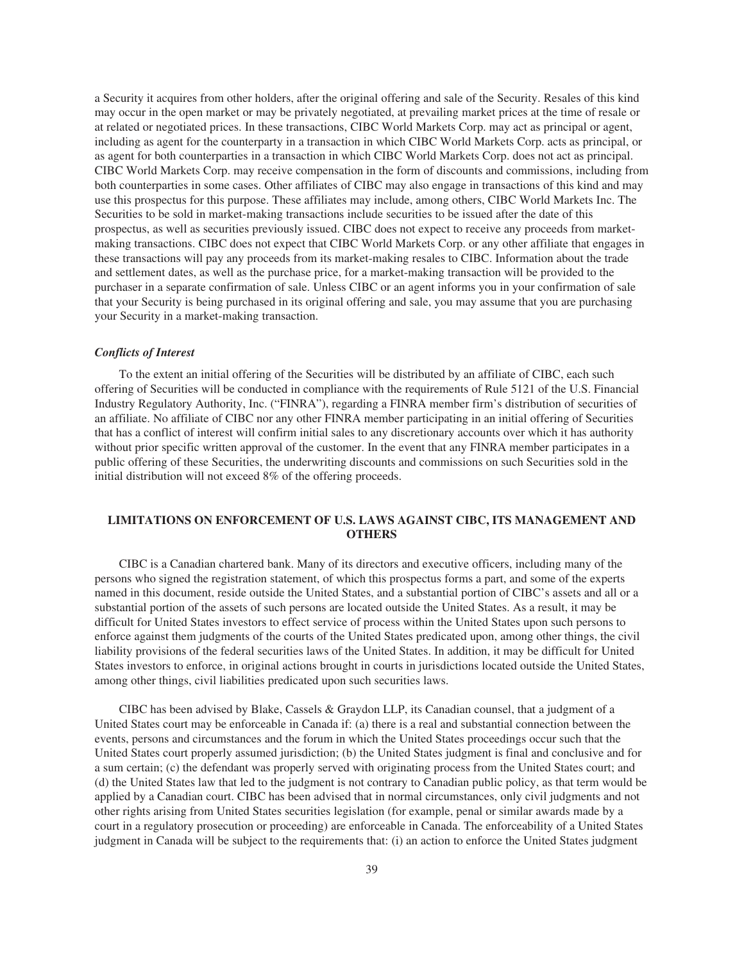a Security it acquires from other holders, after the original offering and sale of the Security. Resales of this kind may occur in the open market or may be privately negotiated, at prevailing market prices at the time of resale or at related or negotiated prices. In these transactions, CIBC World Markets Corp. may act as principal or agent, including as agent for the counterparty in a transaction in which CIBC World Markets Corp. acts as principal, or as agent for both counterparties in a transaction in which CIBC World Markets Corp. does not act as principal. CIBC World Markets Corp. may receive compensation in the form of discounts and commissions, including from both counterparties in some cases. Other affiliates of CIBC may also engage in transactions of this kind and may use this prospectus for this purpose. These affiliates may include, among others, CIBC World Markets Inc. The Securities to be sold in market-making transactions include securities to be issued after the date of this prospectus, as well as securities previously issued. CIBC does not expect to receive any proceeds from marketmaking transactions. CIBC does not expect that CIBC World Markets Corp. or any other affiliate that engages in these transactions will pay any proceeds from its market-making resales to CIBC. Information about the trade and settlement dates, as well as the purchase price, for a market-making transaction will be provided to the purchaser in a separate confirmation of sale. Unless CIBC or an agent informs you in your confirmation of sale that your Security is being purchased in its original offering and sale, you may assume that you are purchasing your Security in a market-making transaction.

### *Conflicts of Interest*

To the extent an initial offering of the Securities will be distributed by an affiliate of CIBC, each such offering of Securities will be conducted in compliance with the requirements of Rule 5121 of the U.S. Financial Industry Regulatory Authority, Inc. ("FINRA"), regarding a FINRA member firm's distribution of securities of an affiliate. No affiliate of CIBC nor any other FINRA member participating in an initial offering of Securities that has a conflict of interest will confirm initial sales to any discretionary accounts over which it has authority without prior specific written approval of the customer. In the event that any FINRA member participates in a public offering of these Securities, the underwriting discounts and commissions on such Securities sold in the initial distribution will not exceed 8% of the offering proceeds.

# **LIMITATIONS ON ENFORCEMENT OF U.S. LAWS AGAINST CIBC, ITS MANAGEMENT AND OTHERS**

CIBC is a Canadian chartered bank. Many of its directors and executive officers, including many of the persons who signed the registration statement, of which this prospectus forms a part, and some of the experts named in this document, reside outside the United States, and a substantial portion of CIBC's assets and all or a substantial portion of the assets of such persons are located outside the United States. As a result, it may be difficult for United States investors to effect service of process within the United States upon such persons to enforce against them judgments of the courts of the United States predicated upon, among other things, the civil liability provisions of the federal securities laws of the United States. In addition, it may be difficult for United States investors to enforce, in original actions brought in courts in jurisdictions located outside the United States, among other things, civil liabilities predicated upon such securities laws.

CIBC has been advised by Blake, Cassels & Graydon LLP, its Canadian counsel, that a judgment of a United States court may be enforceable in Canada if: (a) there is a real and substantial connection between the events, persons and circumstances and the forum in which the United States proceedings occur such that the United States court properly assumed jurisdiction; (b) the United States judgment is final and conclusive and for a sum certain; (c) the defendant was properly served with originating process from the United States court; and (d) the United States law that led to the judgment is not contrary to Canadian public policy, as that term would be applied by a Canadian court. CIBC has been advised that in normal circumstances, only civil judgments and not other rights arising from United States securities legislation (for example, penal or similar awards made by a court in a regulatory prosecution or proceeding) are enforceable in Canada. The enforceability of a United States judgment in Canada will be subject to the requirements that: (i) an action to enforce the United States judgment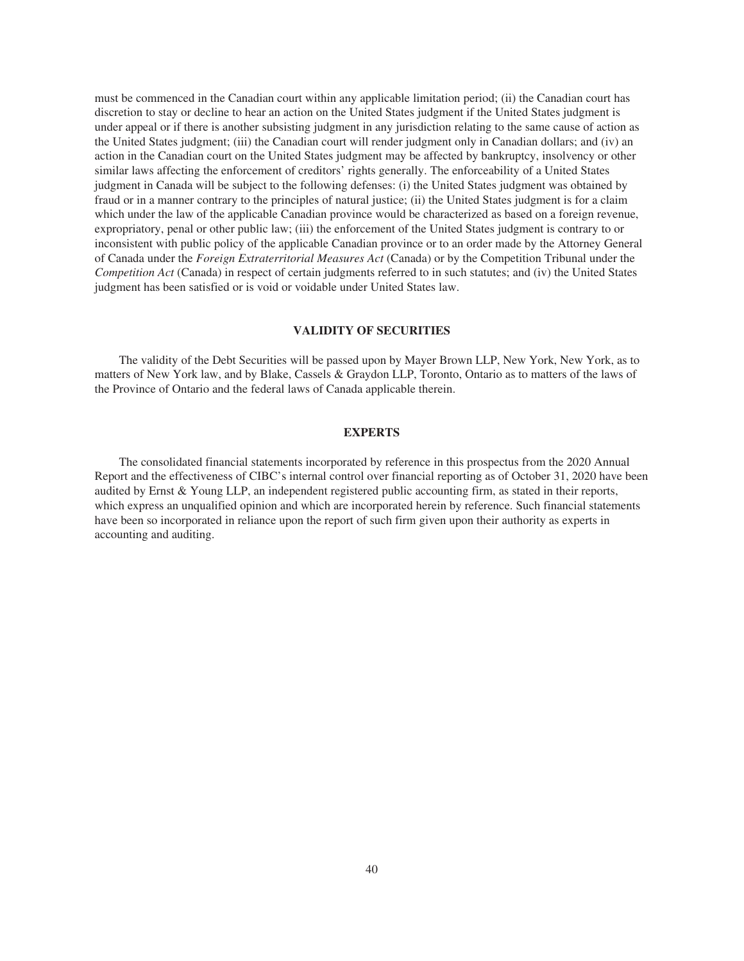must be commenced in the Canadian court within any applicable limitation period; (ii) the Canadian court has discretion to stay or decline to hear an action on the United States judgment if the United States judgment is under appeal or if there is another subsisting judgment in any jurisdiction relating to the same cause of action as the United States judgment; (iii) the Canadian court will render judgment only in Canadian dollars; and (iv) an action in the Canadian court on the United States judgment may be affected by bankruptcy, insolvency or other similar laws affecting the enforcement of creditors' rights generally. The enforceability of a United States judgment in Canada will be subject to the following defenses: (i) the United States judgment was obtained by fraud or in a manner contrary to the principles of natural justice; (ii) the United States judgment is for a claim which under the law of the applicable Canadian province would be characterized as based on a foreign revenue, expropriatory, penal or other public law; (iii) the enforcement of the United States judgment is contrary to or inconsistent with public policy of the applicable Canadian province or to an order made by the Attorney General of Canada under the *Foreign Extraterritorial Measures Act* (Canada) or by the Competition Tribunal under the *Competition Act* (Canada) in respect of certain judgments referred to in such statutes; and (iv) the United States judgment has been satisfied or is void or voidable under United States law.

#### **VALIDITY OF SECURITIES**

The validity of the Debt Securities will be passed upon by Mayer Brown LLP, New York, New York, as to matters of New York law, and by Blake, Cassels & Graydon LLP, Toronto, Ontario as to matters of the laws of the Province of Ontario and the federal laws of Canada applicable therein.

## **EXPERTS**

The consolidated financial statements incorporated by reference in this prospectus from the 2020 Annual Report and the effectiveness of CIBC's internal control over financial reporting as of October 31, 2020 have been audited by Ernst & Young LLP, an independent registered public accounting firm, as stated in their reports, which express an unqualified opinion and which are incorporated herein by reference. Such financial statements have been so incorporated in reliance upon the report of such firm given upon their authority as experts in accounting and auditing.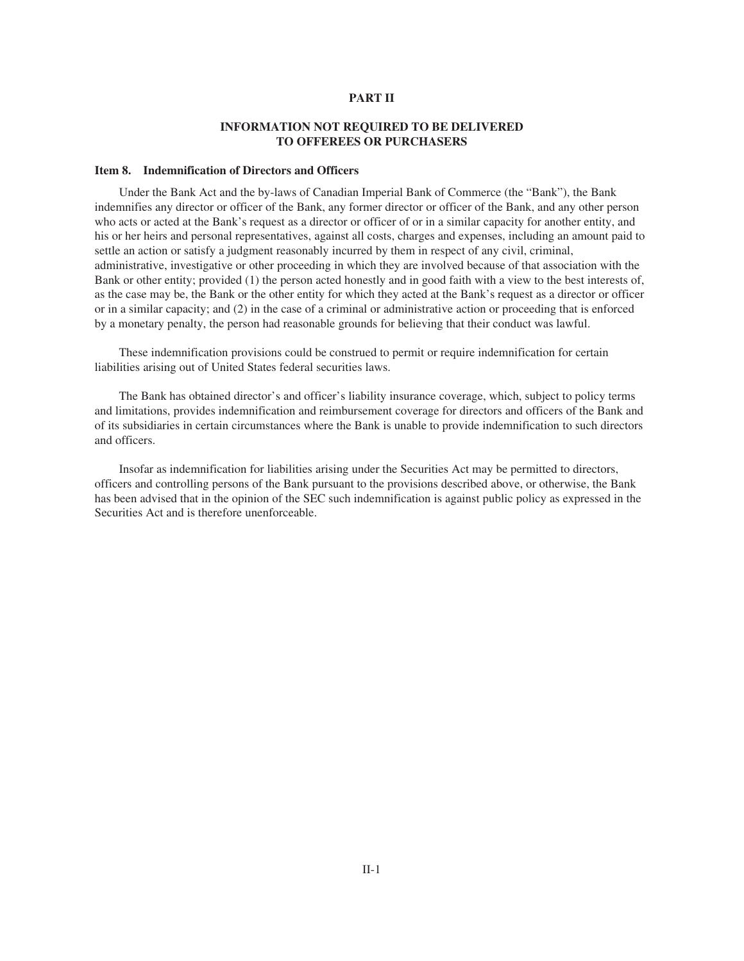#### **PART II**

# **INFORMATION NOT REQUIRED TO BE DELIVERED TO OFFEREES OR PURCHASERS**

#### **Item 8. Indemnification of Directors and Officers**

Under the Bank Act and the by-laws of Canadian Imperial Bank of Commerce (the "Bank"), the Bank indemnifies any director or officer of the Bank, any former director or officer of the Bank, and any other person who acts or acted at the Bank's request as a director or officer of or in a similar capacity for another entity, and his or her heirs and personal representatives, against all costs, charges and expenses, including an amount paid to settle an action or satisfy a judgment reasonably incurred by them in respect of any civil, criminal, administrative, investigative or other proceeding in which they are involved because of that association with the Bank or other entity; provided (1) the person acted honestly and in good faith with a view to the best interests of, as the case may be, the Bank or the other entity for which they acted at the Bank's request as a director or officer or in a similar capacity; and (2) in the case of a criminal or administrative action or proceeding that is enforced by a monetary penalty, the person had reasonable grounds for believing that their conduct was lawful.

These indemnification provisions could be construed to permit or require indemnification for certain liabilities arising out of United States federal securities laws.

The Bank has obtained director's and officer's liability insurance coverage, which, subject to policy terms and limitations, provides indemnification and reimbursement coverage for directors and officers of the Bank and of its subsidiaries in certain circumstances where the Bank is unable to provide indemnification to such directors and officers.

Insofar as indemnification for liabilities arising under the Securities Act may be permitted to directors, officers and controlling persons of the Bank pursuant to the provisions described above, or otherwise, the Bank has been advised that in the opinion of the SEC such indemnification is against public policy as expressed in the Securities Act and is therefore unenforceable.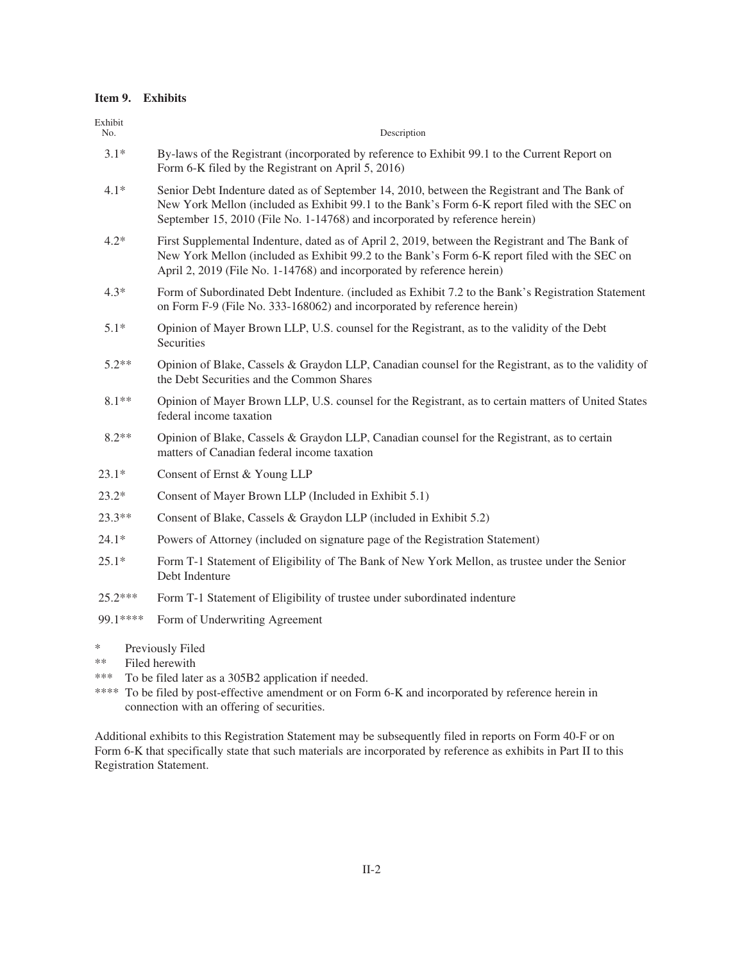# **Item 9. Exhibits**

| Exhibit<br>No. | Description                                                                                                                                                                                                                                                                  |
|----------------|------------------------------------------------------------------------------------------------------------------------------------------------------------------------------------------------------------------------------------------------------------------------------|
| $3.1*$         | By-laws of the Registrant (incorporated by reference to Exhibit 99.1 to the Current Report on<br>Form 6-K filed by the Registrant on April 5, 2016)                                                                                                                          |
| $4.1*$         | Senior Debt Indenture dated as of September 14, 2010, between the Registrant and The Bank of<br>New York Mellon (included as Exhibit 99.1 to the Bank's Form 6-K report filed with the SEC on<br>September 15, 2010 (File No. 1-14768) and incorporated by reference herein) |
| $4.2*$         | First Supplemental Indenture, dated as of April 2, 2019, between the Registrant and The Bank of<br>New York Mellon (included as Exhibit 99.2 to the Bank's Form 6-K report filed with the SEC on<br>April 2, 2019 (File No. 1-14768) and incorporated by reference herein)   |
| $4.3*$         | Form of Subordinated Debt Indenture. (included as Exhibit 7.2 to the Bank's Registration Statement<br>on Form F-9 (File No. 333-168062) and incorporated by reference herein)                                                                                                |
| $5.1*$         | Opinion of Mayer Brown LLP, U.S. counsel for the Registrant, as to the validity of the Debt<br>Securities                                                                                                                                                                    |
| $5.2**$        | Opinion of Blake, Cassels & Graydon LLP, Canadian counsel for the Registrant, as to the validity of<br>the Debt Securities and the Common Shares                                                                                                                             |
| $8.1**$        | Opinion of Mayer Brown LLP, U.S. counsel for the Registrant, as to certain matters of United States<br>federal income taxation                                                                                                                                               |
| $8.2**$        | Opinion of Blake, Cassels & Graydon LLP, Canadian counsel for the Registrant, as to certain<br>matters of Canadian federal income taxation                                                                                                                                   |
| $23.1*$        | Consent of Ernst & Young LLP                                                                                                                                                                                                                                                 |
| $23.2*$        | Consent of Mayer Brown LLP (Included in Exhibit 5.1)                                                                                                                                                                                                                         |
| $23.3**$       | Consent of Blake, Cassels & Graydon LLP (included in Exhibit 5.2)                                                                                                                                                                                                            |
| $24.1*$        | Powers of Attorney (included on signature page of the Registration Statement)                                                                                                                                                                                                |
| $25.1*$        | Form T-1 Statement of Eligibility of The Bank of New York Mellon, as trustee under the Senior<br>Debt Indenture                                                                                                                                                              |
| 25.2***        | Form T-1 Statement of Eligibility of trustee under subordinated indenture                                                                                                                                                                                                    |
| 99.1****       | Form of Underwriting Agreement                                                                                                                                                                                                                                               |
|                |                                                                                                                                                                                                                                                                              |

- \* Previously Filed<br>\*\* Filed herewith
- Filed herewith
- \*\*\* To be filed later as a 305B2 application if needed.
- \*\*\*\* To be filed by post-effective amendment or on Form 6-K and incorporated by reference herein in connection with an offering of securities.

Additional exhibits to this Registration Statement may be subsequently filed in reports on Form 40-F or on Form 6-K that specifically state that such materials are incorporated by reference as exhibits in Part II to this Registration Statement.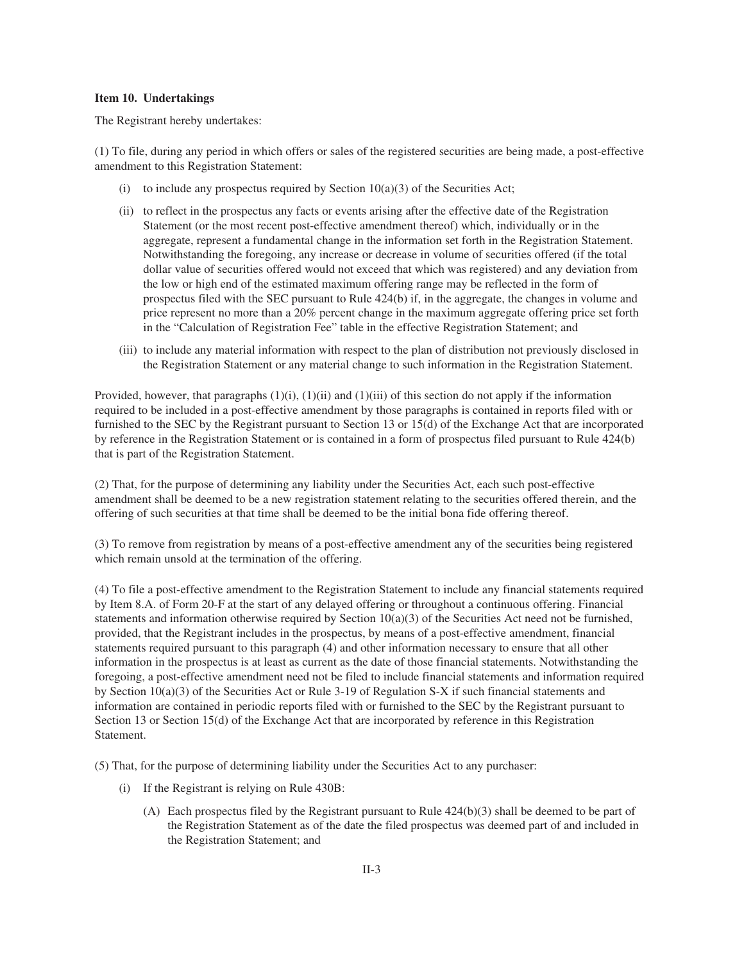#### **Item 10. Undertakings**

The Registrant hereby undertakes:

(1) To file, during any period in which offers or sales of the registered securities are being made, a post-effective amendment to this Registration Statement:

- (i) to include any prospectus required by Section  $10(a)(3)$  of the Securities Act;
- (ii) to reflect in the prospectus any facts or events arising after the effective date of the Registration Statement (or the most recent post-effective amendment thereof) which, individually or in the aggregate, represent a fundamental change in the information set forth in the Registration Statement. Notwithstanding the foregoing, any increase or decrease in volume of securities offered (if the total dollar value of securities offered would not exceed that which was registered) and any deviation from the low or high end of the estimated maximum offering range may be reflected in the form of prospectus filed with the SEC pursuant to Rule 424(b) if, in the aggregate, the changes in volume and price represent no more than a 20% percent change in the maximum aggregate offering price set forth in the "Calculation of Registration Fee" table in the effective Registration Statement; and
- (iii) to include any material information with respect to the plan of distribution not previously disclosed in the Registration Statement or any material change to such information in the Registration Statement.

Provided, however, that paragraphs  $(1)(i)$ ,  $(1)(ii)$  and  $(1)(iii)$  of this section do not apply if the information required to be included in a post-effective amendment by those paragraphs is contained in reports filed with or furnished to the SEC by the Registrant pursuant to Section 13 or 15(d) of the Exchange Act that are incorporated by reference in the Registration Statement or is contained in a form of prospectus filed pursuant to Rule 424(b) that is part of the Registration Statement.

(2) That, for the purpose of determining any liability under the Securities Act, each such post-effective amendment shall be deemed to be a new registration statement relating to the securities offered therein, and the offering of such securities at that time shall be deemed to be the initial bona fide offering thereof.

(3) To remove from registration by means of a post-effective amendment any of the securities being registered which remain unsold at the termination of the offering.

(4) To file a post-effective amendment to the Registration Statement to include any financial statements required by Item 8.A. of Form 20-F at the start of any delayed offering or throughout a continuous offering. Financial statements and information otherwise required by Section  $10(a)(3)$  of the Securities Act need not be furnished, provided, that the Registrant includes in the prospectus, by means of a post-effective amendment, financial statements required pursuant to this paragraph (4) and other information necessary to ensure that all other information in the prospectus is at least as current as the date of those financial statements. Notwithstanding the foregoing, a post-effective amendment need not be filed to include financial statements and information required by Section 10(a)(3) of the Securities Act or Rule 3-19 of Regulation S-X if such financial statements and information are contained in periodic reports filed with or furnished to the SEC by the Registrant pursuant to Section 13 or Section 15(d) of the Exchange Act that are incorporated by reference in this Registration Statement.

(5) That, for the purpose of determining liability under the Securities Act to any purchaser:

- (i) If the Registrant is relying on Rule 430B:
	- (A) Each prospectus filed by the Registrant pursuant to Rule  $424(b)(3)$  shall be deemed to be part of the Registration Statement as of the date the filed prospectus was deemed part of and included in the Registration Statement; and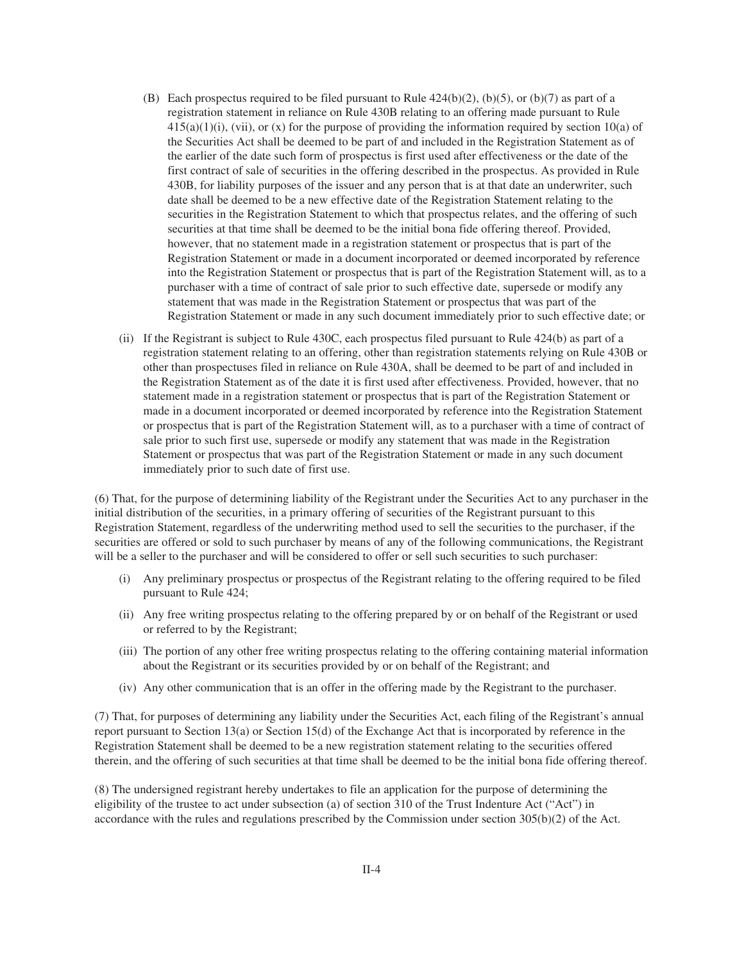- (B) Each prospectus required to be filed pursuant to Rule  $424(b)(2)$ ,  $(b)(5)$ , or  $(b)(7)$  as part of a registration statement in reliance on Rule 430B relating to an offering made pursuant to Rule  $415(a)(1)(i)$ , (vii), or (x) for the purpose of providing the information required by section 10(a) of the Securities Act shall be deemed to be part of and included in the Registration Statement as of the earlier of the date such form of prospectus is first used after effectiveness or the date of the first contract of sale of securities in the offering described in the prospectus. As provided in Rule 430B, for liability purposes of the issuer and any person that is at that date an underwriter, such date shall be deemed to be a new effective date of the Registration Statement relating to the securities in the Registration Statement to which that prospectus relates, and the offering of such securities at that time shall be deemed to be the initial bona fide offering thereof. Provided, however, that no statement made in a registration statement or prospectus that is part of the Registration Statement or made in a document incorporated or deemed incorporated by reference into the Registration Statement or prospectus that is part of the Registration Statement will, as to a purchaser with a time of contract of sale prior to such effective date, supersede or modify any statement that was made in the Registration Statement or prospectus that was part of the Registration Statement or made in any such document immediately prior to such effective date; or
- (ii) If the Registrant is subject to Rule 430C, each prospectus filed pursuant to Rule 424(b) as part of a registration statement relating to an offering, other than registration statements relying on Rule 430B or other than prospectuses filed in reliance on Rule 430A, shall be deemed to be part of and included in the Registration Statement as of the date it is first used after effectiveness. Provided, however, that no statement made in a registration statement or prospectus that is part of the Registration Statement or made in a document incorporated or deemed incorporated by reference into the Registration Statement or prospectus that is part of the Registration Statement will, as to a purchaser with a time of contract of sale prior to such first use, supersede or modify any statement that was made in the Registration Statement or prospectus that was part of the Registration Statement or made in any such document immediately prior to such date of first use.

(6) That, for the purpose of determining liability of the Registrant under the Securities Act to any purchaser in the initial distribution of the securities, in a primary offering of securities of the Registrant pursuant to this Registration Statement, regardless of the underwriting method used to sell the securities to the purchaser, if the securities are offered or sold to such purchaser by means of any of the following communications, the Registrant will be a seller to the purchaser and will be considered to offer or sell such securities to such purchaser:

- (i) Any preliminary prospectus or prospectus of the Registrant relating to the offering required to be filed pursuant to Rule 424;
- (ii) Any free writing prospectus relating to the offering prepared by or on behalf of the Registrant or used or referred to by the Registrant;
- (iii) The portion of any other free writing prospectus relating to the offering containing material information about the Registrant or its securities provided by or on behalf of the Registrant; and
- (iv) Any other communication that is an offer in the offering made by the Registrant to the purchaser.

(7) That, for purposes of determining any liability under the Securities Act, each filing of the Registrant's annual report pursuant to Section 13(a) or Section 15(d) of the Exchange Act that is incorporated by reference in the Registration Statement shall be deemed to be a new registration statement relating to the securities offered therein, and the offering of such securities at that time shall be deemed to be the initial bona fide offering thereof.

(8) The undersigned registrant hereby undertakes to file an application for the purpose of determining the eligibility of the trustee to act under subsection (a) of section 310 of the Trust Indenture Act ("Act") in accordance with the rules and regulations prescribed by the Commission under section 305(b)(2) of the Act.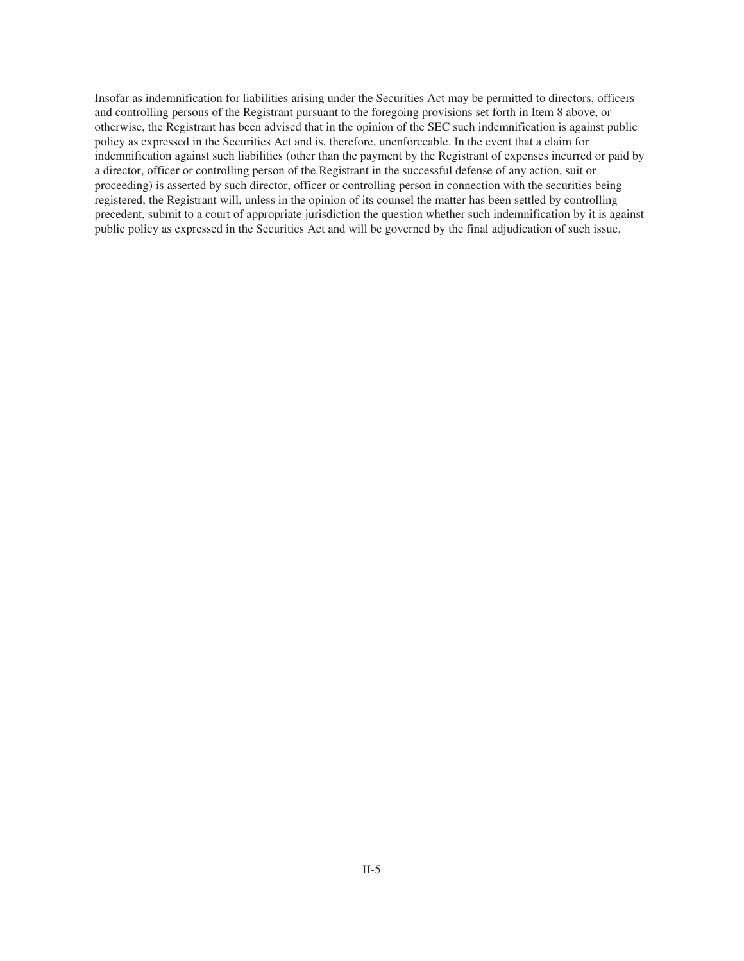Insofar as indemnification for liabilities arising under the Securities Act may be permitted to directors, officers and controlling persons of the Registrant pursuant to the foregoing provisions set forth in Item 8 above, or otherwise, the Registrant has been advised that in the opinion of the SEC such indemnification is against public policy as expressed in the Securities Act and is, therefore, unenforceable. In the event that a claim for indemnification against such liabilities (other than the payment by the Registrant of expenses incurred or paid by a director, officer or controlling person of the Registrant in the successful defense of any action, suit or proceeding) is asserted by such director, officer or controlling person in connection with the securities being registered, the Registrant will, unless in the opinion of its counsel the matter has been settled by controlling precedent, submit to a court of appropriate jurisdiction the question whether such indemnification by it is against public policy as expressed in the Securities Act and will be governed by the final adjudication of such issue.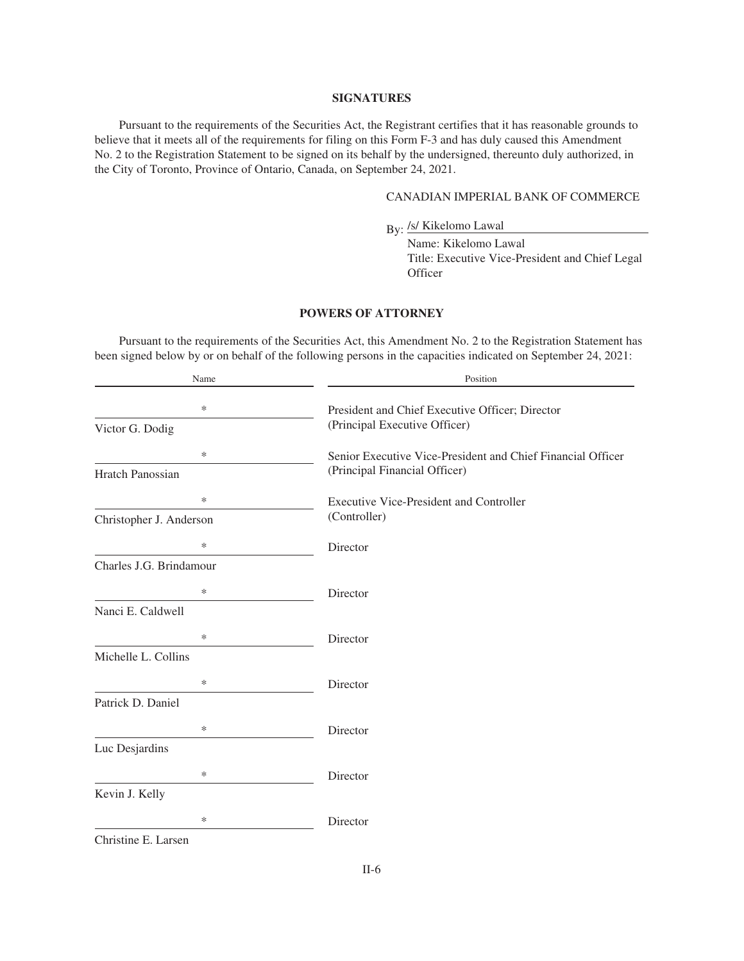#### **SIGNATURES**

Pursuant to the requirements of the Securities Act, the Registrant certifies that it has reasonable grounds to believe that it meets all of the requirements for filing on this Form F-3 and has duly caused this Amendment No. 2 to the Registration Statement to be signed on its behalf by the undersigned, thereunto duly authorized, in the City of Toronto, Province of Ontario, Canada, on September 24, 2021.

# CANADIAN IMPERIAL BANK OF COMMERCE

By: /s/ Kikelomo Lawal

Name: Kikelomo Lawal Title: Executive Vice-President and Chief Legal **Officer** 

# **POWERS OF ATTORNEY**

Pursuant to the requirements of the Securities Act, this Amendment No. 2 to the Registration Statement has been signed below by or on behalf of the following persons in the capacities indicated on September 24, 2021:

| Name                    | Position                                                    |
|-------------------------|-------------------------------------------------------------|
| *                       | President and Chief Executive Officer; Director             |
| Victor G. Dodig         | (Principal Executive Officer)                               |
| *                       | Senior Executive Vice-President and Chief Financial Officer |
| <b>Hratch Panossian</b> | (Principal Financial Officer)                               |
| *                       | <b>Executive Vice-President and Controller</b>              |
| Christopher J. Anderson | (Controller)                                                |
| *                       | Director                                                    |
| Charles J.G. Brindamour |                                                             |
| ∗                       | Director                                                    |
| Nanci E. Caldwell       |                                                             |
| *                       | Director                                                    |
| Michelle L. Collins     |                                                             |
| *                       | Director                                                    |
| Patrick D. Daniel       |                                                             |
| *                       | Director                                                    |
| Luc Desjardins          |                                                             |
| *                       | Director                                                    |
| Kevin J. Kelly          |                                                             |
| *                       | Director                                                    |
| Christine E. Larsen     |                                                             |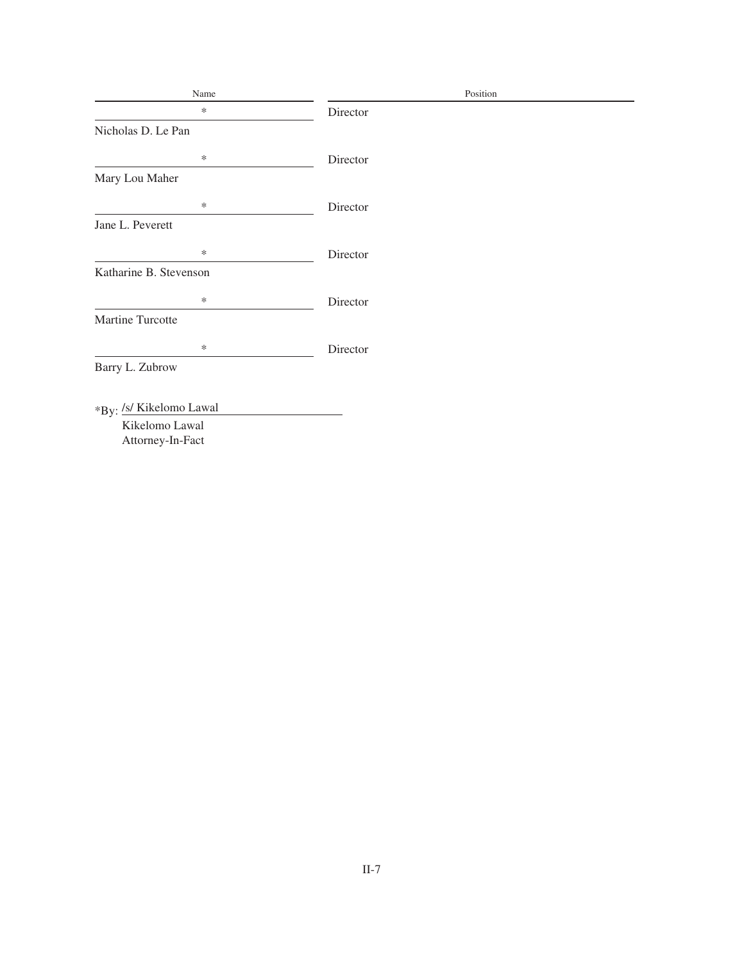| Name                    | Position |
|-------------------------|----------|
| $\ast$                  | Director |
| Nicholas D. Le Pan      |          |
| $\ast$                  | Director |
| Mary Lou Maher          |          |
| $\ast$                  | Director |
| Jane L. Peverett        |          |
| $\ast$                  | Director |
| Katharine B. Stevenson  |          |
| $\ast$                  | Director |
| Martine Turcotte        |          |
| $\ast$                  | Director |
| Barry L. Zubrow         |          |
|                         |          |
| *By: /s/ Kikelomo Lawal |          |
| Kikelomo Lawal          |          |
| Attorney-In-Fact        |          |
|                         |          |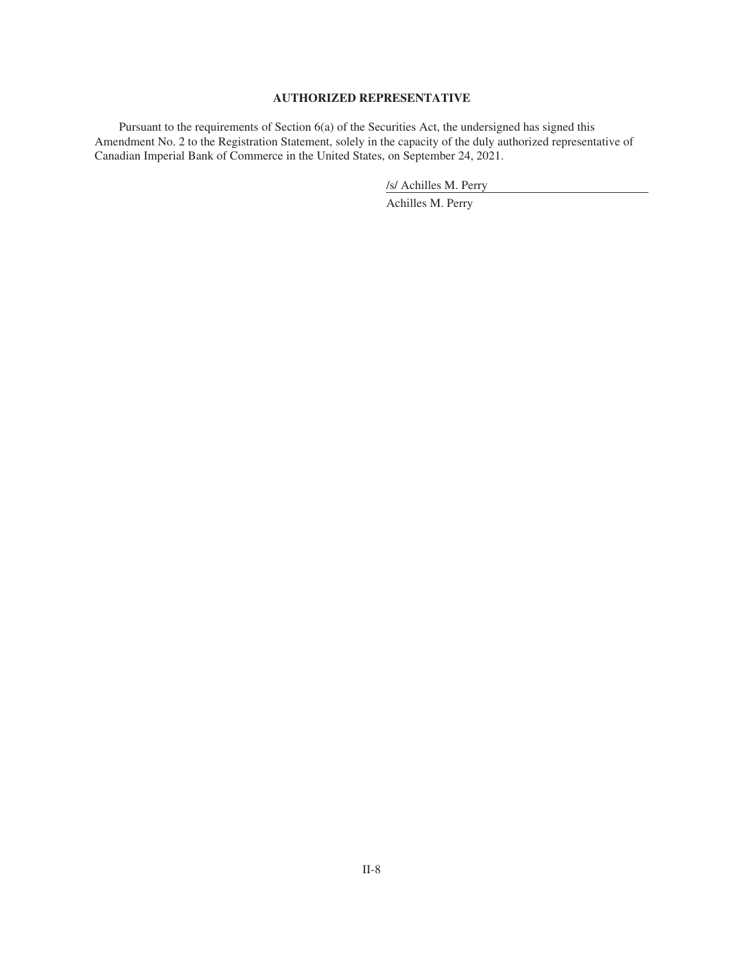# **AUTHORIZED REPRESENTATIVE**

Pursuant to the requirements of Section 6(a) of the Securities Act, the undersigned has signed this Amendment No. 2 to the Registration Statement, solely in the capacity of the duly authorized representative of Canadian Imperial Bank of Commerce in the United States, on September 24, 2021.

/s/ Achilles M. Perry

Achilles M. Perry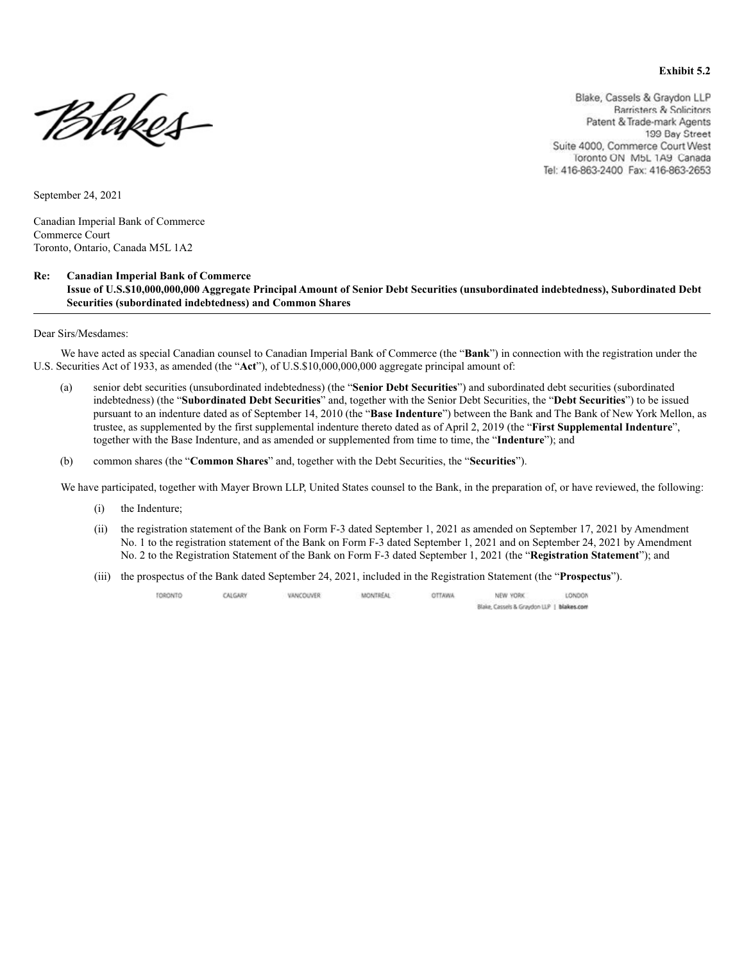#### **Exhibit 5.2**

PHakes-

Blake, Cassels & Graydon LLP **Barristers & Solicitors** Patent & Trade-mark Agents 199 Bay Street Suite 4000, Commerce Court West Toronto ON MbL 1A9 Canada Tel: 416-863-2400 Fax: 416-863-2653

September 24, 2021

Canadian Imperial Bank of Commerce Commerce Court Toronto, Ontario, Canada M5L 1A2

#### **Re: Canadian Imperial Bank of Commerce**

 **Issue of U.S.\$10,000,000,000 Aggregate Principal Amount of Senior Debt Securities (unsubordinated indebtedness), Subordinated Debt Securities (subordinated indebtedness) and Common Shares**

Dear Sirs/Mesdames:

We have acted as special Canadian counsel to Canadian Imperial Bank of Commerce (the "**Bank**") in connection with the registration under the U.S. Securities Act of 1933, as amended (the "**Act**"), of U.S.\$10,000,000,000 aggregate principal amount of:

- (a) senior debt securities (unsubordinated indebtedness) (the "**Senior Debt Securities**") and subordinated debt securities (subordinated indebtedness) (the "**Subordinated Debt Securities**" and, together with the Senior Debt Securities, the "**Debt Securities**") to be issued pursuant to an indenture dated as of September 14, 2010 (the "**Base Indenture**") between the Bank and The Bank of New York Mellon, as trustee, as supplemented by the first supplemental indenture thereto dated as of April 2, 2019 (the "**First Supplemental Indenture**", together with the Base Indenture, and as amended or supplemented from time to time, the "**Indenture**"); and
- (b) common shares (the "**Common Shares**" and, together with the Debt Securities, the "**Securities**").

We have participated, together with Mayer Brown LLP, United States counsel to the Bank, in the preparation of, or have reviewed, the following:

- (i) the Indenture;
- (ii) the registration statement of the Bank on Form F-3 dated September 1, 2021 as amended on September 17, 2021 by Amendment No. 1 to the registration statement of the Bank on Form F-3 dated September 1, 2021 and on September 24, 2021 by Amendment No. 2 to the Registration Statement of the Bank on Form F-3 dated September 1, 2021 (the "**Registration Statement**"); and
- (iii) the prospectus of the Bank dated September 24, 2021, included in the Registration Statement (the "**Prospectus**").

TORONTO CALGARY VANCOUVER **MONTECAL** OTTAWA NEW YORK LONDON Blake, Cassels & Graydon LLP | blakes.com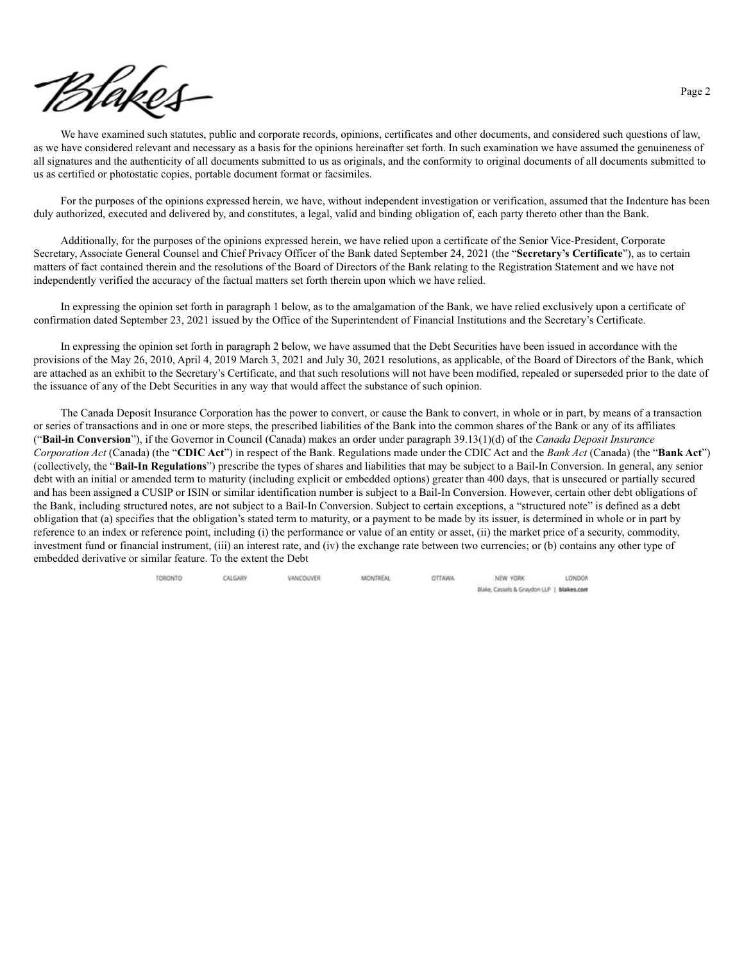

We have examined such statutes, public and corporate records, opinions, certificates and other documents, and considered such questions of law, as we have considered relevant and necessary as a basis for the opinions hereinafter set forth. In such examination we have assumed the genuineness of all signatures and the authenticity of all documents submitted to us as originals, and the conformity to original documents of all documents submitted to us as certified or photostatic copies, portable document format or facsimiles.

For the purposes of the opinions expressed herein, we have, without independent investigation or verification, assumed that the Indenture has been duly authorized, executed and delivered by, and constitutes, a legal, valid and binding obligation of, each party thereto other than the Bank.

Additionally, for the purposes of the opinions expressed herein, we have relied upon a certificate of the Senior Vice-President, Corporate Secretary, Associate General Counsel and Chief Privacy Officer of the Bank dated September 24, 2021 (the "**Secretary's Certificate**"), as to certain matters of fact contained therein and the resolutions of the Board of Directors of the Bank relating to the Registration Statement and we have not independently verified the accuracy of the factual matters set forth therein upon which we have relied.

In expressing the opinion set forth in paragraph 1 below, as to the amalgamation of the Bank, we have relied exclusively upon a certificate of confirmation dated September 23, 2021 issued by the Office of the Superintendent of Financial Institutions and the Secretary's Certificate.

In expressing the opinion set forth in paragraph 2 below, we have assumed that the Debt Securities have been issued in accordance with the provisions of the May 26, 2010, April 4, 2019 March 3, 2021 and July 30, 2021 resolutions, as applicable, of the Board of Directors of the Bank, which are attached as an exhibit to the Secretary's Certificate, and that such resolutions will not have been modified, repealed or superseded prior to the date of the issuance of any of the Debt Securities in any way that would affect the substance of such opinion.

The Canada Deposit Insurance Corporation has the power to convert, or cause the Bank to convert, in whole or in part, by means of a transaction or series of transactions and in one or more steps, the prescribed liabilities of the Bank into the common shares of the Bank or any of its affiliates ("**Bail-in Conversion**"), if the Governor in Council (Canada) makes an order under paragraph 39.13(1)(d) of the *Canada Deposit Insurance Corporation Act* (Canada) (the "**CDIC Act**") in respect of the Bank. Regulations made under the CDIC Act and the *Bank Act* (Canada) (the "**Bank Act**") (collectively, the "**Bail-In Regulations**") prescribe the types of shares and liabilities that may be subject to a Bail-In Conversion. In general, any senior debt with an initial or amended term to maturity (including explicit or embedded options) greater than 400 days, that is unsecured or partially secured and has been assigned a CUSIP or ISIN or similar identification number is subject to a Bail-In Conversion. However, certain other debt obligations of the Bank, including structured notes, are not subject to a Bail-In Conversion. Subject to certain exceptions, a "structured note" is defined as a debt obligation that (a) specifies that the obligation's stated term to maturity, or a payment to be made by its issuer, is determined in whole or in part by reference to an index or reference point, including (i) the performance or value of an entity or asset, (ii) the market price of a security, commodity, investment fund or financial instrument, (iii) an interest rate, and (iv) the exchange rate between two currencies; or (b) contains any other type of embedded derivative or similar feature. To the extent the Debt

> TORONTO CALGARY VANCOUVER **MONTREAL** OTTAWA NEW YORK LONDON Blake, Cassels & Graydon LLP | blakes.com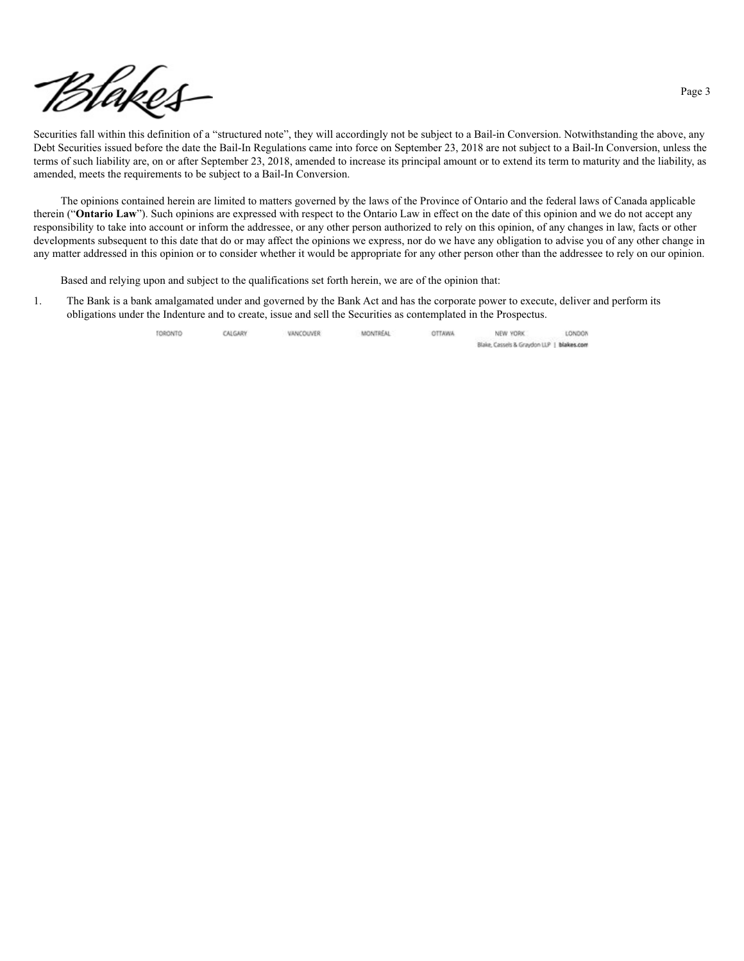

Securities fall within this definition of a "structured note", they will accordingly not be subject to a Bail-in Conversion. Notwithstanding the above, any Debt Securities issued before the date the Bail-In Regulations came into force on September 23, 2018 are not subject to a Bail-In Conversion, unless the terms of such liability are, on or after September 23, 2018, amended to increase its principal amount or to extend its term to maturity and the liability, as amended, meets the requirements to be subject to a Bail-In Conversion.

The opinions contained herein are limited to matters governed by the laws of the Province of Ontario and the federal laws of Canada applicable therein ("**Ontario Law**"). Such opinions are expressed with respect to the Ontario Law in effect on the date of this opinion and we do not accept any responsibility to take into account or inform the addressee, or any other person authorized to rely on this opinion, of any changes in law, facts or other developments subsequent to this date that do or may affect the opinions we express, nor do we have any obligation to advise you of any other change in any matter addressed in this opinion or to consider whether it would be appropriate for any other person other than the addressee to rely on our opinion.

Based and relying upon and subject to the qualifications set forth herein, we are of the opinion that:

1. The Bank is a bank amalgamated under and governed by the Bank Act and has the corporate power to execute, deliver and perform its obligations under the Indenture and to create, issue and sell the Securities as contemplated in the Prospectus.

> TORONTO CALGARY VANCOUVER MONTREAL OTTAWA NEW YORK LONDON Blake, Cassels & Graydon LLP | blakes.com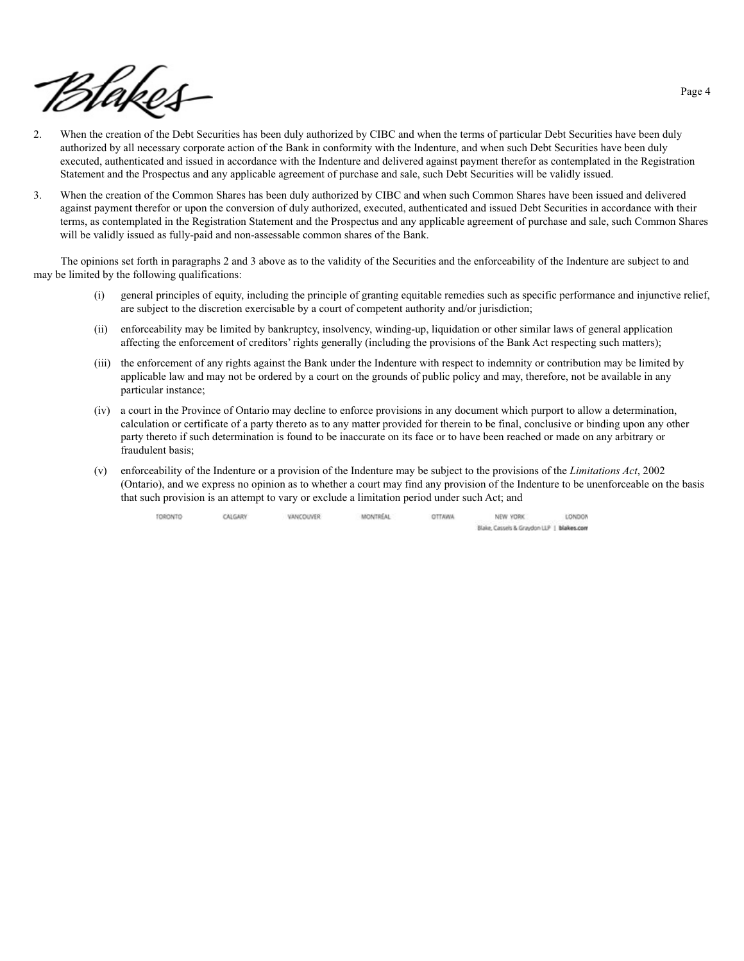

- 2. When the creation of the Debt Securities has been duly authorized by CIBC and when the terms of particular Debt Securities have been duly authorized by all necessary corporate action of the Bank in conformity with the Indenture, and when such Debt Securities have been duly executed, authenticated and issued in accordance with the Indenture and delivered against payment therefor as contemplated in the Registration Statement and the Prospectus and any applicable agreement of purchase and sale, such Debt Securities will be validly issued.
- 3. When the creation of the Common Shares has been duly authorized by CIBC and when such Common Shares have been issued and delivered against payment therefor or upon the conversion of duly authorized, executed, authenticated and issued Debt Securities in accordance with their terms, as contemplated in the Registration Statement and the Prospectus and any applicable agreement of purchase and sale, such Common Shares will be validly issued as fully-paid and non-assessable common shares of the Bank.

The opinions set forth in paragraphs 2 and 3 above as to the validity of the Securities and the enforceability of the Indenture are subject to and may be limited by the following qualifications:

- (i) general principles of equity, including the principle of granting equitable remedies such as specific performance and injunctive relief, are subject to the discretion exercisable by a court of competent authority and/or jurisdiction;
- (ii) enforceability may be limited by bankruptcy, insolvency, winding-up, liquidation or other similar laws of general application affecting the enforcement of creditors' rights generally (including the provisions of the Bank Act respecting such matters);
- (iii) the enforcement of any rights against the Bank under the Indenture with respect to indemnity or contribution may be limited by applicable law and may not be ordered by a court on the grounds of public policy and may, therefore, not be available in any particular instance;
- (iv) a court in the Province of Ontario may decline to enforce provisions in any document which purport to allow a determination, calculation or certificate of a party thereto as to any matter provided for therein to be final, conclusive or binding upon any other party thereto if such determination is found to be inaccurate on its face or to have been reached or made on any arbitrary or fraudulent basis;
- (v) enforceability of the Indenture or a provision of the Indenture may be subject to the provisions of the *Limitations Act*, 2002 (Ontario), and we express no opinion as to whether a court may find any provision of the Indenture to be unenforceable on the basis that such provision is an attempt to vary or exclude a limitation period under such Act; and

| TORONTO | CALGARY | VANCOUVER | <b>MONTREAL</b> | <b>OTTAWA</b> | NEW YORK                                   | LONDON |
|---------|---------|-----------|-----------------|---------------|--------------------------------------------|--------|
|         |         |           |                 |               | Blake, Cassels & Graytion LLP   blakes com |        |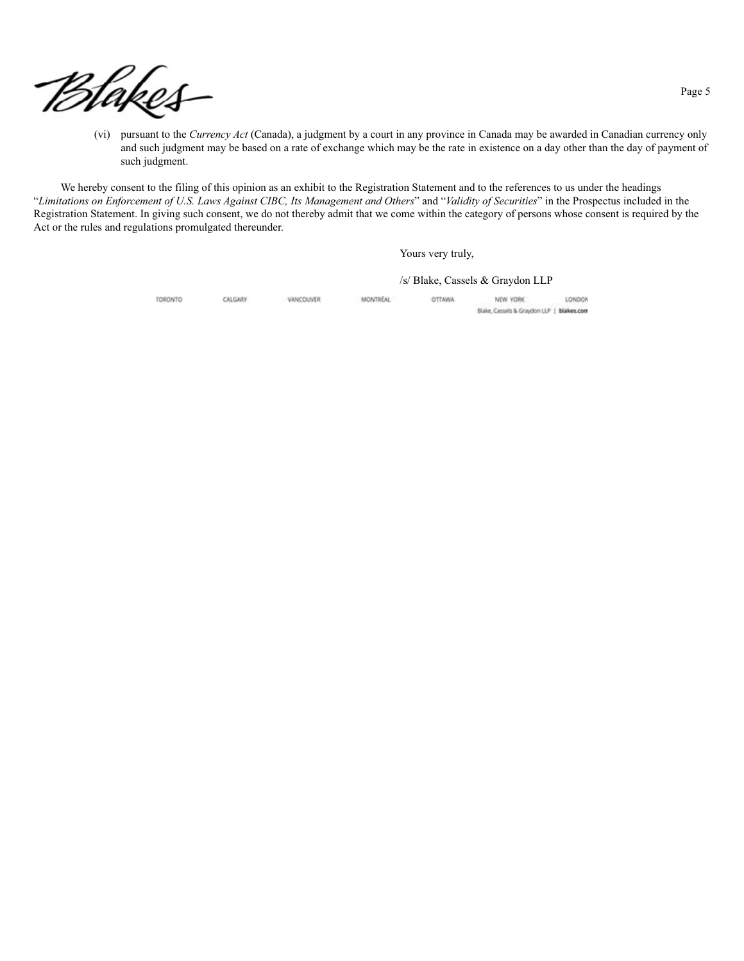

(vi) pursuant to the *Currency Act* (Canada), a judgment by a court in any province in Canada may be awarded in Canadian currency only and such judgment may be based on a rate of exchange which may be the rate in existence on a day other than the day of payment of such judgment.

We hereby consent to the filing of this opinion as an exhibit to the Registration Statement and to the references to us under the headings "*Limitations on Enforcement of U.S. Laws Against CIBC, Its Management and Others*" and "*Validity of Securities*" in the Prospectus included in the Registration Statement. In giving such consent, we do not thereby admit that we come within the category of persons whose consent is required by the Act or the rules and regulations promulgated thereunder.

Yours very truly,

/s/ Blake, Cassels & Graydon LLP

| TORONTO | CALGARY | VANCOUVER | <b>MONTREAL</b> | <b>OTTAWA</b> | NEW YORK                                  | LONDON |
|---------|---------|-----------|-----------------|---------------|-------------------------------------------|--------|
|         |         |           |                 |               | Blake, Cassels & Graydon LLP   blakes.com |        |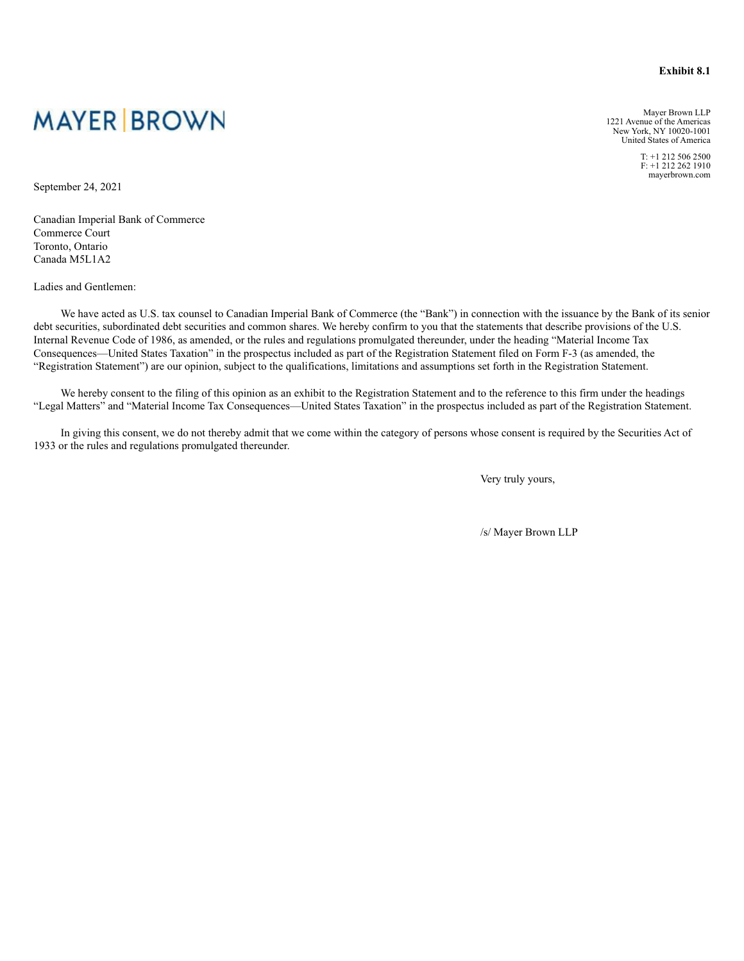#### **Exhibit 8.1**

**MAYER BROWN** 

Mayer Brown LLP 1221 Avenue of the Americas New York, NY 10020-1001 United States of America

> T: +1 212 506 2500  $F: +1.212.262.1910$ mayerbrown.com

September 24, 2021

Canadian Imperial Bank of Commerce Commerce Court Toronto, Ontario Canada M5L1A2

Ladies and Gentlemen:

We have acted as U.S. tax counsel to Canadian Imperial Bank of Commerce (the "Bank") in connection with the issuance by the Bank of its senior debt securities, subordinated debt securities and common shares. We hereby confirm to you that the statements that describe provisions of the U.S. Internal Revenue Code of 1986, as amended, or the rules and regulations promulgated thereunder, under the heading "Material Income Tax Consequences—United States Taxation" in the prospectus included as part of the Registration Statement filed on Form F-3 (as amended, the "Registration Statement") are our opinion, subject to the qualifications, limitations and assumptions set forth in the Registration Statement.

We hereby consent to the filing of this opinion as an exhibit to the Registration Statement and to the reference to this firm under the headings "Legal Matters" and "Material Income Tax Consequences—United States Taxation" in the prospectus included as part of the Registration Statement.

In giving this consent, we do not thereby admit that we come within the category of persons whose consent is required by the Securities Act of 1933 or the rules and regulations promulgated thereunder.

Very truly yours,

/s/ Mayer Brown LLP